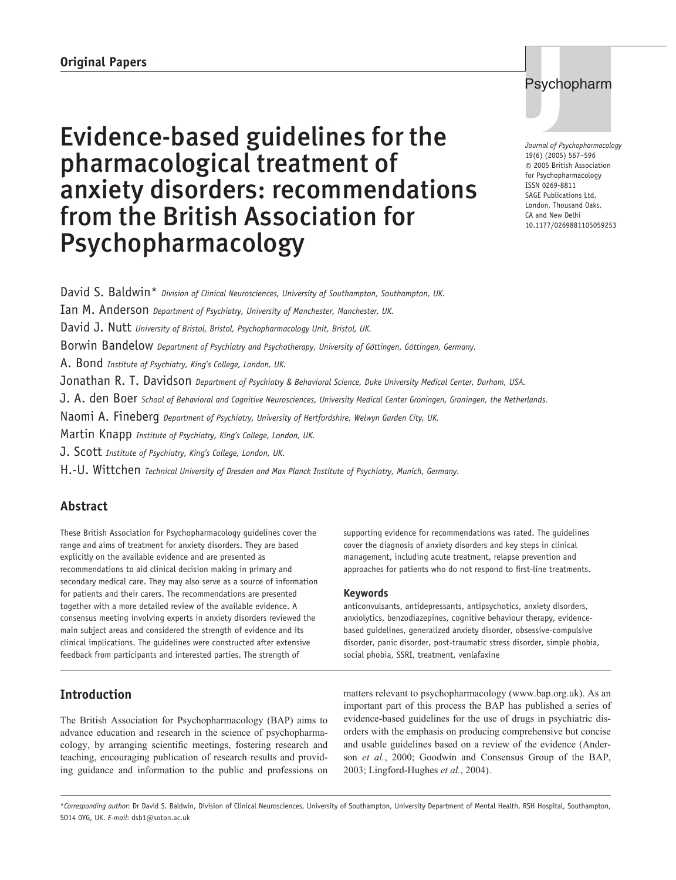# Original Papers<br> **Psychology Present Contains on the** pharmacological treatment of anxiety disorders: recommendations from the British Association for Psychopharmacology

## Psychopharm

*Journal of Psychopharmacology* 19(6) (2005) 567–596 © 2005 British Association for Psychopharmacology ISSN 0269-8811 SAGE Publications Ltd, London, Thousand Oaks, CA and New Delhi 10.1177/0269881105059253

David S. Baldwin\* *Division of Clinical Neurosciences, University of Southampton, Southampton, UK.*

Ian M. Anderson *Department of Psychiatry, University of Manchester, Manchester, UK.*

David J. Nutt *University of Bristol, Bristol, Psychopharmacology Unit, Bristol, UK.*

Borwin Bandelow *Department of Psychiatry and Psychotherapy, University of Göttingen, Göttingen, Germany.*

A. Bond *Institute of Psychiatry, King's College, London, UK.*

Jonathan R. T. Davidson *Department of Psychiatry & Behavioral Science, Duke University Medical Center, Durham, USA.*

J. A. den Boer *School of Behavioral and Cognitive Neurosciences, University Medical Center Groningen, Groningen, the Netherlands.*

Naomi A. Fineberg *Department of Psychiatry, University of Hertfordshire, Welwyn Garden City, UK.*

Martin Knapp *Institute of Psychiatry, King's College, London, UK.*

J. Scott *Institute of Psychiatry, King's College, London, UK.*

H.-U. Wittchen *Technical University of Dresden and Max Planck Institute of Psychiatry, Munich, Germany.*

## **Abstract**

These British Association for Psychopharmacology guidelines cover the range and aims of treatment for anxiety disorders. They are based explicitly on the available evidence and are presented as recommendations to aid clinical decision making in primary and secondary medical care. They may also serve as a source of information for patients and their carers. The recommendations are presented together with a more detailed review of the available evidence. A consensus meeting involving experts in anxiety disorders reviewed the main subject areas and considered the strength of evidence and its clinical implications. The guidelines were constructed after extensive feedback from participants and interested parties. The strength of

supporting evidence for recommendations was rated. The guidelines cover the diagnosis of anxiety disorders and key steps in clinical management, including acute treatment, relapse prevention and approaches for patients who do not respond to first-line treatments.

## **Keywords**

anticonvulsants, antidepressants, antipsychotics, anxiety disorders, anxiolytics, benzodiazepines, cognitive behaviour therapy, evidencebased guidelines, generalized anxiety disorder, obsessive-compulsive disorder, panic disorder, post-traumatic stress disorder, simple phobia, social phobia, SSRI, treatment, venlafaxine

## **Introduction**

The British Association for Psychopharmacology (BAP) aims to advance education and research in the science of psychopharmacology, by arranging scientific meetings, fostering research and teaching, encouraging publication of research results and providing guidance and information to the public and professions on matters relevant to psychopharmacology (www.bap.org.uk). As an important part of this process the BAP has published a series of evidence-based guidelines for the use of drugs in psychiatric disorders with the emphasis on producing comprehensive but concise and usable guidelines based on a review of the evidence (Anderson *et al.*, 2000; Goodwin and Consensus Group of the BAP, 2003; Lingford-Hughes *et al.*, 2004).

\**Corresponding author*: Dr David S. Baldwin, Division of Clinical Neurosciences, University of Southampton, University Department of Mental Health, RSH Hospital, Southampton, SO14 0YG, UK. *E-mail*: dsb1@soton.ac.uk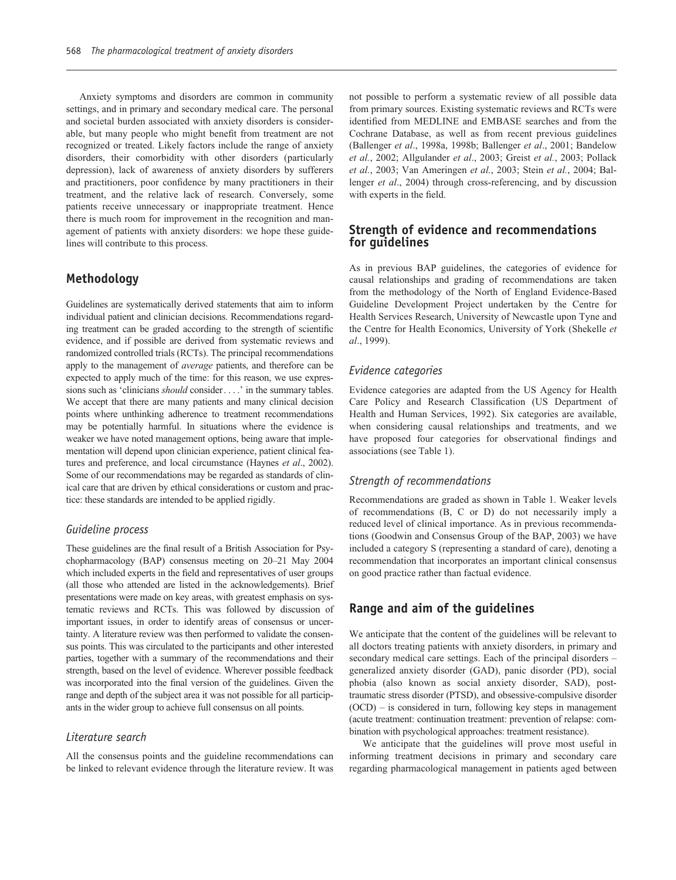Anxiety symptoms and disorders are common in community settings, and in primary and secondary medical care. The personal and societal burden associated with anxiety disorders is considerable, but many people who might benefit from treatment are not recognized or treated. Likely factors include the range of anxiety disorders, their comorbidity with other disorders (particularly depression), lack of awareness of anxiety disorders by sufferers and practitioners, poor confidence by many practitioners in their treatment, and the relative lack of research. Conversely, some patients receive unnecessary or inappropriate treatment. Hence there is much room for improvement in the recognition and management of patients with anxiety disorders: we hope these guidelines will contribute to this process.

## **Methodology**

Guidelines are systematically derived statements that aim to inform individual patient and clinician decisions. Recommendations regarding treatment can be graded according to the strength of scientific evidence, and if possible are derived from systematic reviews and randomized controlled trials (RCTs). The principal recommendations apply to the management of *average* patients, and therefore can be expected to apply much of the time: for this reason, we use expressions such as 'clinicians *should* consider. . . .' in the summary tables. We accept that there are many patients and many clinical decision points where unthinking adherence to treatment recommendations may be potentially harmful. In situations where the evidence is weaker we have noted management options, being aware that implementation will depend upon clinician experience, patient clinical features and preference, and local circumstance (Haynes *et al*., 2002). Some of our recommendations may be regarded as standards of clinical care that are driven by ethical considerations or custom and practice: these standards are intended to be applied rigidly.

#### *Guideline process*

These guidelines are the final result of a British Association for Psychopharmacology (BAP) consensus meeting on 20–21 May 2004 which included experts in the field and representatives of user groups (all those who attended are listed in the acknowledgements). Brief presentations were made on key areas, with greatest emphasis on systematic reviews and RCTs. This was followed by discussion of important issues, in order to identify areas of consensus or uncertainty. A literature review was then performed to validate the consensus points. This was circulated to the participants and other interested parties, together with a summary of the recommendations and their strength, based on the level of evidence. Wherever possible feedback was incorporated into the final version of the guidelines. Given the range and depth of the subject area it was not possible for all participants in the wider group to achieve full consensus on all points.

## *Literature search*

All the consensus points and the guideline recommendations can be linked to relevant evidence through the literature review. It was not possible to perform a systematic review of all possible data from primary sources. Existing systematic reviews and RCTs were identified from MEDLINE and EMBASE searches and from the Cochrane Database, as well as from recent previous guidelines (Ballenger *et al*., 1998a, 1998b; Ballenger *et al*., 2001; Bandelow *et al.*, 2002; Allgulander *et al*., 2003; Greist *et al.*, 2003; Pollack *et al.*, 2003; Van Ameringen *et al.*, 2003; Stein *et al.*, 2004; Ballenger *et al*., 2004) through cross-referencing, and by discussion with experts in the field.

## **Strength of evidence and recommendations for guidelines**

As in previous BAP guidelines, the categories of evidence for causal relationships and grading of recommendations are taken from the methodology of the North of England Evidence-Based Guideline Development Project undertaken by the Centre for Health Services Research, University of Newcastle upon Tyne and the Centre for Health Economics, University of York (Shekelle *et al*., 1999).

## *Evidence categories*

Evidence categories are adapted from the US Agency for Health Care Policy and Research Classification (US Department of Health and Human Services, 1992). Six categories are available, when considering causal relationships and treatments, and we have proposed four categories for observational findings and associations (see Table 1).

## *Strength of recommendations*

Recommendations are graded as shown in Table 1. Weaker levels of recommendations (B, C or D) do not necessarily imply a reduced level of clinical importance. As in previous recommendations (Goodwin and Consensus Group of the BAP, 2003) we have included a category S (representing a standard of care), denoting a recommendation that incorporates an important clinical consensus on good practice rather than factual evidence.

## **Range and aim of the guidelines**

We anticipate that the content of the guidelines will be relevant to all doctors treating patients with anxiety disorders, in primary and secondary medical care settings. Each of the principal disorders – generalized anxiety disorder (GAD), panic disorder (PD), social phobia (also known as social anxiety disorder, SAD), posttraumatic stress disorder (PTSD), and obsessive-compulsive disorder (OCD) – is considered in turn, following key steps in management (acute treatment: continuation treatment: prevention of relapse: combination with psychological approaches: treatment resistance).

We anticipate that the guidelines will prove most useful in informing treatment decisions in primary and secondary care regarding pharmacological management in patients aged between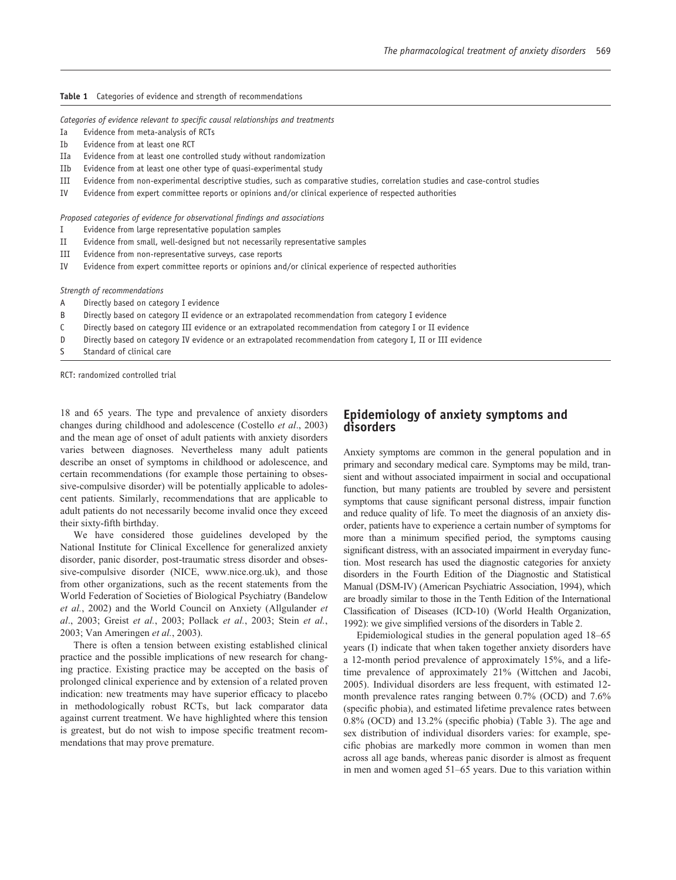#### **Table 1** Categories of evidence and strength of recommendations

*Categories of evidence relevant to specific causal relationships and treatments*

- Ia Evidence from meta-analysis of RCTs
- Ib Evidence from at least one RCT
- IIa Evidence from at least one controlled study without randomization
- IIb Evidence from at least one other type of quasi-experimental study
- III Evidence from non-experimental descriptive studies, such as comparative studies, correlation studies and case-control studies
- IV Evidence from expert committee reports or opinions and/or clinical experience of respected authorities

*Proposed categories of evidence for observational findings and associations*

- I Evidence from large representative population samples
- II Evidence from small, well-designed but not necessarily representative samples
- III Evidence from non-representative surveys, case reports
- IV Evidence from expert committee reports or opinions and/or clinical experience of respected authorities

#### *Strength of recommendations*

- A Directly based on category I evidence
- B Directly based on category II evidence or an extrapolated recommendation from category I evidence
- C Directly based on category III evidence or an extrapolated recommendation from category I or II evidence
- D Directly based on category IV evidence or an extrapolated recommendation from category I, II or III evidence
- S Standard of clinical care

RCT: randomized controlled trial

18 and 65 years. The type and prevalence of anxiety disorders changes during childhood and adolescence (Costello *et al*., 2003) and the mean age of onset of adult patients with anxiety disorders varies between diagnoses. Nevertheless many adult patients describe an onset of symptoms in childhood or adolescence, and certain recommendations (for example those pertaining to obsessive-compulsive disorder) will be potentially applicable to adolescent patients. Similarly, recommendations that are applicable to adult patients do not necessarily become invalid once they exceed their sixty-fifth birthday.

We have considered those guidelines developed by the National Institute for Clinical Excellence for generalized anxiety disorder, panic disorder, post-traumatic stress disorder and obsessive-compulsive disorder (NICE, www.nice.org.uk), and those from other organizations, such as the recent statements from the World Federation of Societies of Biological Psychiatry (Bandelow *et al.*, 2002) and the World Council on Anxiety (Allgulander *et al*., 2003; Greist *et al.*, 2003; Pollack *et al.*, 2003; Stein *et al.*, 2003; Van Ameringen *et al.*, 2003).

There is often a tension between existing established clinical practice and the possible implications of new research for changing practice. Existing practice may be accepted on the basis of prolonged clinical experience and by extension of a related proven indication: new treatments may have superior efficacy to placebo in methodologically robust RCTs, but lack comparator data against current treatment. We have highlighted where this tension is greatest, but do not wish to impose specific treatment recommendations that may prove premature.

## **Epidemiology of anxiety symptoms and disorders**

Anxiety symptoms are common in the general population and in primary and secondary medical care. Symptoms may be mild, transient and without associated impairment in social and occupational function, but many patients are troubled by severe and persistent symptoms that cause significant personal distress, impair function and reduce quality of life. To meet the diagnosis of an anxiety disorder, patients have to experience a certain number of symptoms for more than a minimum specified period, the symptoms causing significant distress, with an associated impairment in everyday function. Most research has used the diagnostic categories for anxiety disorders in the Fourth Edition of the Diagnostic and Statistical Manual (DSM-IV) (American Psychiatric Association, 1994), which are broadly similar to those in the Tenth Edition of the International Classification of Diseases (ICD-10) (World Health Organization, 1992): we give simplified versions of the disorders in Table 2.

Epidemiological studies in the general population aged 18–65 years (I) indicate that when taken together anxiety disorders have a 12-month period prevalence of approximately 15%, and a lifetime prevalence of approximately 21% (Wittchen and Jacobi, 2005). Individual disorders are less frequent, with estimated 12 month prevalence rates ranging between 0.7% (OCD) and 7.6% (specific phobia), and estimated lifetime prevalence rates between 0.8% (OCD) and 13.2% (specific phobia) (Table 3). The age and sex distribution of individual disorders varies: for example, specific phobias are markedly more common in women than men across all age bands, whereas panic disorder is almost as frequent in men and women aged 51–65 years. Due to this variation within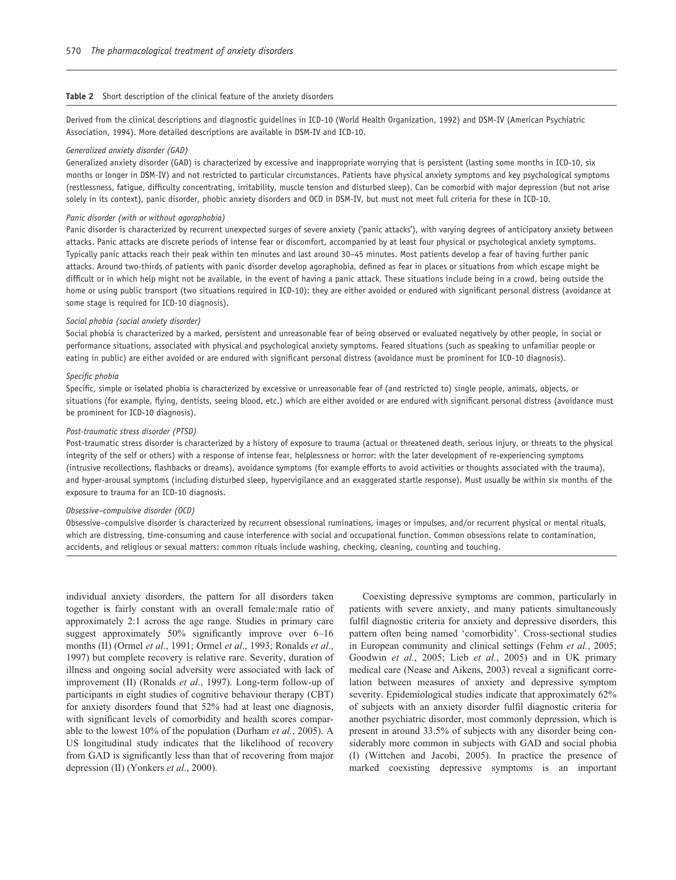#### **Table 2** Short description of the clinical feature of the anxiety disorders

Derived from the clinical descriptions and diagnostic guidelines in ICD-10 (World Health Organization, 1992) and DSM-IV (American Psychiatric Association, 1994). More detailed descriptions are available in DSM-IV and ICD-10.

#### *Generalized anxiety disorder (GAD)*

Generalized anxiety disorder (GAD) is characterized by excessive and inappropriate worrying that is persistent (lasting some months in ICD-10, six months or longer in DSM-IV) and not restricted to particular circumstances. Patients have physical anxiety symptoms and key psychological symptoms (restlessness, fatigue, difficulty concentrating, irritability, muscle tension and disturbed sleep). Can be comorbid with major depression (but not arise solely in its context), panic disorder, phobic anxiety disorders and OCD in DSM-IV, but must not meet full criteria for these in ICD-10.

#### *Panic disorder (with or without agoraphobia)*

Panic disorder is characterized by recurrent unexpected surges of severe anxiety ('panic attacks'), with varying degrees of anticipatory anxiety between attacks. Panic attacks are discrete periods of intense fear or discomfort, accompanied by at least four physical or psychological anxiety symptoms. Typically panic attacks reach their peak within ten minutes and last around 30–45 minutes. Most patients develop a fear of having further panic attacks. Around two-thirds of patients with panic disorder develop agoraphobia, defined as fear in places or situations from which escape might be difficult or in which help might not be available, in the event of having a panic attack. These situations include being in a crowd, being outside the home or using public transport (two situations required in ICD-10): they are either avoided or endured with significant personal distress (avoidance at some stage is required for ICD-10 diagnosis).

#### *Social phobia (social anxiety disorder)*

Social phobia is characterized by a marked, persistent and unreasonable fear of being observed or evaluated negatively by other people, in social or performance situations, associated with physical and psychological anxiety symptoms. Feared situations (such as speaking to unfamiliar people or eating in public) are either avoided or are endured with significant personal distress (avoidance must be prominent for ICD-10 diagnosis).

#### *Specific phobia*

Specific, simple or isolated phobia is characterized by excessive or unreasonable fear of (and restricted to) single people, animals, objects, or situations (for example, flying, dentists, seeing blood, etc.) which are either avoided or are endured with significant personal distress (avoidance must be prominent for ICD-10 diagnosis).

#### *Post-traumatic stress disorder (PTSD)*

Post-traumatic stress disorder is characterized by a history of exposure to trauma (actual or threatened death, serious injury, or threats to the physical integrity of the self or others) with a response of intense fear, helplessness or horror: with the later development of re-experiencing symptoms (intrusive recollections, flashbacks or dreams), avoidance symptoms (for example efforts to avoid activities or thoughts associated with the trauma), and hyper-arousal symptoms (including disturbed sleep, hypervigilance and an exaggerated startle response). Must usually be within six months of the exposure to trauma for an ICD-10 diagnosis.

#### *Obsessive–compulsive disorder (OCD)*

Obsessive–compulsive disorder is characterized by recurrent obsessional ruminations, images or impulses, and/or recurrent physical or mental rituals, which are distressing, time-consuming and cause interference with social and occupational function. Common obsessions relate to contamination, accidents, and religious or sexual matters: common rituals include washing, checking, cleaning, counting and touching.

individual anxiety disorders, the pattern for all disorders taken together is fairly constant with an overall female:male ratio of approximately 2:1 across the age range. Studies in primary care suggest approximately 50% significantly improve over 6–16 months (II) (Ormel *et al*., 1991; Ormel *et al*., 1993; Ronalds *et al*., 1997) but complete recovery is relative rare. Severity, duration of illness and ongoing social adversity were associated with lack of improvement (II) (Ronalds *et al*., 1997). Long-term follow-up of participants in eight studies of cognitive behaviour therapy (CBT) for anxiety disorders found that 52% had at least one diagnosis, with significant levels of comorbidity and health scores comparable to the lowest 10% of the population (Durham *et al.*, 2005). A US longitudinal study indicates that the likelihood of recovery from GAD is significantly less than that of recovering from major depression (II) (Yonkers *et al*., 2000).

Coexisting depressive symptoms are common, particularly in patients with severe anxiety, and many patients simultaneously fulfil diagnostic criteria for anxiety and depressive disorders, this pattern often being named 'comorbidity'. Cross-sectional studies in European community and clinical settings (Fehm *et al.*, 2005; Goodwin *et al.*, 2005; Lieb *et al.*, 2005) and in UK primary medical care (Nease and Aikens, 2003) reveal a significant correlation between measures of anxiety and depressive symptom severity. Epidemiological studies indicate that approximately 62% of subjects with an anxiety disorder fulfil diagnostic criteria for another psychiatric disorder, most commonly depression, which is present in around 33.5% of subjects with any disorder being considerably more common in subjects with GAD and social phobia (I) (Wittchen and Jacobi, 2005). In practice the presence of marked coexisting depressive symptoms is an important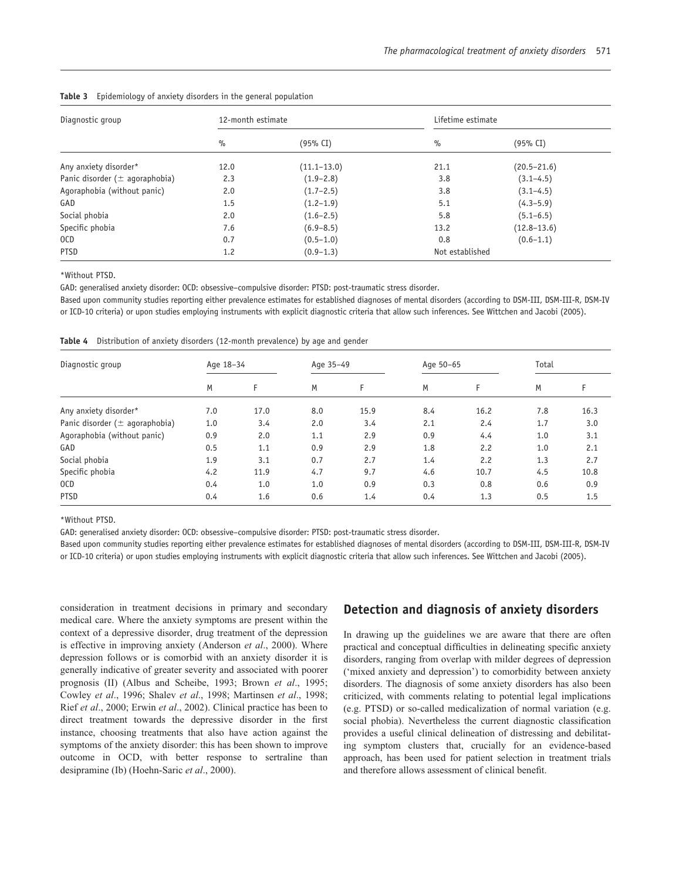| Diagnostic group                    | 12-month estimate |                 | Lifetime estimate |                 |
|-------------------------------------|-------------------|-----------------|-------------------|-----------------|
|                                     | $\%$              | (95% CI)        | $\%$              | (95% CI)        |
| Any anxiety disorder*               | 12.0              | $(11.1 - 13.0)$ | 21.1              | $(20.5 - 21.6)$ |
| Panic disorder ( $\pm$ agoraphobia) | 2.3               | $(1.9 - 2.8)$   | 3.8               | $(3.1 - 4.5)$   |
| Agoraphobia (without panic)         | 2.0               | $(1.7 - 2.5)$   | 3.8               | $(3.1 - 4.5)$   |
| GAD                                 | 1.5               | $(1.2 - 1.9)$   | 5.1               | $(4.3 - 5.9)$   |
| Social phobia                       | 2.0               | $(1.6 - 2.5)$   | 5.8               | $(5.1 - 6.5)$   |
| Specific phobia                     | 7.6               | $(6.9 - 8.5)$   | 13.2              | $(12.8 - 13.6)$ |
| 0CD                                 | 0.7               | $(0.5 - 1.0)$   | 0.8               | $(0.6 - 1.1)$   |
| <b>PTSD</b>                         | 1.2               | $(0.9 - 1.3)$   | Not established   |                 |

#### **Table 3** Epidemiology of anxiety disorders in the general population

\*Without PTSD.

GAD: generalised anxiety disorder: OCD: obsessive–compulsive disorder: PTSD: post-traumatic stress disorder.

Based upon community studies reporting either prevalence estimates for established diagnoses of mental disorders (according to DSM-III, DSM-III-R, DSM-IV or ICD-10 criteria) or upon studies employing instruments with explicit diagnostic criteria that allow such inferences. See Wittchen and Jacobi (2005).

| Diagnostic group                  | Age 18-34 |      | Age 35-49 |      | Age 50-65 |      | Total |      |
|-----------------------------------|-----------|------|-----------|------|-----------|------|-------|------|
|                                   | M         | F    | M         |      | M         |      | M     | ŀ.   |
| Any anxiety disorder*             | 7.0       | 17.0 | 8.0       | 15.9 | 8.4       | 16.2 | 7.8   | 16.3 |
| Panic disorder $($ ± agoraphobia) | 1.0       | 3.4  | 2.0       | 3.4  | 2.1       | 2.4  | 1.7   | 3.0  |
| Agoraphobia (without panic)       | 0.9       | 2.0  | 1.1       | 2.9  | 0.9       | 4.4  | 1.0   | 3.1  |
| GAD                               | 0.5       | 1.1  | 0.9       | 2.9  | 1.8       | 2.2  | 1.0   | 2.1  |
| Social phobia                     | 1.9       | 3.1  | 0.7       | 2.7  | 1.4       | 2.2  | 1.3   | 2.7  |
| Specific phobia                   | 4.2       | 11.9 | 4.7       | 9.7  | 4.6       | 10.7 | 4.5   | 10.8 |
| 0CD                               | 0.4       | 1.0  | 1.0       | 0.9  | 0.3       | 0.8  | 0.6   | 0.9  |
| <b>PTSD</b>                       | 0.4       | 1.6  | 0.6       | 1.4  | 0.4       | 1.3  | 0.5   | 1.5  |

\*Without PTSD.

GAD: generalised anxiety disorder: OCD: obsessive–compulsive disorder: PTSD: post-traumatic stress disorder.

Based upon community studies reporting either prevalence estimates for established diagnoses of mental disorders (according to DSM-III, DSM-III-R, DSM-IV or ICD-10 criteria) or upon studies employing instruments with explicit diagnostic criteria that allow such inferences. See Wittchen and Jacobi (2005).

consideration in treatment decisions in primary and secondary medical care. Where the anxiety symptoms are present within the context of a depressive disorder, drug treatment of the depression is effective in improving anxiety (Anderson *et al*., 2000). Where depression follows or is comorbid with an anxiety disorder it is generally indicative of greater severity and associated with poorer prognosis (II) (Albus and Scheibe, 1993; Brown *et al*., 1995; Cowley *et al*., 1996; Shalev *et al*., 1998; Martinsen *et al*., 1998; Rief *et al*., 2000; Erwin *et al*., 2002). Clinical practice has been to direct treatment towards the depressive disorder in the first instance, choosing treatments that also have action against the symptoms of the anxiety disorder: this has been shown to improve outcome in OCD, with better response to sertraline than desipramine (Ib) (Hoehn-Saric *et al*., 2000).

## **Detection and diagnosis of anxiety disorders**

In drawing up the guidelines we are aware that there are often practical and conceptual difficulties in delineating specific anxiety disorders, ranging from overlap with milder degrees of depression ('mixed anxiety and depression') to comorbidity between anxiety disorders. The diagnosis of some anxiety disorders has also been criticized, with comments relating to potential legal implications (e.g. PTSD) or so-called medicalization of normal variation (e.g. social phobia). Nevertheless the current diagnostic classification provides a useful clinical delineation of distressing and debilitating symptom clusters that, crucially for an evidence-based approach, has been used for patient selection in treatment trials and therefore allows assessment of clinical benefit.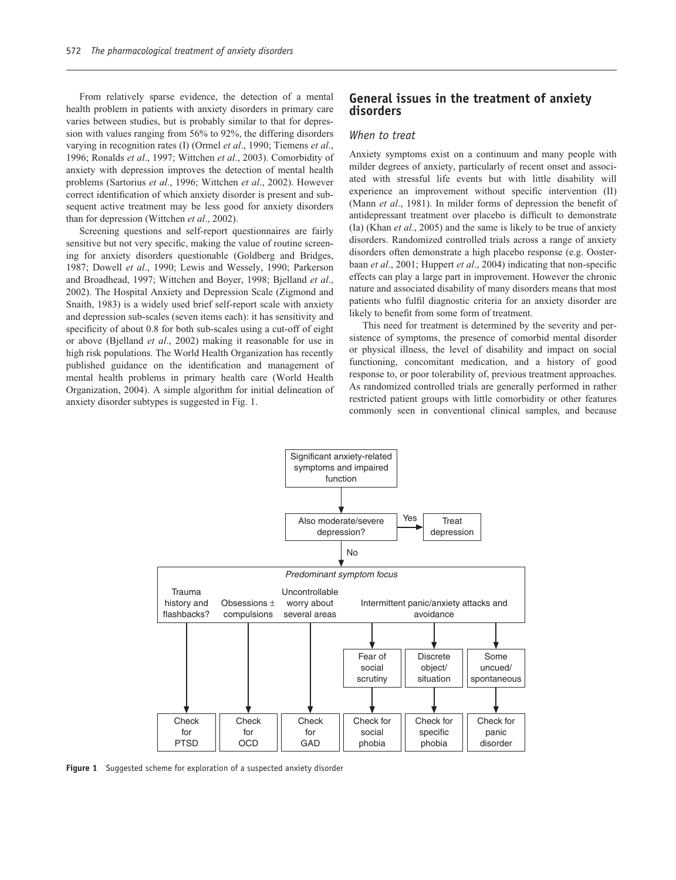From relatively sparse evidence, the detection of a mental health problem in patients with anxiety disorders in primary care varies between studies, but is probably similar to that for depression with values ranging from 56% to 92%, the differing disorders varying in recognition rates (I) (Ormel *et al*., 1990; Tiemens *et al*., 1996; Ronalds *et al*., 1997; Wittchen *et al*., 2003). Comorbidity of anxiety with depression improves the detection of mental health problems (Sartorius *et al*., 1996; Wittchen *et al*., 2002). However correct identification of which anxiety disorder is present and subsequent active treatment may be less good for anxiety disorders than for depression (Wittchen *et al*., 2002).

Screening questions and self-report questionnaires are fairly sensitive but not very specific, making the value of routine screening for anxiety disorders questionable (Goldberg and Bridges, 1987; Dowell *et al*., 1990; Lewis and Wessely, 1990; Parkerson and Broadhead, 1997; Wittchen and Boyer, 1998; Bjelland *et al*., 2002). The Hospital Anxiety and Depression Scale (Zigmond and Snaith, 1983) is a widely used brief self-report scale with anxiety and depression sub-scales (seven items each): it has sensitivity and specificity of about 0.8 for both sub-scales using a cut-off of eight or above (Bjelland *et al*., 2002) making it reasonable for use in high risk populations. The World Health Organization has recently published guidance on the identification and management of mental health problems in primary health care (World Health Organization, 2004). A simple algorithm for initial delineation of anxiety disorder subtypes is suggested in Fig. 1.

## **General issues in the treatment of anxiety disorders**

## *When to treat*

Anxiety symptoms exist on a continuum and many people with milder degrees of anxiety, particularly of recent onset and associated with stressful life events but with little disability will experience an improvement without specific intervention (II) (Mann *et al*., 1981). In milder forms of depression the benefit of antidepressant treatment over placebo is difficult to demonstrate (Ia) (Khan *et al*., 2005) and the same is likely to be true of anxiety disorders. Randomized controlled trials across a range of anxiety disorders often demonstrate a high placebo response (e.g. Oosterbaan *et al*., 2001; Huppert *et al*., 2004) indicating that non-specific effects can play a large part in improvement. However the chronic nature and associated disability of many disorders means that most patients who fulfil diagnostic criteria for an anxiety disorder are likely to benefit from some form of treatment.

This need for treatment is determined by the severity and persistence of symptoms, the presence of comorbid mental disorder or physical illness, the level of disability and impact on social functioning, concomitant medication, and a history of good response to, or poor tolerability of, previous treatment approaches. As randomized controlled trials are generally performed in rather restricted patient groups with little comorbidity or other features commonly seen in conventional clinical samples, and because



**Figure 1** Suggested scheme for exploration of a suspected anxiety disorder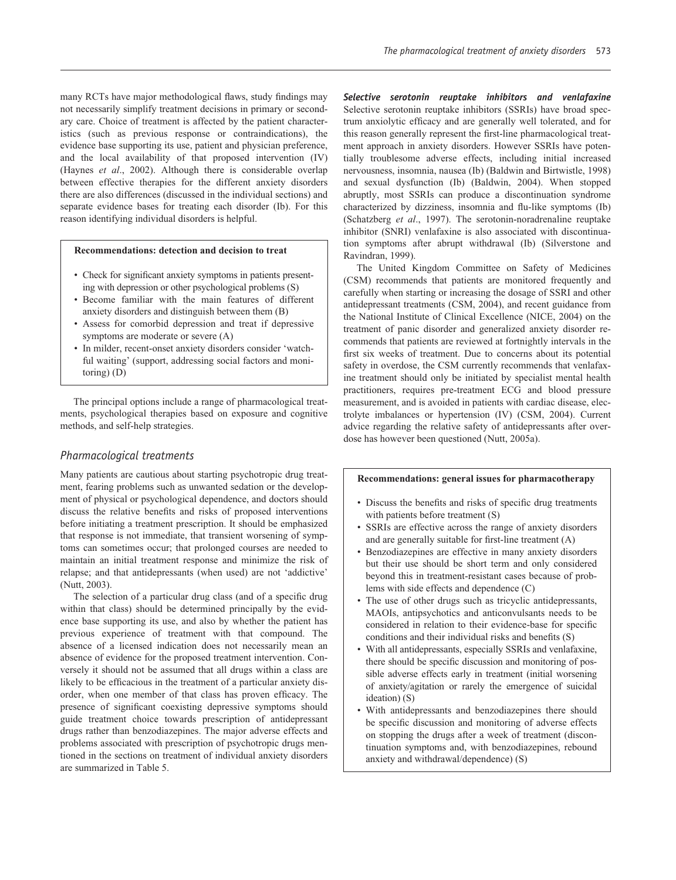many RCTs have major methodological flaws, study findings may not necessarily simplify treatment decisions in primary or secondary care. Choice of treatment is affected by the patient characteristics (such as previous response or contraindications), the evidence base supporting its use, patient and physician preference, and the local availability of that proposed intervention (IV) (Haynes *et al*., 2002). Although there is considerable overlap between effective therapies for the different anxiety disorders there are also differences (discussed in the individual sections) and separate evidence bases for treating each disorder (Ib). For this reason identifying individual disorders is helpful.

#### **Recommendations: detection and decision to treat**

- Check for significant anxiety symptoms in patients presenting with depression or other psychological problems (S)
- Become familiar with the main features of different anxiety disorders and distinguish between them (B)
- Assess for comorbid depression and treat if depressive symptoms are moderate or severe (A)
- In milder, recent-onset anxiety disorders consider 'watchful waiting' (support, addressing social factors and monitoring) (D)

The principal options include a range of pharmacological treatments, psychological therapies based on exposure and cognitive methods, and self-help strategies.

## *Pharmacological treatments*

Many patients are cautious about starting psychotropic drug treatment, fearing problems such as unwanted sedation or the development of physical or psychological dependence, and doctors should discuss the relative benefits and risks of proposed interventions before initiating a treatment prescription. It should be emphasized that response is not immediate, that transient worsening of symptoms can sometimes occur; that prolonged courses are needed to maintain an initial treatment response and minimize the risk of relapse; and that antidepressants (when used) are not 'addictive' (Nutt, 2003).

The selection of a particular drug class (and of a specific drug within that class) should be determined principally by the evidence base supporting its use, and also by whether the patient has previous experience of treatment with that compound. The absence of a licensed indication does not necessarily mean an absence of evidence for the proposed treatment intervention. Conversely it should not be assumed that all drugs within a class are likely to be efficacious in the treatment of a particular anxiety disorder, when one member of that class has proven efficacy. The presence of significant coexisting depressive symptoms should guide treatment choice towards prescription of antidepressant drugs rather than benzodiazepines. The major adverse effects and problems associated with prescription of psychotropic drugs mentioned in the sections on treatment of individual anxiety disorders are summarized in Table 5.

*Selective serotonin reuptake inhibitors and venlafaxine* Selective serotonin reuptake inhibitors (SSRIs) have broad spectrum anxiolytic efficacy and are generally well tolerated, and for this reason generally represent the first-line pharmacological treatment approach in anxiety disorders. However SSRIs have potentially troublesome adverse effects, including initial increased nervousness, insomnia, nausea (Ib) (Baldwin and Birtwistle, 1998) and sexual dysfunction (Ib) (Baldwin, 2004). When stopped abruptly, most SSRIs can produce a discontinuation syndrome characterized by dizziness, insomnia and flu-like symptoms (Ib) (Schatzberg *et al*., 1997). The serotonin-noradrenaline reuptake inhibitor (SNRI) venlafaxine is also associated with discontinuation symptoms after abrupt withdrawal (Ib) (Silverstone and Ravindran, 1999).

The United Kingdom Committee on Safety of Medicines (CSM) recommends that patients are monitored frequently and carefully when starting or increasing the dosage of SSRI and other antidepressant treatments (CSM, 2004), and recent guidance from the National Institute of Clinical Excellence (NICE, 2004) on the treatment of panic disorder and generalized anxiety disorder recommends that patients are reviewed at fortnightly intervals in the first six weeks of treatment. Due to concerns about its potential safety in overdose, the CSM currently recommends that venlafaxine treatment should only be initiated by specialist mental health practitioners, requires pre-treatment ECG and blood pressure measurement, and is avoided in patients with cardiac disease, electrolyte imbalances or hypertension (IV) (CSM, 2004). Current advice regarding the relative safety of antidepressants after overdose has however been questioned (Nutt, 2005a).

#### **Recommendations: general issues for pharmacotherapy**

- Discuss the benefits and risks of specific drug treatments with patients before treatment (S)
- SSRIs are effective across the range of anxiety disorders and are generally suitable for first-line treatment (A)
- Benzodiazepines are effective in many anxiety disorders but their use should be short term and only considered beyond this in treatment-resistant cases because of problems with side effects and dependence (C)
- The use of other drugs such as tricyclic antidepressants, MAOIs, antipsychotics and anticonvulsants needs to be considered in relation to their evidence-base for specific conditions and their individual risks and benefits (S)
- With all antidepressants, especially SSRIs and venlafaxine, there should be specific discussion and monitoring of possible adverse effects early in treatment (initial worsening of anxiety/agitation or rarely the emergence of suicidal ideation) (S)
- With antidepressants and benzodiazepines there should be specific discussion and monitoring of adverse effects on stopping the drugs after a week of treatment (discontinuation symptoms and, with benzodiazepines, rebound anxiety and withdrawal/dependence) (S)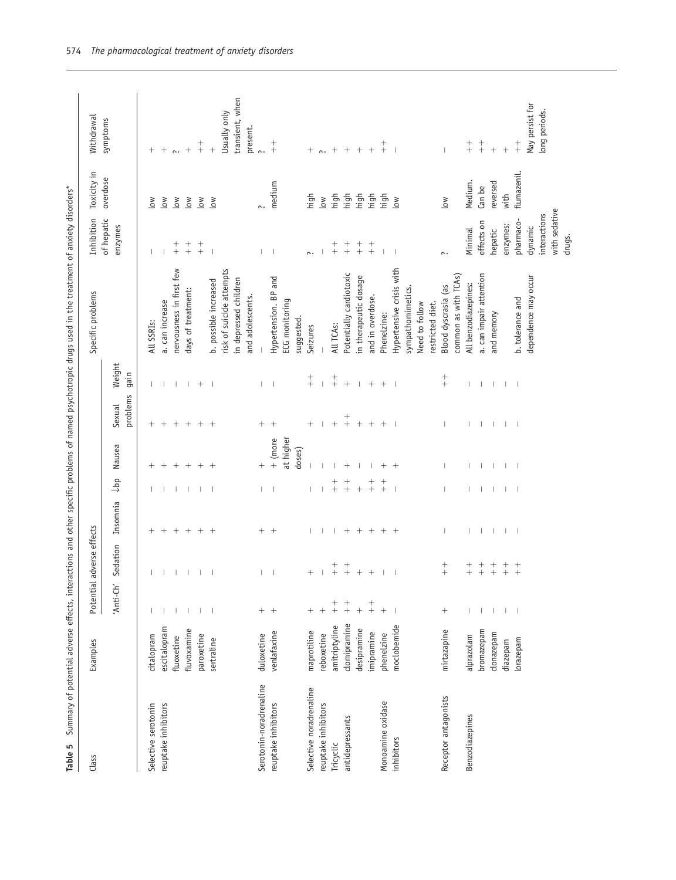| Class                   | Examples      |                          | Potential adverse effects             |              |                                           |                    |                          |                          | Specific problems        | Inhibition                            | Toxicity in   | Withdrawal               |
|-------------------------|---------------|--------------------------|---------------------------------------|--------------|-------------------------------------------|--------------------|--------------------------|--------------------------|--------------------------|---------------------------------------|---------------|--------------------------|
|                         |               | 'Anti-Ch'                | Sedation                              | Insomnia     | $\overline{\mathrm{q}}\mathrm{q}\uparrow$ | Nausea             | problems<br>Sexual       | Weight<br>gain           |                          | of hepatic<br>enzymes                 | overdose      | symptoms                 |
| Selective serotonin     | citalopram    |                          |                                       |              |                                           |                    | $^{+}$                   |                          | All SSRIs:               |                                       | $\frac{1}{2}$ | $^{+}$                   |
| reuptake inhibitors     | escitalopram  |                          |                                       | $^{+}$       |                                           | $^+$               | $^{+}$                   | $\overline{1}$           | a. can increase          |                                       | $\sim$        | $^{+}$                   |
|                         | fluoxetine    | J.                       |                                       | $^{+}$       | т.                                        | $^{+}$             | $\! + \!\!\!\!$          | $\overline{\phantom{a}}$ | nervousness in first few | $+$                                   | $\sim$        | $\sim$                   |
|                         | fluvoxamine   | $\overline{\phantom{a}}$ |                                       | $^{+}$       | $\overline{1}$                            | $^{+}$             | $^{+}$                   | $\mathbf{I}$             | days of treatment:       | $_+^+$                                | $\sim$        |                          |
|                         | paroxetine    | $\mathbf{I}$             |                                       | $^{+}$       | $\mathbf{I}$                              | $^{+}$             |                          | $\! + \!\!\!\!$          |                          | $+$                                   | $\sim$        | $+$                      |
|                         | sertraline    | - 1                      |                                       | $^{+}$       |                                           |                    | $^{+}$                   | $\overline{\phantom{a}}$ | b. possible increased    | $\overline{\phantom{a}}$              | $\sim$        | $^{+}$                   |
|                         |               |                          |                                       |              |                                           |                    |                          |                          | risk of suicide attempts |                                       |               | Usually only             |
|                         |               |                          |                                       |              |                                           |                    |                          |                          | in depressed children    |                                       |               | transient, when          |
|                         |               |                          |                                       |              |                                           |                    |                          |                          | and adolescents.         |                                       |               | present.                 |
| Serotonin-noradrenaline | duloxetine    | $^{+}$                   |                                       | $^{+}$       |                                           |                    | $^{+}$                   | $\mathbf{I}$             |                          | $\mathbf{I}$                          | $\sim$        | $\sim$                   |
| reuptake inhibitors     | venlafaxine   | $+$                      |                                       | $+$          |                                           | $+$ (more          | $^{+}$                   |                          | Hypertension. BP and     |                                       | medium        | $^{+}$<br>$^{+}$         |
|                         |               |                          |                                       |              |                                           | at higher          |                          |                          | ECG monitoring           |                                       |               |                          |
|                         |               |                          |                                       |              |                                           | doses)             |                          |                          | suggested.               |                                       |               |                          |
| Selective noradrenaline | maprotiline   | $^{+}$                   | $^{+}$                                |              | $\overline{\phantom{a}}$                  | ı                  | $^{+}$                   | $+$                      | Seizures                 | $\sim$                                | high          | $^{+}$                   |
| reuptake inhibitors     | reboxetine    | $^{+}$                   | $\overline{1}$                        | T            |                                           |                    | $\mathbf{I}$             | $\overline{1}$           |                          | 1                                     | $\geq$        | $\sim$                   |
| Tricyclic               | amitriptyline | $+$                      | $+$                                   |              | $+$                                       |                    | $\qquad \qquad +$        | $+$                      | All TCAS:                | $\begin{array}{c} + \\ + \end{array}$ | high          | $+$                      |
| antidepressants         | clomipramine  | $+$                      | $\begin{array}{c} + \\ + \end{array}$ | $^{+}$       | $+$                                       | $\hspace{0.1mm} +$ | $+$                      | $+$                      | Potentially cardiotoxic  | $\begin{array}{c} + \\ + \end{array}$ | high          | $\! + \!\!\!\!$          |
|                         | desipramine   | $\ddot{}$                | $^{+}$                                | $^{+}$       | $^{+}$                                    |                    |                          | $\overline{\phantom{a}}$ | in therapeutic dosage    | $+$                                   | high          |                          |
|                         | imipramine    | $+$                      | $+$                                   | $^{+}$       | $+$                                       |                    | $^{+}$                   | $\! + \!\!\!\!$          | and in overdose.         | $\begin{array}{c} + \\ + \end{array}$ | high          | $^{+}$                   |
| Monoamine oxidase       | phenelzine    | $^{+}$                   |                                       | $+$          | $+$                                       | $^{+}$             | $^{+}$                   | $^{+}$                   | Phenelzine:              |                                       | high          | $+$                      |
| inhibitors              | moclobemide   |                          |                                       | $^{+}$       |                                           | $^{+}$             |                          | - 1                      | Hypertensive crisis with |                                       | $\frac{1}{2}$ |                          |
|                         |               |                          |                                       |              |                                           |                    |                          |                          | sympathomimetics.        |                                       |               |                          |
|                         |               |                          |                                       |              |                                           |                    |                          |                          | Need to follow           |                                       |               |                          |
|                         |               |                          |                                       |              |                                           |                    |                          |                          | restricted diet.         |                                       |               |                          |
| Receptor antagonists    | mirtazapine   | $^{+}$                   | $\begin{array}{c} + \\ + \end{array}$ | $\mathbf{I}$ |                                           |                    | $\mathbf{I}$             | $+$                      | Blood dyscrasia (as      | $\sim$                                | $\sim$        | $\overline{\phantom{a}}$ |
|                         |               |                          |                                       |              |                                           |                    |                          |                          | common as with TCAs)     |                                       |               |                          |
| Benzodiazepines         | alprazolam    | 1                        | $+$                                   | J.           |                                           |                    | $\overline{1}$           | $\overline{\phantom{a}}$ | All benzodiazepines:     | Minimal                               | Medium.       | $+$                      |
|                         | bromazepam    |                          | $\begin{array}{c} + \\ + \end{array}$ |              |                                           |                    | -1                       | $\overline{\phantom{a}}$ | a. can impair attention  | effects on                            | Can be        | $+$                      |
|                         | clonazepam    | $\overline{\phantom{a}}$ | $\begin{array}{c} + \\ + \end{array}$ | $\mathbf{I}$ | Ш                                         |                    | $\mathbf{I}$             | $\overline{\phantom{a}}$ | and memory               | hepatic                               | reversed      | $\qquad \qquad +$        |
|                         | diazepam      | 1                        | $\begin{array}{c} + \\ + \end{array}$ | $\mathbb{I}$ | $\mathbf{I}$                              |                    | $\mathbb{I}$             | 1                        |                          | enzymes;                              | with          | $^{+}$                   |
|                         | lorazepam     |                          | $+$                                   |              |                                           |                    | $\overline{\phantom{0}}$ |                          | b. tolerance and         | pharmaco-                             | flumazenil.   | $+$                      |
|                         |               |                          |                                       |              |                                           |                    |                          |                          | dependence may occur     | dynamic                               |               | May persist for          |
|                         |               |                          |                                       |              |                                           |                    |                          |                          |                          | interactions                          |               | long periods.            |
|                         |               |                          |                                       |              |                                           |                    |                          |                          |                          | with sedative                         |               |                          |
|                         |               |                          |                                       |              |                                           |                    |                          |                          |                          | drugs.                                |               |                          |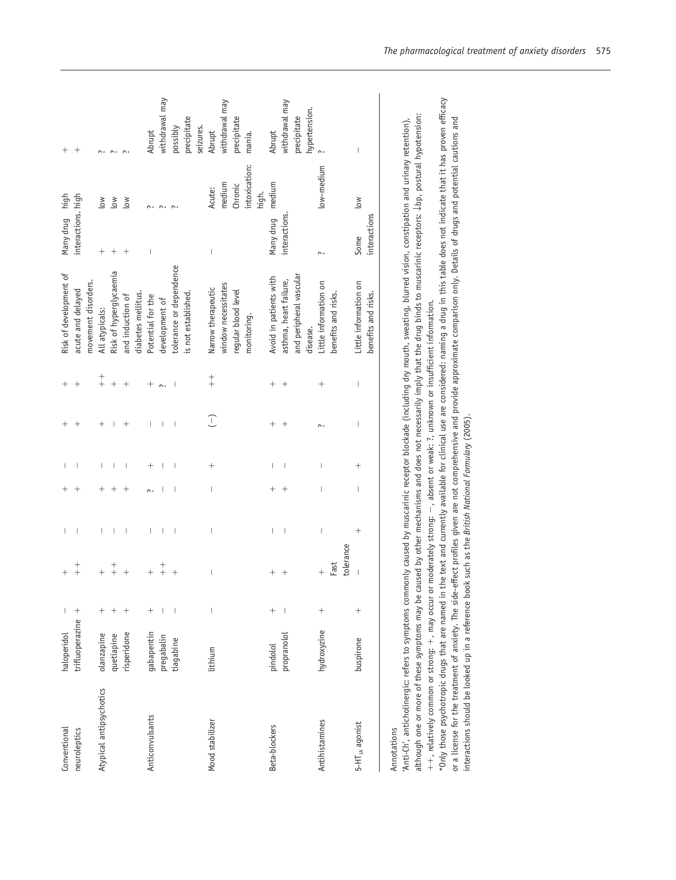| Conventional               | haloperidol               |        |                                                                                                                                                                                                                                                                                                                                                                                  | I                              |                                                                                                                                                                                                                                                                                                                                                                                  |                    |        | $\hspace{0.1mm} +$                    | Risk of development of  | Many drug          | high          |                |
|----------------------------|---------------------------|--------|----------------------------------------------------------------------------------------------------------------------------------------------------------------------------------------------------------------------------------------------------------------------------------------------------------------------------------------------------------------------------------|--------------------------------|----------------------------------------------------------------------------------------------------------------------------------------------------------------------------------------------------------------------------------------------------------------------------------------------------------------------------------------------------------------------------------|--------------------|--------|---------------------------------------|-------------------------|--------------------|---------------|----------------|
| neuroleptics               | trifluoperazine +         |        | $+$                                                                                                                                                                                                                                                                                                                                                                              | $\mid$                         |                                                                                                                                                                                                                                                                                                                                                                                  |                    |        |                                       | acute and delayed       | interactions. high |               |                |
|                            |                           |        |                                                                                                                                                                                                                                                                                                                                                                                  |                                |                                                                                                                                                                                                                                                                                                                                                                                  |                    |        |                                       | movement disorders.     |                    |               |                |
| Atypical antipsychotics    | olanzapine                |        | $^{+}$                                                                                                                                                                                                                                                                                                                                                                           | $\overline{\phantom{a}}$       |                                                                                                                                                                                                                                                                                                                                                                                  |                    | $^{+}$ | $+$                                   | All atypicals:          | $^{+}$             | $\sim$        |                |
|                            | quetiapine<br>risperidone |        | $+$                                                                                                                                                                                                                                                                                                                                                                              | I                              |                                                                                                                                                                                                                                                                                                                                                                                  |                    | I      | $^{+}$                                | Risk of hyperglycaemia  | $\hspace{0.1mm} +$ | $\sim$        |                |
|                            |                           | $^+$   | $\ddot{}$                                                                                                                                                                                                                                                                                                                                                                        | I                              |                                                                                                                                                                                                                                                                                                                                                                                  |                    |        | $\ddot{}$                             | and induction of        | $^+$               | $\sim$        |                |
|                            |                           |        |                                                                                                                                                                                                                                                                                                                                                                                  |                                |                                                                                                                                                                                                                                                                                                                                                                                  |                    |        |                                       | diabetes mellitus.      |                    |               |                |
| Anticonvulsants            | gabapentin                | $^{+}$ | $^{+}$                                                                                                                                                                                                                                                                                                                                                                           | $\overline{\phantom{a}}$       |                                                                                                                                                                                                                                                                                                                                                                                  | $\hspace{0.1mm} +$ | I      | $\hspace{0.1mm} +\hspace{0.1mm}$      | Potential for the       | I                  |               | Abrupt         |
|                            | pregabalin                |        | $_+^+$                                                                                                                                                                                                                                                                                                                                                                           | I                              |                                                                                                                                                                                                                                                                                                                                                                                  |                    |        |                                       | development of          |                    |               | withdrawal may |
|                            | tiagabine                 |        | $^{+}$                                                                                                                                                                                                                                                                                                                                                                           | $\overline{\phantom{a}}$       |                                                                                                                                                                                                                                                                                                                                                                                  |                    |        |                                       | tolerance or dependence |                    |               | possibly       |
|                            |                           |        |                                                                                                                                                                                                                                                                                                                                                                                  |                                |                                                                                                                                                                                                                                                                                                                                                                                  |                    |        |                                       | is not established.     |                    |               | precipitate    |
|                            |                           |        |                                                                                                                                                                                                                                                                                                                                                                                  |                                |                                                                                                                                                                                                                                                                                                                                                                                  |                    |        |                                       |                         |                    |               | seizures.      |
| Mood stabilizer            | lithium                   |        | $\begin{array}{c} \rule{0pt}{2.5ex} \rule{0pt}{2.5ex} \rule{0pt}{2.5ex} \rule{0pt}{2.5ex} \rule{0pt}{2.5ex} \rule{0pt}{2.5ex} \rule{0pt}{2.5ex} \rule{0pt}{2.5ex} \rule{0pt}{2.5ex} \rule{0pt}{2.5ex} \rule{0pt}{2.5ex} \rule{0pt}{2.5ex} \rule{0pt}{2.5ex} \rule{0pt}{2.5ex} \rule{0pt}{2.5ex} \rule{0pt}{2.5ex} \rule{0pt}{2.5ex} \rule{0pt}{2.5ex} \rule{0pt}{2.5ex} \rule{0$ | $\begin{array}{c} \end{array}$ | $\mid$                                                                                                                                                                                                                                                                                                                                                                           | $^{+}$             | Û      | $\begin{array}{c} + \\ + \end{array}$ | Narrow therapeutic      | $\mid$             | Acute:        | Abrupt         |
|                            |                           |        |                                                                                                                                                                                                                                                                                                                                                                                  |                                |                                                                                                                                                                                                                                                                                                                                                                                  |                    |        |                                       | window necessitates     |                    | medium        | withdrawal may |
|                            |                           |        |                                                                                                                                                                                                                                                                                                                                                                                  |                                |                                                                                                                                                                                                                                                                                                                                                                                  |                    |        |                                       | regular blood level     |                    | Chronic       | precipitate    |
|                            |                           |        |                                                                                                                                                                                                                                                                                                                                                                                  |                                |                                                                                                                                                                                                                                                                                                                                                                                  |                    |        |                                       | monitoring.             |                    | intoxication: | mania.         |
|                            |                           |        |                                                                                                                                                                                                                                                                                                                                                                                  |                                |                                                                                                                                                                                                                                                                                                                                                                                  |                    |        |                                       |                         |                    | high.         |                |
| Beta-blockers              | pindolol                  |        |                                                                                                                                                                                                                                                                                                                                                                                  | I                              |                                                                                                                                                                                                                                                                                                                                                                                  |                    |        |                                       | Avoid in patients with  | Many drug          | medium        | Abrupt         |
|                            | propranolol               |        |                                                                                                                                                                                                                                                                                                                                                                                  | $\begin{array}{c} \end{array}$ | $^+$                                                                                                                                                                                                                                                                                                                                                                             |                    |        |                                       | asthma, heart failure,  | interactions.      |               | withdrawal may |
|                            |                           |        |                                                                                                                                                                                                                                                                                                                                                                                  |                                |                                                                                                                                                                                                                                                                                                                                                                                  |                    |        |                                       | and peripheral vascular |                    |               | precipitate    |
|                            |                           |        |                                                                                                                                                                                                                                                                                                                                                                                  |                                |                                                                                                                                                                                                                                                                                                                                                                                  |                    |        |                                       | disease.                |                    |               | hypertension.  |
| Antihistamines             | hydroxyzine               | $^{+}$ |                                                                                                                                                                                                                                                                                                                                                                                  | $\mid$                         |                                                                                                                                                                                                                                                                                                                                                                                  |                    |        | $^{+}$                                | Little information on   |                    | low-medium    |                |
|                            |                           |        | Fast                                                                                                                                                                                                                                                                                                                                                                             |                                |                                                                                                                                                                                                                                                                                                                                                                                  |                    |        |                                       | benefits and risks.     |                    |               |                |
|                            |                           |        | tolerance                                                                                                                                                                                                                                                                                                                                                                        |                                |                                                                                                                                                                                                                                                                                                                                                                                  |                    |        |                                       |                         |                    |               |                |
| 5-HT <sub>14</sub> agonist | buspirone                 | $^{+}$ | $\overline{\phantom{a}}$                                                                                                                                                                                                                                                                                                                                                         | $^+$                           | $\begin{array}{c} \rule{0pt}{2.5ex} \rule{0pt}{2.5ex} \rule{0pt}{2.5ex} \rule{0pt}{2.5ex} \rule{0pt}{2.5ex} \rule{0pt}{2.5ex} \rule{0pt}{2.5ex} \rule{0pt}{2.5ex} \rule{0pt}{2.5ex} \rule{0pt}{2.5ex} \rule{0pt}{2.5ex} \rule{0pt}{2.5ex} \rule{0pt}{2.5ex} \rule{0pt}{2.5ex} \rule{0pt}{2.5ex} \rule{0pt}{2.5ex} \rule{0pt}{2.5ex} \rule{0pt}{2.5ex} \rule{0pt}{2.5ex} \rule{0$ | $^+$               | $\mid$ | $\mid$                                | Little information on   | Some               | $\geq$        | $\bigg $       |
|                            |                           |        |                                                                                                                                                                                                                                                                                                                                                                                  |                                |                                                                                                                                                                                                                                                                                                                                                                                  |                    |        |                                       | benefits and risks.     | interactions       |               |                |
|                            |                           |        |                                                                                                                                                                                                                                                                                                                                                                                  |                                |                                                                                                                                                                                                                                                                                                                                                                                  |                    |        |                                       |                         |                    |               |                |

++, relatively common or strong: +, may occur or moderately strong: -, absent or weak: ?, unknown or insufficient information.<br>\*Only those psychotropic drugs that are named in the text and currently available for clinical although one or more of these symptoms may be caused by other mechanisms and does not necessarily imply that the drug binds to muscarinic receptors: Jop, postural hypotension: although one or more of these symptoms may be caused by other mechanisms and does not necessarily imply that the drug binds to muscarinic receptors: ↓bp, postural hypotension: 'Anti-Ch', anticholinergic: refers to symptoms commonly caused by muscarinic receptor blockade (including dry mouth, sweating, blurred vision, constipation and urinary retention), 'Anti-Ch', anticholinergic: refers to symptoms commonly caused by muscarinic receptor blockade (including dry mouth, sweating, blurred vision, constipation and urinary retention), , relatively common or strong: , may occur or moderately strong: , absent or weak: ?, unknown or insufficient information.

 $*$ Only those psychotropic drugs that are named in the text and currently available for clinical use are considered: naming a drug in this table does not indicate that it has proven efficacy or a license for the treatment of anxiety. The side-effect profiles given are not comprehensive and provide approximate comparison only. Details of drugs and potential cautions and or a license for the treatment of anxiety. The side-effect profiles given are not comprehensive and provide approximate comparison only. Details of drugs and potential cautions and interactions should be looked up in a reference book such as the British National Formulary (2005). interactions should be looked up in a reference book such as the *British National Formulary* (2005).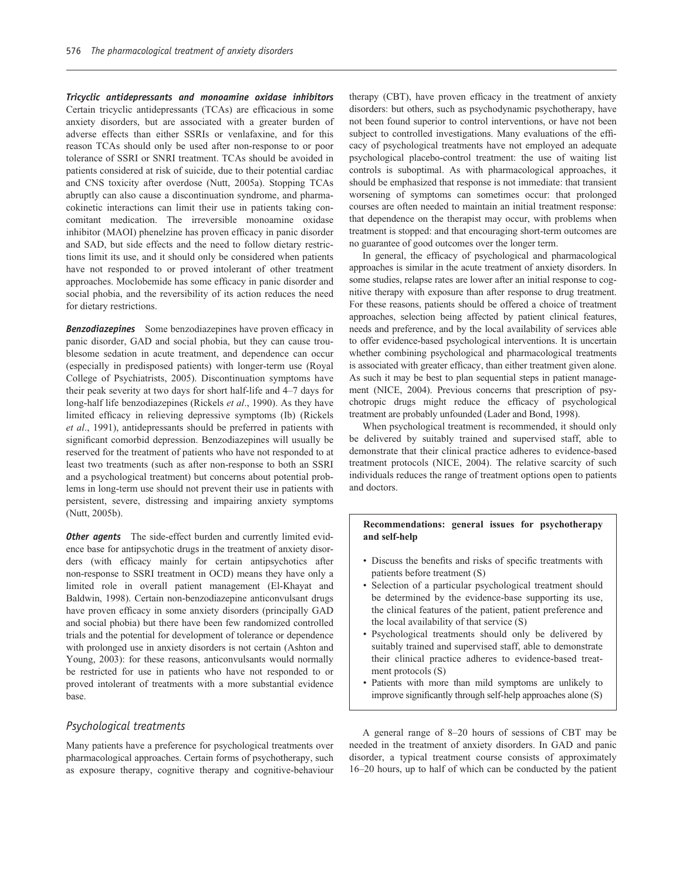*Tricyclic antidepressants and monoamine oxidase inhibitors* Certain tricyclic antidepressants (TCAs) are efficacious in some anxiety disorders, but are associated with a greater burden of adverse effects than either SSRIs or venlafaxine, and for this reason TCAs should only be used after non-response to or poor tolerance of SSRI or SNRI treatment. TCAs should be avoided in patients considered at risk of suicide, due to their potential cardiac and CNS toxicity after overdose (Nutt, 2005a). Stopping TCAs abruptly can also cause a discontinuation syndrome, and pharmacokinetic interactions can limit their use in patients taking concomitant medication. The irreversible monoamine oxidase inhibitor (MAOI) phenelzine has proven efficacy in panic disorder and SAD, but side effects and the need to follow dietary restrictions limit its use, and it should only be considered when patients have not responded to or proved intolerant of other treatment approaches. Moclobemide has some efficacy in panic disorder and social phobia, and the reversibility of its action reduces the need for dietary restrictions.

*Benzodiazepines* Some benzodiazepines have proven efficacy in panic disorder, GAD and social phobia, but they can cause troublesome sedation in acute treatment, and dependence can occur (especially in predisposed patients) with longer-term use (Royal College of Psychiatrists, 2005). Discontinuation symptoms have their peak severity at two days for short half-life and 4–7 days for long-half life benzodiazepines (Rickels *et al*., 1990). As they have limited efficacy in relieving depressive symptoms (Ib) (Rickels *et al*., 1991), antidepressants should be preferred in patients with significant comorbid depression. Benzodiazepines will usually be reserved for the treatment of patients who have not responded to at least two treatments (such as after non-response to both an SSRI and a psychological treatment) but concerns about potential problems in long-term use should not prevent their use in patients with persistent, severe, distressing and impairing anxiety symptoms (Nutt, 2005b).

**Other agents** The side-effect burden and currently limited evidence base for antipsychotic drugs in the treatment of anxiety disorders (with efficacy mainly for certain antipsychotics after non-response to SSRI treatment in OCD) means they have only a limited role in overall patient management (El-Khayat and Baldwin, 1998). Certain non-benzodiazepine anticonvulsant drugs have proven efficacy in some anxiety disorders (principally GAD and social phobia) but there have been few randomized controlled trials and the potential for development of tolerance or dependence with prolonged use in anxiety disorders is not certain (Ashton and Young, 2003): for these reasons, anticonvulsants would normally be restricted for use in patients who have not responded to or proved intolerant of treatments with a more substantial evidence base.

## *Psychological treatments*

Many patients have a preference for psychological treatments over pharmacological approaches. Certain forms of psychotherapy, such as exposure therapy, cognitive therapy and cognitive-behaviour therapy (CBT), have proven efficacy in the treatment of anxiety disorders: but others, such as psychodynamic psychotherapy, have not been found superior to control interventions, or have not been subject to controlled investigations. Many evaluations of the efficacy of psychological treatments have not employed an adequate psychological placebo-control treatment: the use of waiting list controls is suboptimal. As with pharmacological approaches, it should be emphasized that response is not immediate: that transient worsening of symptoms can sometimes occur: that prolonged courses are often needed to maintain an initial treatment response: that dependence on the therapist may occur, with problems when treatment is stopped: and that encouraging short-term outcomes are no guarantee of good outcomes over the longer term.

In general, the efficacy of psychological and pharmacological approaches is similar in the acute treatment of anxiety disorders. In some studies, relapse rates are lower after an initial response to cognitive therapy with exposure than after response to drug treatment. For these reasons, patients should be offered a choice of treatment approaches, selection being affected by patient clinical features, needs and preference, and by the local availability of services able to offer evidence-based psychological interventions. It is uncertain whether combining psychological and pharmacological treatments is associated with greater efficacy, than either treatment given alone. As such it may be best to plan sequential steps in patient management (NICE, 2004). Previous concerns that prescription of psychotropic drugs might reduce the efficacy of psychological treatment are probably unfounded (Lader and Bond, 1998).

When psychological treatment is recommended, it should only be delivered by suitably trained and supervised staff, able to demonstrate that their clinical practice adheres to evidence-based treatment protocols (NICE, 2004). The relative scarcity of such individuals reduces the range of treatment options open to patients and doctors.

## **Recommendations: general issues for psychotherapy and self-help**

- Discuss the benefits and risks of specific treatments with patients before treatment (S)
- Selection of a particular psychological treatment should be determined by the evidence-base supporting its use, the clinical features of the patient, patient preference and the local availability of that service (S)
- Psychological treatments should only be delivered by suitably trained and supervised staff, able to demonstrate their clinical practice adheres to evidence-based treatment protocols (S)
- Patients with more than mild symptoms are unlikely to improve significantly through self-help approaches alone (S)

A general range of 8–20 hours of sessions of CBT may be needed in the treatment of anxiety disorders. In GAD and panic disorder, a typical treatment course consists of approximately 16–20 hours, up to half of which can be conducted by the patient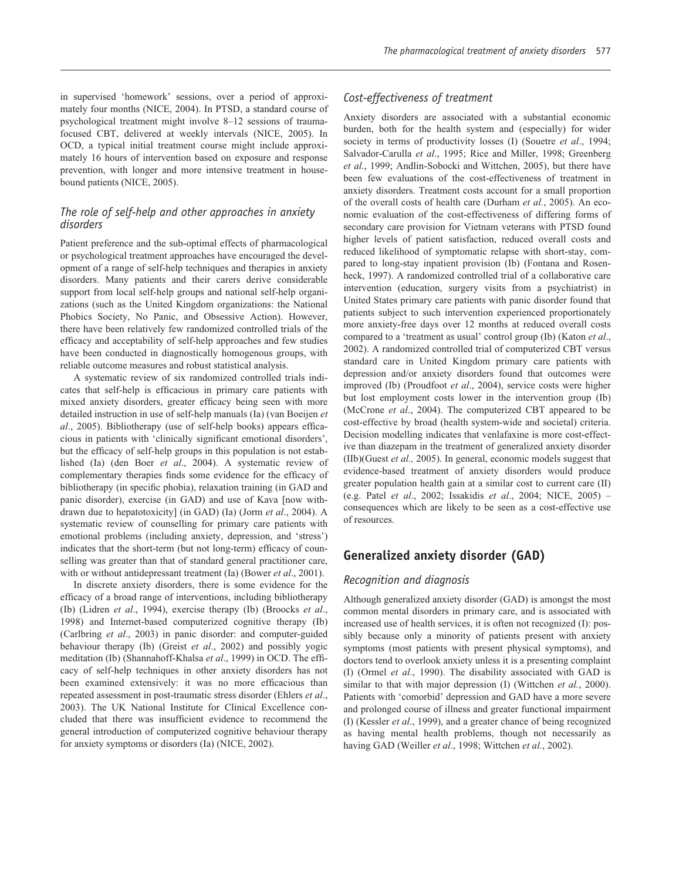in supervised 'homework' sessions, over a period of approximately four months (NICE, 2004). In PTSD, a standard course of psychological treatment might involve 8–12 sessions of traumafocused CBT, delivered at weekly intervals (NICE, 2005). In OCD, a typical initial treatment course might include approximately 16 hours of intervention based on exposure and response prevention, with longer and more intensive treatment in housebound patients (NICE, 2005).

## *The role of self-help and other approaches in anxiety disorders*

Patient preference and the sub-optimal effects of pharmacological or psychological treatment approaches have encouraged the development of a range of self-help techniques and therapies in anxiety disorders. Many patients and their carers derive considerable support from local self-help groups and national self-help organizations (such as the United Kingdom organizations: the National Phobics Society, No Panic, and Obsessive Action). However, there have been relatively few randomized controlled trials of the efficacy and acceptability of self-help approaches and few studies have been conducted in diagnostically homogenous groups, with reliable outcome measures and robust statistical analysis.

A systematic review of six randomized controlled trials indicates that self-help is efficacious in primary care patients with mixed anxiety disorders, greater efficacy being seen with more detailed instruction in use of self-help manuals (Ia) (van Boeijen *et al*., 2005). Bibliotherapy (use of self-help books) appears efficacious in patients with 'clinically significant emotional disorders', but the efficacy of self-help groups in this population is not established (Ia) (den Boer *et al*., 2004). A systematic review of complementary therapies finds some evidence for the efficacy of bibliotherapy (in specific phobia), relaxation training (in GAD and panic disorder), exercise (in GAD) and use of Kava [now withdrawn due to hepatotoxicity] (in GAD) (Ia) (Jorm *et al*., 2004). A systematic review of counselling for primary care patients with emotional problems (including anxiety, depression, and 'stress') indicates that the short-term (but not long-term) efficacy of counselling was greater than that of standard general practitioner care, with or without antidepressant treatment (Ia) (Bower *et al*., 2001).

In discrete anxiety disorders, there is some evidence for the efficacy of a broad range of interventions, including bibliotherapy (Ib) (Lidren *et al*., 1994), exercise therapy (Ib) (Broocks *et al*., 1998) and Internet-based computerized cognitive therapy (Ib) (Carlbring *et al*., 2003) in panic disorder: and computer-guided behaviour therapy (Ib) (Greist *et al*., 2002) and possibly yogic meditation (Ib) (Shannahoff-Khalsa *et al*., 1999) in OCD. The efficacy of self-help techniques in other anxiety disorders has not been examined extensively: it was no more efficacious than repeated assessment in post-traumatic stress disorder (Ehlers *et al*., 2003). The UK National Institute for Clinical Excellence concluded that there was insufficient evidence to recommend the general introduction of computerized cognitive behaviour therapy for anxiety symptoms or disorders (Ia) (NICE, 2002).

## *Cost-effectiveness of treatment*

Anxiety disorders are associated with a substantial economic burden, both for the health system and (especially) for wider society in terms of productivity losses (I) (Souetre *et al*., 1994; Salvador-Carulla *et al*., 1995; Rice and Miller, 1998; Greenberg *et al*., 1999; Andlin-Sobocki and Wittchen, 2005), but there have been few evaluations of the cost-effectiveness of treatment in anxiety disorders. Treatment costs account for a small proportion of the overall costs of health care (Durham *et al.*, 2005). An economic evaluation of the cost-effectiveness of differing forms of secondary care provision for Vietnam veterans with PTSD found higher levels of patient satisfaction, reduced overall costs and reduced likelihood of symptomatic relapse with short-stay, compared to long-stay inpatient provision (Ib) (Fontana and Rosenheck, 1997). A randomized controlled trial of a collaborative care intervention (education, surgery visits from a psychiatrist) in United States primary care patients with panic disorder found that patients subject to such intervention experienced proportionately more anxiety-free days over 12 months at reduced overall costs compared to a 'treatment as usual' control group (Ib) (Katon *et al*., 2002). A randomized controlled trial of computerized CBT versus standard care in United Kingdom primary care patients with depression and/or anxiety disorders found that outcomes were improved (Ib) (Proudfoot *et al*., 2004), service costs were higher but lost employment costs lower in the intervention group (Ib) (McCrone *et al*., 2004). The computerized CBT appeared to be cost-effective by broad (health system-wide and societal) criteria. Decision modelling indicates that venlafaxine is more cost-effective than diazepam in the treatment of generalized anxiety disorder (IIb)(Guest *et al.,* 2005). In general, economic models suggest that evidence-based treatment of anxiety disorders would produce greater population health gain at a similar cost to current care (II) (e.g. Patel *et al*., 2002; Issakidis *et al*., 2004; NICE, 2005) – consequences which are likely to be seen as a cost-effective use of resources.

## **Generalized anxiety disorder (GAD)**

## *Recognition and diagnosis*

Although generalized anxiety disorder (GAD) is amongst the most common mental disorders in primary care, and is associated with increased use of health services, it is often not recognized (I): possibly because only a minority of patients present with anxiety symptoms (most patients with present physical symptoms), and doctors tend to overlook anxiety unless it is a presenting complaint (I) (Ormel *et al*., 1990). The disability associated with GAD is similar to that with major depression (I) (Wittchen *et al.*, 2000). Patients with 'comorbid' depression and GAD have a more severe and prolonged course of illness and greater functional impairment (I) (Kessler *et al*., 1999), and a greater chance of being recognized as having mental health problems, though not necessarily as having GAD (Weiller *et al*., 1998; Wittchen *et al.*, 2002).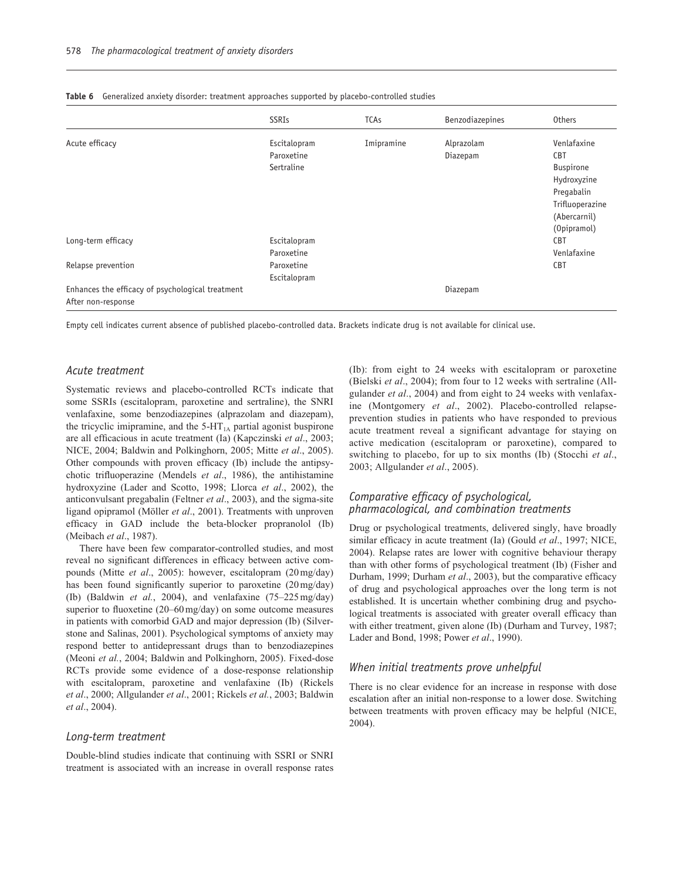|                                                                        | <b>SSRIs</b>                             | <b>TCAs</b> | Benzodiazepines        | Others                                                                                                                |
|------------------------------------------------------------------------|------------------------------------------|-------------|------------------------|-----------------------------------------------------------------------------------------------------------------------|
| Acute efficacy                                                         | Escitalopram<br>Paroxetine<br>Sertraline | Imipramine  | Alprazolam<br>Diazepam | Venlafaxine<br>CBT<br><b>Buspirone</b><br>Hydroxyzine<br>Pregabalin<br>Trifluoperazine<br>(Abercarnil)<br>(Opipramol) |
| Long-term efficacy                                                     | Escitalopram                             |             |                        | CBT                                                                                                                   |
| Relapse prevention                                                     | Paroxetine<br>Paroxetine<br>Escitalopram |             |                        | Venlafaxine<br>CBT                                                                                                    |
| Enhances the efficacy of psychological treatment<br>After non-response |                                          |             | Diazepam               |                                                                                                                       |

**Table 6** Generalized anxiety disorder: treatment approaches supported by placebo-controlled studies

Empty cell indicates current absence of published placebo-controlled data. Brackets indicate drug is not available for clinical use.

## *Acute treatment*

Systematic reviews and placebo-controlled RCTs indicate that some SSRIs (escitalopram, paroxetine and sertraline), the SNRI venlafaxine, some benzodiazepines (alprazolam and diazepam), the tricyclic imipramine, and the  $5-HT<sub>1A</sub>$  partial agonist buspirone are all efficacious in acute treatment (Ia) (Kapczinski *et al*., 2003; NICE, 2004; Baldwin and Polkinghorn, 2005; Mitte *et al*., 2005). Other compounds with proven efficacy (Ib) include the antipsychotic trifluoperazine (Mendels *et al*., 1986), the antihistamine hydroxyzine (Lader and Scotto, 1998; Llorca *et al*., 2002), the anticonvulsant pregabalin (Feltner *et al*., 2003), and the sigma-site ligand opipramol (Möller *et al*., 2001). Treatments with unproven efficacy in GAD include the beta-blocker propranolol (Ib) (Meibach *et al*., 1987).

There have been few comparator-controlled studies, and most reveal no significant differences in efficacy between active compounds (Mitte *et al*., 2005): however, escitalopram (20 mg/day) has been found significantly superior to paroxetine (20 mg/day) (Ib) (Baldwin *et al.*, 2004), and venlafaxine (75–225 mg/day) superior to fluoxetine (20–60 mg/day) on some outcome measures in patients with comorbid GAD and major depression (Ib) (Silverstone and Salinas, 2001). Psychological symptoms of anxiety may respond better to antidepressant drugs than to benzodiazepines (Meoni *et al.*, 2004; Baldwin and Polkinghorn, 2005). Fixed-dose RCTs provide some evidence of a dose-response relationship with escitalopram, paroxetine and venlafaxine (Ib) (Rickels *et al*., 2000; Allgulander *et al*., 2001; Rickels *et al.*, 2003; Baldwin *et al*., 2004).

#### *Long-term treatment*

Double-blind studies indicate that continuing with SSRI or SNRI treatment is associated with an increase in overall response rates (Ib): from eight to 24 weeks with escitalopram or paroxetine (Bielski *et al*., 2004); from four to 12 weeks with sertraline (Allgulander *et al*., 2004) and from eight to 24 weeks with venlafaxine (Montgomery *et al*., 2002). Placebo-controlled relapseprevention studies in patients who have responded to previous acute treatment reveal a significant advantage for staying on active medication (escitalopram or paroxetine), compared to switching to placebo, for up to six months (Ib) (Stocchi *et al*., 2003; Allgulander *et al*., 2005).

## *Comparative efficacy of psychological, pharmacological, and combination treatments*

Drug or psychological treatments, delivered singly, have broadly similar efficacy in acute treatment (Ia) (Gould *et al*., 1997; NICE, 2004). Relapse rates are lower with cognitive behaviour therapy than with other forms of psychological treatment (Ib) (Fisher and Durham, 1999; Durham *et al*., 2003), but the comparative efficacy of drug and psychological approaches over the long term is not established. It is uncertain whether combining drug and psychological treatments is associated with greater overall efficacy than with either treatment, given alone (Ib) (Durham and Turvey, 1987; Lader and Bond, 1998; Power *et al*., 1990).

## *When initial treatments prove unhelpful*

There is no clear evidence for an increase in response with dose escalation after an initial non-response to a lower dose. Switching between treatments with proven efficacy may be helpful (NICE, 2004).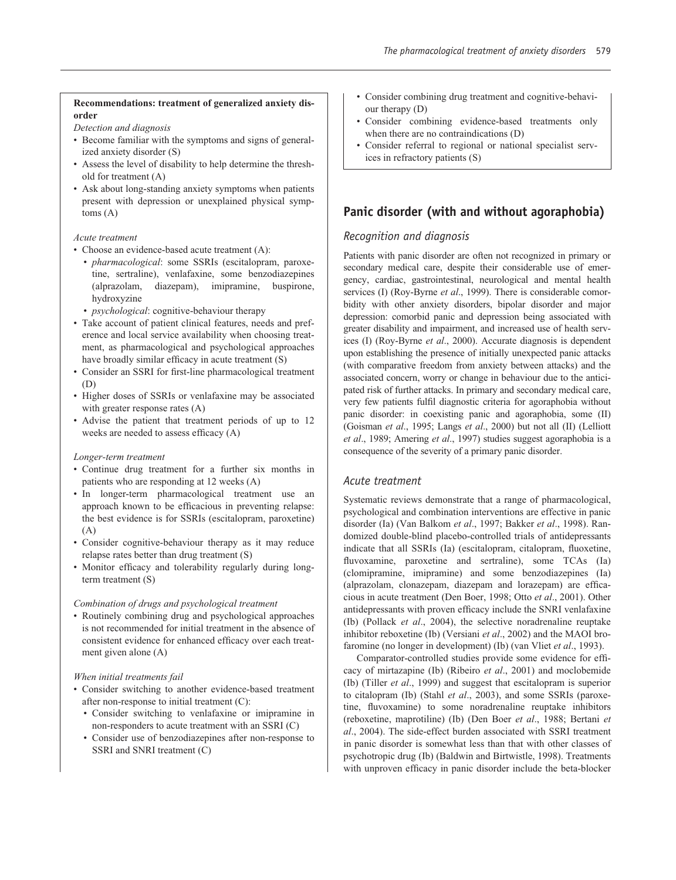### **Recommendations: treatment of generalized anxiety disorder**

*Detection and diagnosis*

- Become familiar with the symptoms and signs of generalized anxiety disorder (S)
- Assess the level of disability to help determine the threshold for treatment (A)
- Ask about long-standing anxiety symptoms when patients present with depression or unexplained physical symptoms (A)

#### *Acute treatment*

- Choose an evidence-based acute treatment (A):
	- *pharmacological*: some SSRIs (escitalopram, paroxetine, sertraline), venlafaxine, some benzodiazepines (alprazolam, diazepam), imipramine, buspirone, hydroxyzine
	- *psychological*: cognitive-behaviour therapy
- Take account of patient clinical features, needs and preference and local service availability when choosing treatment, as pharmacological and psychological approaches have broadly similar efficacy in acute treatment (S)
- Consider an SSRI for first-line pharmacological treatment  $(D)$
- Higher doses of SSRIs or venlafaxine may be associated with greater response rates (A)
- Advise the patient that treatment periods of up to 12 weeks are needed to assess efficacy (A)

#### *Longer-term treatment*

- Continue drug treatment for a further six months in patients who are responding at 12 weeks (A)
- In longer-term pharmacological treatment use an approach known to be efficacious in preventing relapse: the best evidence is for SSRIs (escitalopram, paroxetine) (A)
- Consider cognitive-behaviour therapy as it may reduce relapse rates better than drug treatment (S)
- Monitor efficacy and tolerability regularly during longterm treatment (S)

#### *Combination of drugs and psychological treatment*

• Routinely combining drug and psychological approaches is not recommended for initial treatment in the absence of consistent evidence for enhanced efficacy over each treatment given alone (A)

#### *When initial treatments fail*

- Consider switching to another evidence-based treatment after non-response to initial treatment (C):
	- Consider switching to venlafaxine or imipramine in non-responders to acute treatment with an SSRI (C)
	- Consider use of benzodiazepines after non-response to SSRI and SNRI treatment (C)
- Consider combining drug treatment and cognitive-behaviour therapy (D)
- Consider combining evidence-based treatments only when there are no contraindications (D)
- Consider referral to regional or national specialist services in refractory patients (S)

## **Panic disorder (with and without agoraphobia)**

## *Recognition and diagnosis*

Patients with panic disorder are often not recognized in primary or secondary medical care, despite their considerable use of emergency, cardiac, gastrointestinal, neurological and mental health services (I) (Roy-Byrne *et al*., 1999). There is considerable comorbidity with other anxiety disorders, bipolar disorder and major depression: comorbid panic and depression being associated with greater disability and impairment, and increased use of health services (I) (Roy-Byrne *et al*., 2000). Accurate diagnosis is dependent upon establishing the presence of initially unexpected panic attacks (with comparative freedom from anxiety between attacks) and the associated concern, worry or change in behaviour due to the anticipated risk of further attacks. In primary and secondary medical care, very few patients fulfil diagnostic criteria for agoraphobia without panic disorder: in coexisting panic and agoraphobia, some (II) (Goisman *et al*., 1995; Langs *et al*., 2000) but not all (II) (Lelliott *et al*., 1989; Amering *et al*., 1997) studies suggest agoraphobia is a consequence of the severity of a primary panic disorder.

#### *Acute treatment*

Systematic reviews demonstrate that a range of pharmacological, psychological and combination interventions are effective in panic disorder (Ia) (Van Balkom *et al*., 1997; Bakker *et al*., 1998). Randomized double-blind placebo-controlled trials of antidepressants indicate that all SSRIs (Ia) (escitalopram, citalopram, fluoxetine, fluvoxamine, paroxetine and sertraline), some TCAs (Ia) (clomipramine, imipramine) and some benzodiazepines (Ia) (alprazolam, clonazepam, diazepam and lorazepam) are efficacious in acute treatment (Den Boer, 1998; Otto *et al*., 2001). Other antidepressants with proven efficacy include the SNRI venlafaxine (Ib) (Pollack *et al*., 2004), the selective noradrenaline reuptake inhibitor reboxetine (Ib) (Versiani *et al*., 2002) and the MAOI brofaromine (no longer in development) (Ib) (van Vliet *et al*., 1993).

Comparator-controlled studies provide some evidence for efficacy of mirtazapine (Ib) (Ribeiro *et al*., 2001) and moclobemide (Ib) (Tiller *et al*., 1999) and suggest that escitalopram is superior to citalopram (Ib) (Stahl *et al*., 2003), and some SSRIs (paroxetine, fluvoxamine) to some noradrenaline reuptake inhibitors (reboxetine, maprotiline) (Ib) (Den Boer *et al*., 1988; Bertani *et al*., 2004). The side-effect burden associated with SSRI treatment in panic disorder is somewhat less than that with other classes of psychotropic drug (Ib) (Baldwin and Birtwistle, 1998). Treatments with unproven efficacy in panic disorder include the beta-blocker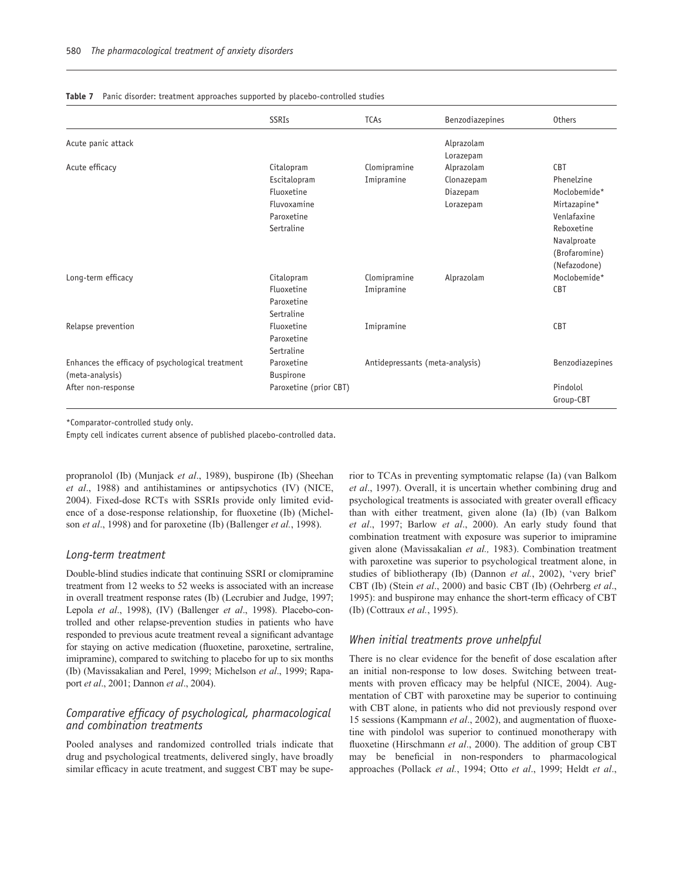|                                                                     | <b>SSRIs</b>                                                                        | <b>TCAs</b>                     | Benzodiazepines                                   | Others                                                                                                         |
|---------------------------------------------------------------------|-------------------------------------------------------------------------------------|---------------------------------|---------------------------------------------------|----------------------------------------------------------------------------------------------------------------|
| Acute panic attack                                                  |                                                                                     |                                 | Alprazolam<br>Lorazepam                           |                                                                                                                |
| Acute efficacy                                                      | Citalopram<br>Escitalopram<br>Fluoxetine<br>Fluvoxamine<br>Paroxetine<br>Sertraline | Clomipramine<br>Imipramine      | Alprazolam<br>Clonazepam<br>Diazepam<br>Lorazepam | CBT<br>Phenelzine<br>Moclobemide*<br>Mirtazapine*<br>Venlafaxine<br>Reboxetine<br>Navalproate<br>(Brofaromine) |
| Long-term efficacy                                                  | Citalopram<br>Fluoxetine<br>Paroxetine<br>Sertraline                                | Clomipramine<br>Imipramine      | Alprazolam                                        | (Nefazodone)<br>Moclobemide*<br><b>CBT</b>                                                                     |
| Relapse prevention                                                  | Fluoxetine<br>Paroxetine<br>Sertraline                                              | Imipramine                      |                                                   | CBT                                                                                                            |
| Enhances the efficacy of psychological treatment<br>(meta-analysis) | Paroxetine<br><b>Buspirone</b>                                                      | Antidepressants (meta-analysis) |                                                   | Benzodiazepines                                                                                                |
| After non-response                                                  | Paroxetine (prior CBT)                                                              |                                 |                                                   | Pindolol<br>Group-CBT                                                                                          |

#### **Table 7** Panic disorder: treatment approaches supported by placebo-controlled studies

\*Comparator-controlled study only.

Empty cell indicates current absence of published placebo-controlled data.

propranolol (Ib) (Munjack *et al*., 1989), buspirone (Ib) (Sheehan *et al*., 1988) and antihistamines or antipsychotics (IV) (NICE, 2004). Fixed-dose RCTs with SSRIs provide only limited evidence of a dose-response relationship, for fluoxetine (Ib) (Michelson *et al*., 1998) and for paroxetine (Ib) (Ballenger *et al.*, 1998).

#### *Long-term treatment*

Double-blind studies indicate that continuing SSRI or clomipramine treatment from 12 weeks to 52 weeks is associated with an increase in overall treatment response rates (Ib) (Lecrubier and Judge, 1997; Lepola *et al*., 1998), (IV) (Ballenger *et al*., 1998). Placebo-controlled and other relapse-prevention studies in patients who have responded to previous acute treatment reveal a significant advantage for staying on active medication (fluoxetine, paroxetine, sertraline, imipramine), compared to switching to placebo for up to six months (Ib) (Mavissakalian and Perel, 1999; Michelson *et al*., 1999; Rapaport *et al*., 2001; Dannon *et al*., 2004).

## *Comparative efficacy of psychological, pharmacological and combination treatments*

Pooled analyses and randomized controlled trials indicate that drug and psychological treatments, delivered singly, have broadly similar efficacy in acute treatment, and suggest CBT may be superior to TCAs in preventing symptomatic relapse (Ia) (van Balkom *et al*., 1997). Overall, it is uncertain whether combining drug and psychological treatments is associated with greater overall efficacy than with either treatment, given alone (Ia) (Ib) (van Balkom *et al*., 1997; Barlow *et al*., 2000). An early study found that combination treatment with exposure was superior to imipramine given alone (Mavissakalian *et al.,* 1983). Combination treatment with paroxetine was superior to psychological treatment alone, in studies of bibliotherapy (Ib) (Dannon *et al.*, 2002), 'very brief' CBT (Ib) (Stein *et al*., 2000) and basic CBT (Ib) (Oehrberg *et al*., 1995): and buspirone may enhance the short-term efficacy of CBT (Ib) (Cottraux *et al.*, 1995).

## *When initial treatments prove unhelpful*

There is no clear evidence for the benefit of dose escalation after an initial non-response to low doses. Switching between treatments with proven efficacy may be helpful (NICE, 2004). Augmentation of CBT with paroxetine may be superior to continuing with CBT alone, in patients who did not previously respond over 15 sessions (Kampmann *et al*., 2002), and augmentation of fluoxetine with pindolol was superior to continued monotherapy with fluoxetine (Hirschmann *et al*., 2000). The addition of group CBT may be beneficial in non-responders to pharmacological approaches (Pollack *et al.*, 1994; Otto *et al*., 1999; Heldt *et al*.,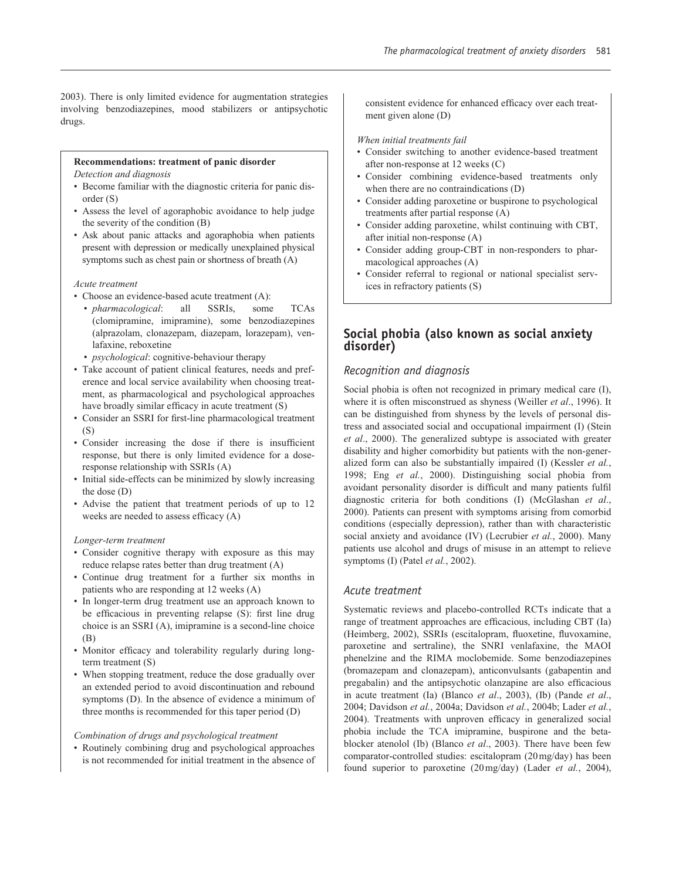2003). There is only limited evidence for augmentation strategies involving benzodiazepines, mood stabilizers or antipsychotic drugs.

## **Recommendations: treatment of panic disorder**

*Detection and diagnosis*

- Become familiar with the diagnostic criteria for panic disorder (S)
- Assess the level of agoraphobic avoidance to help judge the severity of the condition (B)
- Ask about panic attacks and agoraphobia when patients present with depression or medically unexplained physical symptoms such as chest pain or shortness of breath (A)

#### *Acute treatment*

- Choose an evidence-based acute treatment (A):
- *pharmacological*: all SSRIs, some TCAs (clomipramine, imipramine), some benzodiazepines (alprazolam, clonazepam, diazepam, lorazepam), venlafaxine, reboxetine
- *psychological*: cognitive-behaviour therapy
- Take account of patient clinical features, needs and preference and local service availability when choosing treatment, as pharmacological and psychological approaches have broadly similar efficacy in acute treatment (S)
- Consider an SSRI for first-line pharmacological treatment  $(S)$
- Consider increasing the dose if there is insufficient response, but there is only limited evidence for a doseresponse relationship with SSRIs (A)
- Initial side-effects can be minimized by slowly increasing the dose (D)
- Advise the patient that treatment periods of up to 12 weeks are needed to assess efficacy (A)

#### *Longer-term treatment*

- Consider cognitive therapy with exposure as this may reduce relapse rates better than drug treatment (A)
- Continue drug treatment for a further six months in patients who are responding at 12 weeks (A)
- In longer-term drug treatment use an approach known to be efficacious in preventing relapse (S): first line drug choice is an SSRI (A), imipramine is a second-line choice (B)
- Monitor efficacy and tolerability regularly during longterm treatment (S)
- When stopping treatment, reduce the dose gradually over an extended period to avoid discontinuation and rebound symptoms (D). In the absence of evidence a minimum of three months is recommended for this taper period (D)

#### *Combination of drugs and psychological treatment*

• Routinely combining drug and psychological approaches is not recommended for initial treatment in the absence of consistent evidence for enhanced efficacy over each treatment given alone (D)

#### *When initial treatments fail*

- Consider switching to another evidence-based treatment after non-response at 12 weeks (C)
- Consider combining evidence-based treatments only when there are no contraindications (D)
- Consider adding paroxetine or buspirone to psychological treatments after partial response (A)
- Consider adding paroxetine, whilst continuing with CBT, after initial non-response (A)
- Consider adding group-CBT in non-responders to pharmacological approaches (A)
- Consider referral to regional or national specialist services in refractory patients (S)

## **Social phobia (also known as social anxiety disorder)**

## *Recognition and diagnosis*

Social phobia is often not recognized in primary medical care (I), where it is often misconstrued as shyness (Weiller *et al*., 1996). It can be distinguished from shyness by the levels of personal distress and associated social and occupational impairment (I) (Stein *et al*., 2000). The generalized subtype is associated with greater disability and higher comorbidity but patients with the non-generalized form can also be substantially impaired (I) (Kessler *et al.*, 1998; Eng *et al.*, 2000). Distinguishing social phobia from avoidant personality disorder is difficult and many patients fulfil diagnostic criteria for both conditions (I) (McGlashan *et al*., 2000). Patients can present with symptoms arising from comorbid conditions (especially depression), rather than with characteristic social anxiety and avoidance (IV) (Lecrubier *et al.*, 2000). Many patients use alcohol and drugs of misuse in an attempt to relieve symptoms (I) (Patel *et al.*, 2002).

## *Acute treatment*

Systematic reviews and placebo-controlled RCTs indicate that a range of treatment approaches are efficacious, including CBT (Ia) (Heimberg, 2002), SSRIs (escitalopram, fluoxetine, fluvoxamine, paroxetine and sertraline), the SNRI venlafaxine, the MAOI phenelzine and the RIMA moclobemide. Some benzodiazepines (bromazepam and clonazepam), anticonvulsants (gabapentin and pregabalin) and the antipsychotic olanzapine are also efficacious in acute treatment (Ia) (Blanco *et al*., 2003), (Ib) (Pande *et al*., 2004; Davidson *et al.*, 2004a; Davidson *et al.*, 2004b; Lader *et al.*, 2004). Treatments with unproven efficacy in generalized social phobia include the TCA imipramine, buspirone and the betablocker atenolol (Ib) (Blanco *et al*., 2003). There have been few comparator-controlled studies: escitalopram (20 mg/day) has been found superior to paroxetine (20 mg/day) (Lader *et al.*, 2004),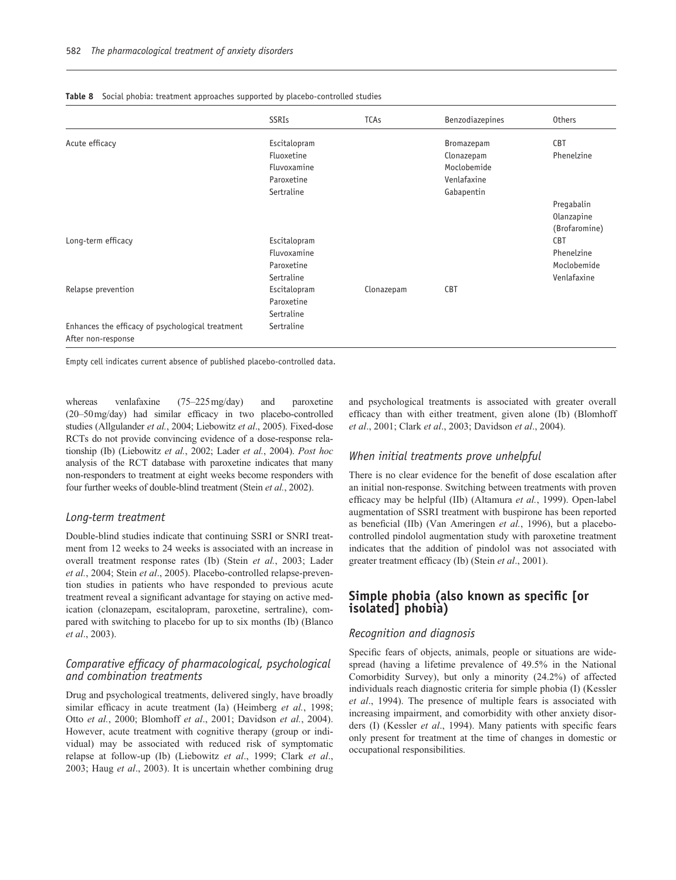|                                                  | <b>SSRIs</b> | <b>TCAs</b> | Benzodiazepines | Others        |
|--------------------------------------------------|--------------|-------------|-----------------|---------------|
| Acute efficacy                                   | Escitalopram |             | Bromazepam      | CBT           |
|                                                  | Fluoxetine   |             | Clonazepam      | Phenelzine    |
|                                                  | Fluvoxamine  |             | Moclobemide     |               |
|                                                  | Paroxetine   |             | Venlafaxine     |               |
|                                                  | Sertraline   |             | Gabapentin      |               |
|                                                  |              |             |                 | Pregabalin    |
|                                                  |              |             |                 | Olanzapine    |
|                                                  |              |             |                 | (Brofaromine) |
| Long-term efficacy                               | Escitalopram |             |                 | <b>CBT</b>    |
|                                                  | Fluvoxamine  |             |                 | Phenelzine    |
|                                                  | Paroxetine   |             |                 | Moclobemide   |
|                                                  | Sertraline   |             |                 | Venlafaxine   |
| Relapse prevention                               | Escitalopram | Clonazepam  | CBT             |               |
|                                                  | Paroxetine   |             |                 |               |
|                                                  | Sertraline   |             |                 |               |
| Enhances the efficacy of psychological treatment | Sertraline   |             |                 |               |
| After non-response                               |              |             |                 |               |

**Table 8** Social phobia: treatment approaches supported by placebo-controlled studies

Empty cell indicates current absence of published placebo-controlled data.

whereas venlafaxine (75–225 mg/day) and paroxetine (20–50mg/day) had similar efficacy in two placebo-controlled studies (Allgulander *et al.*, 2004; Liebowitz *et al*., 2005). Fixed-dose RCTs do not provide convincing evidence of a dose-response relationship (Ib) (Liebowitz *et al.*, 2002; Lader *et al.*, 2004). *Post hoc* analysis of the RCT database with paroxetine indicates that many non-responders to treatment at eight weeks become responders with four further weeks of double-blind treatment (Stein *et al.*, 2002).

#### *Long-term treatment*

Double-blind studies indicate that continuing SSRI or SNRI treatment from 12 weeks to 24 weeks is associated with an increase in overall treatment response rates (Ib) (Stein *et al.*, 2003; Lader *et al.*, 2004; Stein *et al*., 2005). Placebo-controlled relapse-prevention studies in patients who have responded to previous acute treatment reveal a significant advantage for staying on active medication (clonazepam, escitalopram, paroxetine, sertraline), compared with switching to placebo for up to six months (Ib) (Blanco *et al*., 2003).

## *Comparative efficacy of pharmacological, psychological and combination treatments*

Drug and psychological treatments, delivered singly, have broadly similar efficacy in acute treatment (Ia) (Heimberg *et al.*, 1998; Otto *et al.*, 2000; Blomhoff *et al*., 2001; Davidson *et al.*, 2004). However, acute treatment with cognitive therapy (group or individual) may be associated with reduced risk of symptomatic relapse at follow-up (Ib) (Liebowitz *et al*., 1999; Clark *et al*., 2003; Haug *et al*., 2003). It is uncertain whether combining drug and psychological treatments is associated with greater overall efficacy than with either treatment, given alone (Ib) (Blomhoff *et al*., 2001; Clark *et al*., 2003; Davidson *et al*., 2004).

#### *When initial treatments prove unhelpful*

There is no clear evidence for the benefit of dose escalation after an initial non-response. Switching between treatments with proven efficacy may be helpful (IIb) (Altamura *et al.*, 1999). Open-label augmentation of SSRI treatment with buspirone has been reported as beneficial (IIb) (Van Ameringen *et al.*, 1996), but a placebocontrolled pindolol augmentation study with paroxetine treatment indicates that the addition of pindolol was not associated with greater treatment efficacy (Ib) (Stein *et al*., 2001).

## **Simple phobia (also known as specific [or isolated] phobia)**

### *Recognition and diagnosis*

Specific fears of objects, animals, people or situations are widespread (having a lifetime prevalence of 49.5% in the National Comorbidity Survey), but only a minority (24.2%) of affected individuals reach diagnostic criteria for simple phobia (I) (Kessler *et al*., 1994). The presence of multiple fears is associated with increasing impairment, and comorbidity with other anxiety disorders (I) (Kessler *et al*., 1994). Many patients with specific fears only present for treatment at the time of changes in domestic or occupational responsibilities.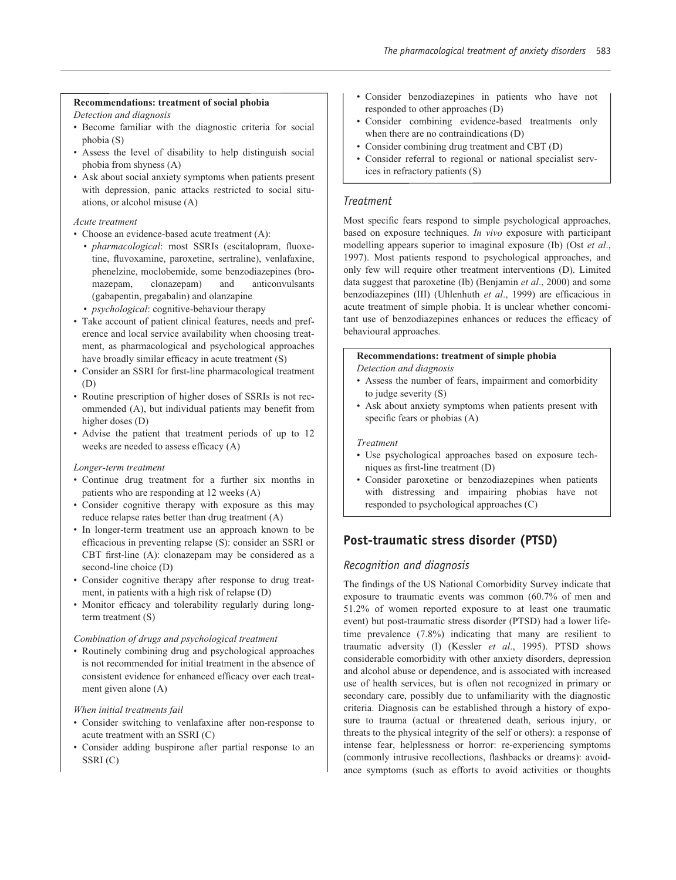#### **Recommendations: treatment of social phobia**

*Detection and diagnosis*

- Become familiar with the diagnostic criteria for social phobia (S)
- Assess the level of disability to help distinguish social phobia from shyness (A)
- Ask about social anxiety symptoms when patients present with depression, panic attacks restricted to social situations, or alcohol misuse (A)

## *Acute treatment*

- Choose an evidence-based acute treatment (A):
	- *pharmacological*: most SSRIs (escitalopram, fluoxetine, fluvoxamine, paroxetine, sertraline), venlafaxine, phenelzine, moclobemide, some benzodiazepines (bromazepam, clonazepam) and anticonvulsants (gabapentin, pregabalin) and olanzapine
	- *psychological*: cognitive-behaviour therapy
- Take account of patient clinical features, needs and preference and local service availability when choosing treatment, as pharmacological and psychological approaches have broadly similar efficacy in acute treatment (S)
- Consider an SSRI for first-line pharmacological treatment (D)
- Routine prescription of higher doses of SSRIs is not recommended (A), but individual patients may benefit from higher doses (D)
- Advise the patient that treatment periods of up to 12 weeks are needed to assess efficacy (A)

#### *Longer-term treatment*

- Continue drug treatment for a further six months in patients who are responding at 12 weeks (A)
- Consider cognitive therapy with exposure as this may reduce relapse rates better than drug treatment (A)
- In longer-term treatment use an approach known to be efficacious in preventing relapse (S): consider an SSRI or CBT first-line (A): clonazepam may be considered as a second-line choice (D)
- Consider cognitive therapy after response to drug treatment, in patients with a high risk of relapse (D)
- Monitor efficacy and tolerability regularly during longterm treatment (S)

#### *Combination of drugs and psychological treatment*

• Routinely combining drug and psychological approaches is not recommended for initial treatment in the absence of consistent evidence for enhanced efficacy over each treatment given alone (A)

#### *When initial treatments fail*

- Consider switching to venlafaxine after non-response to acute treatment with an SSRI (C)
- Consider adding buspirone after partial response to an SSRI (C)
- Consider benzodiazepines in patients who have not responded to other approaches (D)
- Consider combining evidence-based treatments only when there are no contraindications (D)
- Consider combining drug treatment and CBT (D)
- Consider referral to regional or national specialist services in refractory patients (S)

## *Treatment*

Most specific fears respond to simple psychological approaches, based on exposure techniques. *In vivo* exposure with participant modelling appears superior to imaginal exposure (Ib) (Ost *et al*., 1997). Most patients respond to psychological approaches, and only few will require other treatment interventions (D). Limited data suggest that paroxetine (Ib) (Benjamin *et al*., 2000) and some benzodiazepines (III) (Uhlenhuth *et al*., 1999) are efficacious in acute treatment of simple phobia. It is unclear whether concomitant use of benzodiazepines enhances or reduces the efficacy of behavioural approaches.

## **Recommendations: treatment of simple phobia**

*Detection and diagnosis*

- Assess the number of fears, impairment and comorbidity to judge severity (S)
- Ask about anxiety symptoms when patients present with specific fears or phobias (A)

#### *Treatment*

- Use psychological approaches based on exposure techniques as first-line treatment (D)
- Consider paroxetine or benzodiazepines when patients with distressing and impairing phobias have not responded to psychological approaches (C)

## **Post-traumatic stress disorder (PTSD)**

## *Recognition and diagnosis*

The findings of the US National Comorbidity Survey indicate that exposure to traumatic events was common (60.7% of men and 51.2% of women reported exposure to at least one traumatic event) but post-traumatic stress disorder (PTSD) had a lower lifetime prevalence (7.8%) indicating that many are resilient to traumatic adversity (I) (Kessler *et al*., 1995). PTSD shows considerable comorbidity with other anxiety disorders, depression and alcohol abuse or dependence, and is associated with increased use of health services, but is often not recognized in primary or secondary care, possibly due to unfamiliarity with the diagnostic criteria. Diagnosis can be established through a history of exposure to trauma (actual or threatened death, serious injury, or threats to the physical integrity of the self or others): a response of intense fear, helplessness or horror: re-experiencing symptoms (commonly intrusive recollections, flashbacks or dreams): avoidance symptoms (such as efforts to avoid activities or thoughts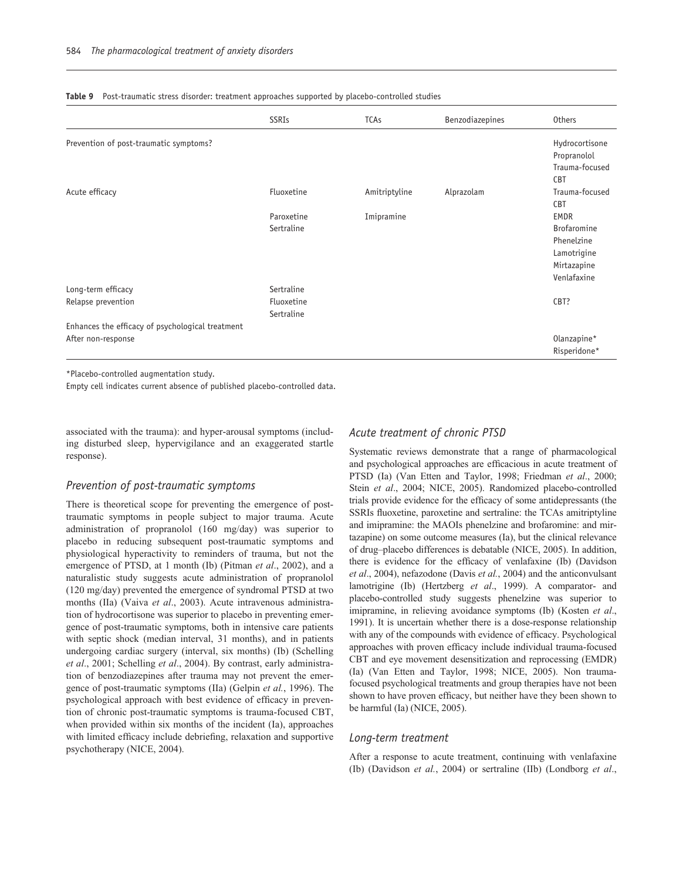|                                                  | <b>SSRIs</b> | <b>TCAs</b>   | Benzodiazepines | Others             |
|--------------------------------------------------|--------------|---------------|-----------------|--------------------|
| Prevention of post-traumatic symptoms?           |              |               |                 | Hydrocortisone     |
|                                                  |              |               |                 | Propranolol        |
|                                                  |              |               |                 | Trauma-focused     |
|                                                  |              |               |                 | <b>CBT</b>         |
| Acute efficacy                                   | Fluoxetine   | Amitriptyline | Alprazolam      | Trauma-focused     |
|                                                  |              |               |                 | <b>CBT</b>         |
|                                                  | Paroxetine   | Imipramine    |                 | <b>EMDR</b>        |
|                                                  | Sertraline   |               |                 | <b>Brofaromine</b> |
|                                                  |              |               |                 | Phenelzine         |
|                                                  |              |               |                 | Lamotrigine        |
|                                                  |              |               |                 | Mirtazapine        |
|                                                  |              |               |                 | Venlafaxine        |
| Long-term efficacy                               | Sertraline   |               |                 |                    |
| Relapse prevention                               | Fluoxetine   |               |                 | CBT?               |
|                                                  | Sertraline   |               |                 |                    |
| Enhances the efficacy of psychological treatment |              |               |                 |                    |
| After non-response                               |              |               |                 | Olanzapine*        |
|                                                  |              |               |                 | Risperidone*       |

#### **Table 9** Post-traumatic stress disorder: treatment approaches supported by placebo-controlled studies

\*Placebo-controlled augmentation study.

Empty cell indicates current absence of published placebo-controlled data.

associated with the trauma): and hyper-arousal symptoms (including disturbed sleep, hypervigilance and an exaggerated startle response).

## *Prevention of post-traumatic symptoms*

There is theoretical scope for preventing the emergence of posttraumatic symptoms in people subject to major trauma. Acute administration of propranolol (160 mg/day) was superior to placebo in reducing subsequent post-traumatic symptoms and physiological hyperactivity to reminders of trauma, but not the emergence of PTSD, at 1 month (Ib) (Pitman *et al*., 2002), and a naturalistic study suggests acute administration of propranolol (120 mg/day) prevented the emergence of syndromal PTSD at two months (IIa) (Vaiva *et al*., 2003). Acute intravenous administration of hydrocortisone was superior to placebo in preventing emergence of post-traumatic symptoms, both in intensive care patients with septic shock (median interval, 31 months), and in patients undergoing cardiac surgery (interval, six months) (Ib) (Schelling *et al*., 2001; Schelling *et al*., 2004). By contrast, early administration of benzodiazepines after trauma may not prevent the emergence of post-traumatic symptoms (IIa) (Gelpin *et al.*, 1996). The psychological approach with best evidence of efficacy in prevention of chronic post-traumatic symptoms is trauma-focused CBT, when provided within six months of the incident (Ia), approaches with limited efficacy include debriefing, relaxation and supportive psychotherapy (NICE, 2004).

## *Acute treatment of chronic PTSD*

Systematic reviews demonstrate that a range of pharmacological and psychological approaches are efficacious in acute treatment of PTSD (Ia) (Van Etten and Taylor, 1998; Friedman *et al*., 2000; Stein *et al*., 2004; NICE, 2005). Randomized placebo-controlled trials provide evidence for the efficacy of some antidepressants (the SSRIs fluoxetine, paroxetine and sertraline: the TCAs amitriptyline and imipramine: the MAOIs phenelzine and brofaromine: and mirtazapine) on some outcome measures (Ia), but the clinical relevance of drug–placebo differences is debatable (NICE, 2005). In addition, there is evidence for the efficacy of venlafaxine (Ib) (Davidson *et al*., 2004), nefazodone (Davis *et al.*, 2004) and the anticonvulsant lamotrigine (Ib) (Hertzberg *et al*., 1999). A comparator- and placebo-controlled study suggests phenelzine was superior to imipramine, in relieving avoidance symptoms (Ib) (Kosten *et al*., 1991). It is uncertain whether there is a dose-response relationship with any of the compounds with evidence of efficacy. Psychological approaches with proven efficacy include individual trauma-focused CBT and eye movement desensitization and reprocessing (EMDR) (Ia) (Van Etten and Taylor, 1998; NICE, 2005). Non traumafocused psychological treatments and group therapies have not been shown to have proven efficacy, but neither have they been shown to be harmful (Ia) (NICE, 2005).

#### *Long-term treatment*

After a response to acute treatment, continuing with venlafaxine (Ib) (Davidson *et al.*, 2004) or sertraline (IIb) (Londborg *et al*.,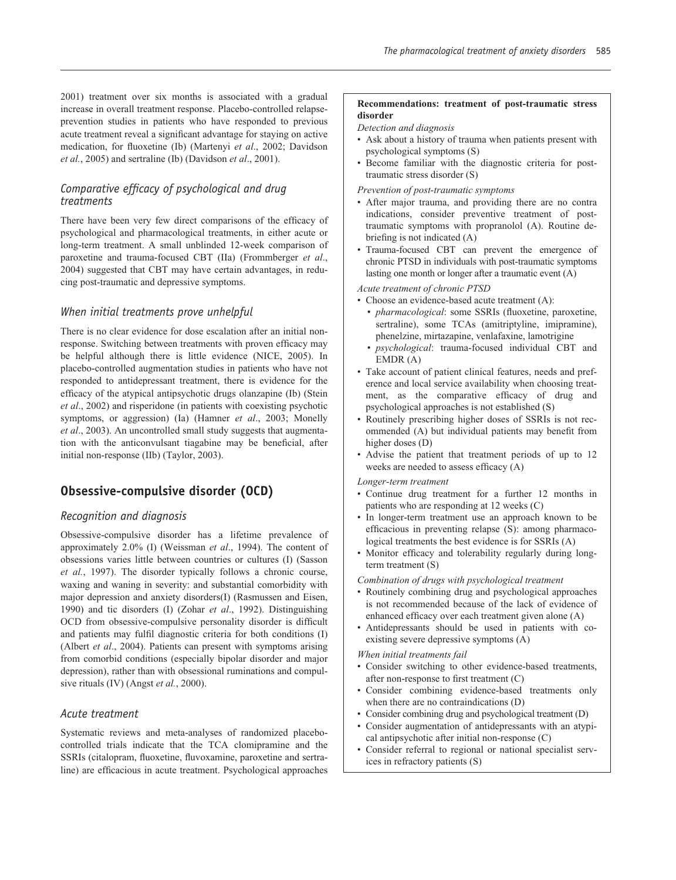2001) treatment over six months is associated with a gradual increase in overall treatment response. Placebo-controlled relapseprevention studies in patients who have responded to previous acute treatment reveal a significant advantage for staying on active medication, for fluoxetine (Ib) (Martenyi *et al*., 2002; Davidson *et al.*, 2005) and sertraline (Ib) (Davidson *et al*., 2001).

## *Comparative efficacy of psychological and drug treatments*

There have been very few direct comparisons of the efficacy of psychological and pharmacological treatments, in either acute or long-term treatment. A small unblinded 12-week comparison of paroxetine and trauma-focused CBT (IIa) (Frommberger *et al*., 2004) suggested that CBT may have certain advantages, in reducing post-traumatic and depressive symptoms.

## *When initial treatments prove unhelpful*

There is no clear evidence for dose escalation after an initial nonresponse. Switching between treatments with proven efficacy may be helpful although there is little evidence (NICE, 2005). In placebo-controlled augmentation studies in patients who have not responded to antidepressant treatment, there is evidence for the efficacy of the atypical antipsychotic drugs olanzapine (Ib) (Stein *et al*., 2002) and risperidone (in patients with coexisting psychotic symptoms, or aggression) (Ia) (Hamner *et al*., 2003; Monelly *et al*., 2003). An uncontrolled small study suggests that augmentation with the anticonvulsant tiagabine may be beneficial, after initial non-response (IIb) (Taylor, 2003).

## **Obsessive-compulsive disorder (OCD)**

## *Recognition and diagnosis*

Obsessive-compulsive disorder has a lifetime prevalence of approximately 2.0% (I) (Weissman *et al*., 1994). The content of obsessions varies little between countries or cultures (I) (Sasson *et al.*, 1997). The disorder typically follows a chronic course, waxing and waning in severity: and substantial comorbidity with major depression and anxiety disorders(I) (Rasmussen and Eisen, 1990) and tic disorders (I) (Zohar *et al*., 1992). Distinguishing OCD from obsessive-compulsive personality disorder is difficult and patients may fulfil diagnostic criteria for both conditions (I) (Albert *et al*., 2004). Patients can present with symptoms arising from comorbid conditions (especially bipolar disorder and major depression), rather than with obsessional ruminations and compulsive rituals (IV) (Angst *et al.*, 2000).

## *Acute treatment*

Systematic reviews and meta-analyses of randomized placebocontrolled trials indicate that the TCA clomipramine and the SSRIs (citalopram, fluoxetine, fluvoxamine, paroxetine and sertraline) are efficacious in acute treatment. Psychological approaches

## **Recommendations: treatment of post-traumatic stress disorder**

*Detection and diagnosis*

- Ask about a history of trauma when patients present with psychological symptoms (S)
- Become familiar with the diagnostic criteria for posttraumatic stress disorder (S)

*Prevention of post-traumatic symptoms*

- After major trauma, and providing there are no contra indications, consider preventive treatment of posttraumatic symptoms with propranolol (A). Routine debriefing is not indicated (A)
- Trauma-focused CBT can prevent the emergence of chronic PTSD in individuals with post-traumatic symptoms lasting one month or longer after a traumatic event (A)

*Acute treatment of chronic PTSD*

- Choose an evidence-based acute treatment (A):
	- *pharmacological*: some SSRIs (fluoxetine, paroxetine, sertraline), some TCAs (amitriptyline, imipramine), phenelzine, mirtazapine, venlafaxine, lamotrigine
	- *psychological*: trauma-focused individual CBT and EMDR (A)
- Take account of patient clinical features, needs and preference and local service availability when choosing treatment, as the comparative efficacy of drug and psychological approaches is not established (S)
- Routinely prescribing higher doses of SSRIs is not recommended (A) but individual patients may benefit from higher doses (D)
- Advise the patient that treatment periods of up to 12 weeks are needed to assess efficacy (A)

*Longer-term treatment*

- Continue drug treatment for a further 12 months in patients who are responding at 12 weeks (C)
- In longer-term treatment use an approach known to be efficacious in preventing relapse (S): among pharmacological treatments the best evidence is for SSRIs (A)
- Monitor efficacy and tolerability regularly during longterm treatment (S)

*Combination of drugs with psychological treatment*

- Routinely combining drug and psychological approaches is not recommended because of the lack of evidence of enhanced efficacy over each treatment given alone (A)
- Antidepressants should be used in patients with coexisting severe depressive symptoms (A)

*When initial treatments fail*

- Consider switching to other evidence-based treatments, after non-response to first treatment (C)
- Consider combining evidence-based treatments only when there are no contraindications (D)
- Consider combining drug and psychological treatment (D)
- Consider augmentation of antidepressants with an atypical antipsychotic after initial non-response (C)
- Consider referral to regional or national specialist services in refractory patients (S)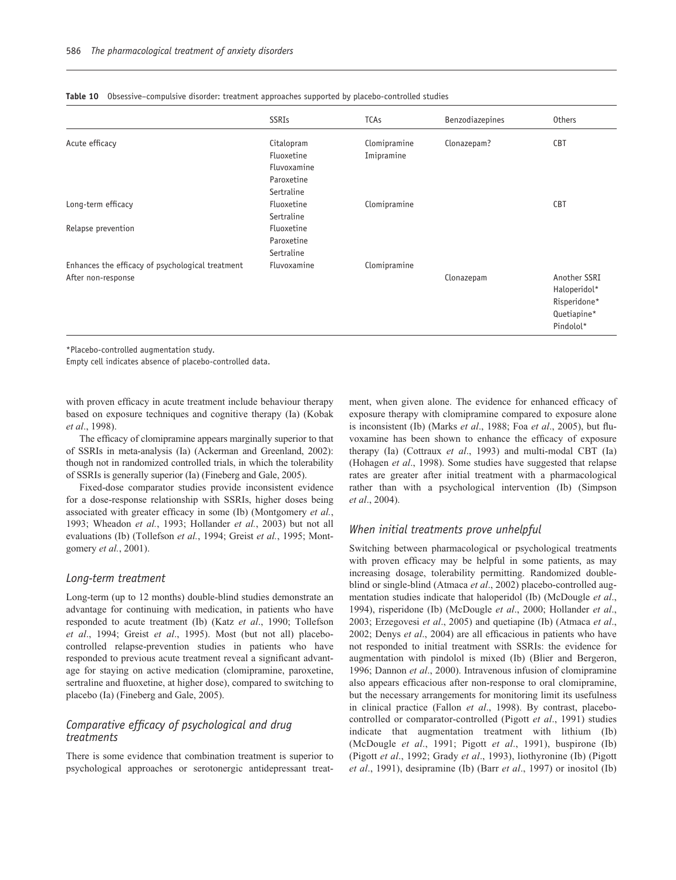|                                                  | <b>SSRIs</b> | <b>TCAs</b>  | Benzodiazepines | Others       |
|--------------------------------------------------|--------------|--------------|-----------------|--------------|
| Acute efficacy                                   | Citalopram   | Clomipramine | Clonazepam?     | CBT          |
|                                                  | Fluoxetine   | Imipramine   |                 |              |
|                                                  | Fluvoxamine  |              |                 |              |
|                                                  | Paroxetine   |              |                 |              |
|                                                  | Sertraline   |              |                 |              |
| Long-term efficacy                               | Fluoxetine   | Clomipramine |                 | <b>CBT</b>   |
|                                                  | Sertraline   |              |                 |              |
| Relapse prevention                               | Fluoxetine   |              |                 |              |
|                                                  | Paroxetine   |              |                 |              |
|                                                  | Sertraline   |              |                 |              |
| Enhances the efficacy of psychological treatment | Fluvoxamine  | Clomipramine |                 |              |
| After non-response                               |              |              | Clonazepam      | Another SSRI |
|                                                  |              |              |                 | Haloperidol* |
|                                                  |              |              |                 | Risperidone* |
|                                                  |              |              |                 | Quetiapine*  |
|                                                  |              |              |                 | Pindolol*    |

**Table 10** Obsessive–compulsive disorder: treatment approaches supported by placebo-controlled studies

\*Placebo-controlled augmentation study.

Empty cell indicates absence of placebo-controlled data.

with proven efficacy in acute treatment include behaviour therapy based on exposure techniques and cognitive therapy (Ia) (Kobak *et al*., 1998).

The efficacy of clomipramine appears marginally superior to that of SSRIs in meta-analysis (Ia) (Ackerman and Greenland, 2002): though not in randomized controlled trials, in which the tolerability of SSRIs is generally superior (Ia) (Fineberg and Gale, 2005).

Fixed-dose comparator studies provide inconsistent evidence for a dose-response relationship with SSRIs, higher doses being associated with greater efficacy in some (Ib) (Montgomery *et al.*, 1993; Wheadon *et al.*, 1993; Hollander *et al.*, 2003) but not all evaluations (Ib) (Tollefson *et al.*, 1994; Greist *et al.*, 1995; Montgomery *et al.*, 2001).

#### *Long-term treatment*

Long-term (up to 12 months) double-blind studies demonstrate an advantage for continuing with medication, in patients who have responded to acute treatment (Ib) (Katz *et al*., 1990; Tollefson *et al*., 1994; Greist *et al*., 1995). Most (but not all) placebocontrolled relapse-prevention studies in patients who have responded to previous acute treatment reveal a significant advantage for staying on active medication (clomipramine, paroxetine, sertraline and fluoxetine, at higher dose), compared to switching to placebo (Ia) (Fineberg and Gale, 2005).

## *Comparative efficacy of psychological and drug treatments*

There is some evidence that combination treatment is superior to psychological approaches or serotonergic antidepressant treatment, when given alone. The evidence for enhanced efficacy of exposure therapy with clomipramine compared to exposure alone is inconsistent (Ib) (Marks *et al*., 1988; Foa *et al*., 2005), but fluvoxamine has been shown to enhance the efficacy of exposure therapy (Ia) (Cottraux *et al*., 1993) and multi-modal CBT (Ia) (Hohagen *et al*., 1998). Some studies have suggested that relapse rates are greater after initial treatment with a pharmacological rather than with a psychological intervention (Ib) (Simpson *et al*., 2004).

## *When initial treatments prove unhelpful*

Switching between pharmacological or psychological treatments with proven efficacy may be helpful in some patients, as may increasing dosage, tolerability permitting. Randomized doubleblind or single-blind (Atmaca *et al*., 2002) placebo-controlled augmentation studies indicate that haloperidol (Ib) (McDougle *et al*., 1994), risperidone (Ib) (McDougle *et al*., 2000; Hollander *et al*., 2003; Erzegovesi *et al*., 2005) and quetiapine (Ib) (Atmaca *et al*., 2002; Denys *et al*., 2004) are all efficacious in patients who have not responded to initial treatment with SSRIs: the evidence for augmentation with pindolol is mixed (Ib) (Blier and Bergeron, 1996; Dannon *et al*., 2000). Intravenous infusion of clomipramine also appears efficacious after non-response to oral clomipramine, but the necessary arrangements for monitoring limit its usefulness in clinical practice (Fallon *et al*., 1998). By contrast, placebocontrolled or comparator-controlled (Pigott *et al*., 1991) studies indicate that augmentation treatment with lithium (Ib) (McDougle *et al*., 1991; Pigott *et al*., 1991), buspirone (Ib) (Pigott *et al*., 1992; Grady *et al*., 1993), liothyronine (Ib) (Pigott *et al*., 1991), desipramine (Ib) (Barr *et al*., 1997) or inositol (Ib)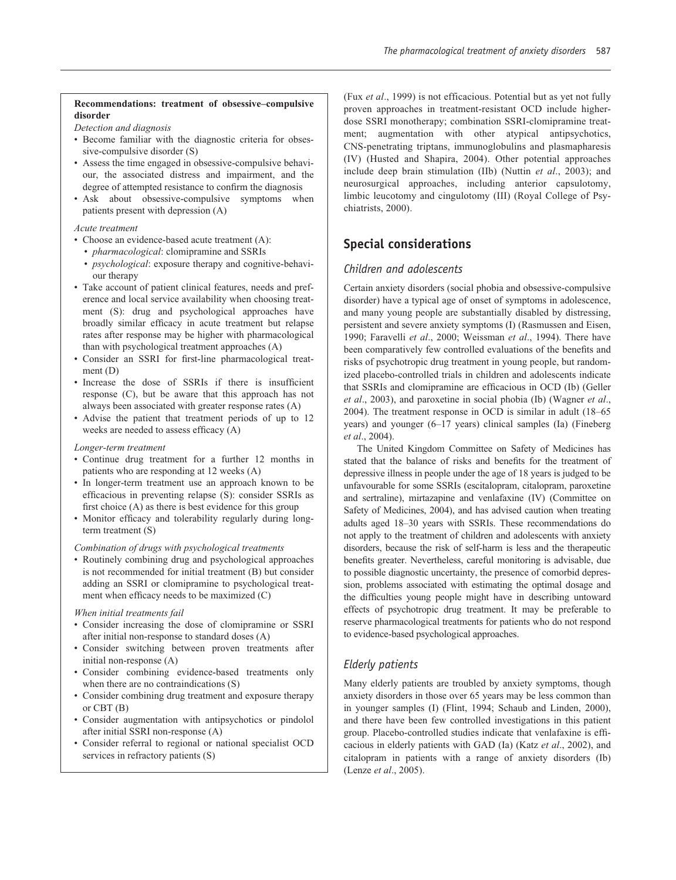#### **Recommendations: treatment of obsessive–compulsive disorder**

*Detection and diagnosis*

- Become familiar with the diagnostic criteria for obsessive-compulsive disorder (S)
- Assess the time engaged in obsessive-compulsive behaviour, the associated distress and impairment, and the degree of attempted resistance to confirm the diagnosis
- Ask about obsessive-compulsive symptoms when patients present with depression (A)

#### *Acute treatment*

- Choose an evidence-based acute treatment (A):
	- *pharmacological*: clomipramine and SSRIs
	- *psychological*: exposure therapy and cognitive-behaviour therapy
- Take account of patient clinical features, needs and preference and local service availability when choosing treatment (S): drug and psychological approaches have broadly similar efficacy in acute treatment but relapse rates after response may be higher with pharmacological than with psychological treatment approaches (A)
- Consider an SSRI for first-line pharmacological treatment (D)
- Increase the dose of SSRIs if there is insufficient response (C), but be aware that this approach has not always been associated with greater response rates (A)
- Advise the patient that treatment periods of up to 12 weeks are needed to assess efficacy (A)

#### *Longer-term treatment*

- Continue drug treatment for a further 12 months in patients who are responding at 12 weeks (A)
- In longer-term treatment use an approach known to be efficacious in preventing relapse (S): consider SSRIs as first choice (A) as there is best evidence for this group
- Monitor efficacy and tolerability regularly during longterm treatment (S)

*Combination of drugs with psychological treatments*

• Routinely combining drug and psychological approaches is not recommended for initial treatment (B) but consider adding an SSRI or clomipramine to psychological treatment when efficacy needs to be maximized (C)

#### *When initial treatments fail*

- Consider increasing the dose of clomipramine or SSRI after initial non-response to standard doses (A)
- Consider switching between proven treatments after initial non-response (A)
- Consider combining evidence-based treatments only when there are no contraindications (S)
- Consider combining drug treatment and exposure therapy or CBT (B)
- Consider augmentation with antipsychotics or pindolol after initial SSRI non-response (A)
- Consider referral to regional or national specialist OCD services in refractory patients (S)

(Fux *et al*., 1999) is not efficacious. Potential but as yet not fully proven approaches in treatment-resistant OCD include higherdose SSRI monotherapy; combination SSRI-clomipramine treatment; augmentation with other atypical antipsychotics, CNS-penetrating triptans, immunoglobulins and plasmapharesis (IV) (Husted and Shapira, 2004). Other potential approaches include deep brain stimulation (IIb) (Nuttin *et al*., 2003); and neurosurgical approaches, including anterior capsulotomy, limbic leucotomy and cingulotomy (III) (Royal College of Psychiatrists, 2000).

## **Special considerations**

## *Children and adolescents*

Certain anxiety disorders (social phobia and obsessive-compulsive disorder) have a typical age of onset of symptoms in adolescence, and many young people are substantially disabled by distressing, persistent and severe anxiety symptoms (I) (Rasmussen and Eisen, 1990; Faravelli *et al*., 2000; Weissman *et al*., 1994). There have been comparatively few controlled evaluations of the benefits and risks of psychotropic drug treatment in young people, but randomized placebo-controlled trials in children and adolescents indicate that SSRIs and clomipramine are efficacious in OCD (Ib) (Geller *et al*., 2003), and paroxetine in social phobia (Ib) (Wagner *et al*., 2004). The treatment response in OCD is similar in adult (18–65 years) and younger (6–17 years) clinical samples (Ia) (Fineberg *et al*., 2004).

The United Kingdom Committee on Safety of Medicines has stated that the balance of risks and benefits for the treatment of depressive illness in people under the age of 18 years is judged to be unfavourable for some SSRIs (escitalopram, citalopram, paroxetine and sertraline), mirtazapine and venlafaxine (IV) (Committee on Safety of Medicines, 2004), and has advised caution when treating adults aged 18–30 years with SSRIs. These recommendations do not apply to the treatment of children and adolescents with anxiety disorders, because the risk of self-harm is less and the therapeutic benefits greater. Nevertheless, careful monitoring is advisable, due to possible diagnostic uncertainty, the presence of comorbid depression, problems associated with estimating the optimal dosage and the difficulties young people might have in describing untoward effects of psychotropic drug treatment. It may be preferable to reserve pharmacological treatments for patients who do not respond to evidence-based psychological approaches.

## *Elderly patients*

Many elderly patients are troubled by anxiety symptoms, though anxiety disorders in those over 65 years may be less common than in younger samples (I) (Flint, 1994; Schaub and Linden, 2000), and there have been few controlled investigations in this patient group. Placebo-controlled studies indicate that venlafaxine is efficacious in elderly patients with GAD (Ia) (Katz *et al*., 2002), and citalopram in patients with a range of anxiety disorders (Ib) (Lenze *et al*., 2005).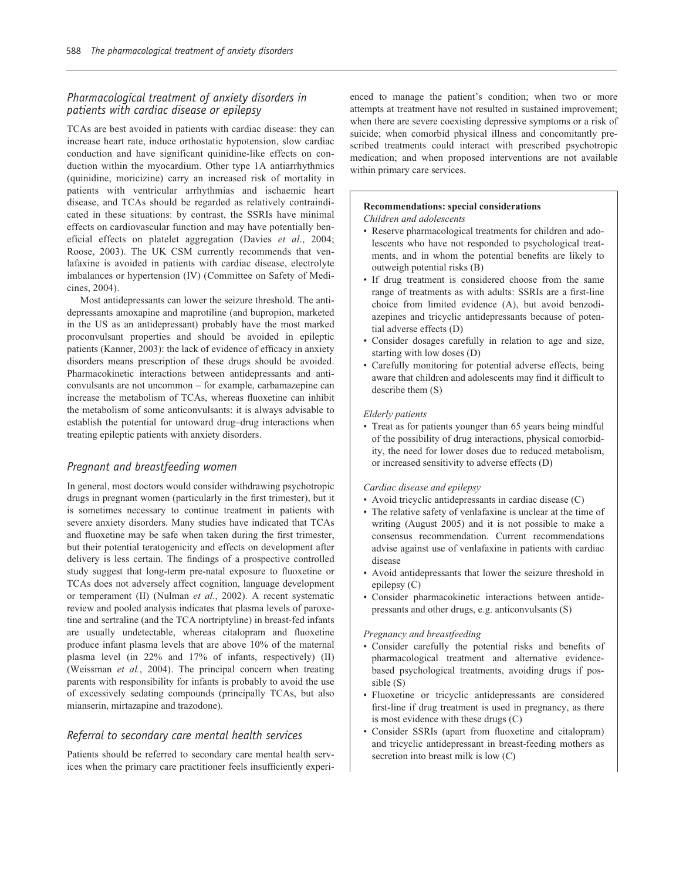## *Pharmacological treatment of anxiety disorders in patients with cardiac disease or epilepsy*

TCAs are best avoided in patients with cardiac disease: they can increase heart rate, induce orthostatic hypotension, slow cardiac conduction and have significant quinidine-like effects on conduction within the myocardium. Other type 1A antiarrhythmics (quinidine, moricizine) carry an increased risk of mortality in patients with ventricular arrhythmias and ischaemic heart disease, and TCAs should be regarded as relatively contraindicated in these situations: by contrast, the SSRIs have minimal effects on cardiovascular function and may have potentially beneficial effects on platelet aggregation (Davies *et al*., 2004; Roose, 2003). The UK CSM currently recommends that venlafaxine is avoided in patients with cardiac disease, electrolyte imbalances or hypertension (IV) (Committee on Safety of Medicines, 2004).

Most antidepressants can lower the seizure threshold. The antidepressants amoxapine and maprotiline (and bupropion, marketed in the US as an antidepressant) probably have the most marked proconvulsant properties and should be avoided in epileptic patients (Kanner, 2003): the lack of evidence of efficacy in anxiety disorders means prescription of these drugs should be avoided. Pharmacokinetic interactions between antidepressants and anticonvulsants are not uncommon – for example, carbamazepine can increase the metabolism of TCAs, whereas fluoxetine can inhibit the metabolism of some anticonvulsants: it is always advisable to establish the potential for untoward drug–drug interactions when treating epileptic patients with anxiety disorders.

## *Pregnant and breastfeeding women*

In general, most doctors would consider withdrawing psychotropic drugs in pregnant women (particularly in the first trimester), but it is sometimes necessary to continue treatment in patients with severe anxiety disorders. Many studies have indicated that TCAs and fluoxetine may be safe when taken during the first trimester, but their potential teratogenicity and effects on development after delivery is less certain. The findings of a prospective controlled study suggest that long-term pre-natal exposure to fluoxetine or TCAs does not adversely affect cognition, language development or temperament (II) (Nulman *et al*., 2002). A recent systematic review and pooled analysis indicates that plasma levels of paroxetine and sertraline (and the TCA nortriptyline) in breast-fed infants are usually undetectable, whereas citalopram and fluoxetine produce infant plasma levels that are above 10% of the maternal plasma level (in 22% and 17% of infants, respectively) (II) (Weissman *et al.*, 2004). The principal concern when treating parents with responsibility for infants is probably to avoid the use of excessively sedating compounds (principally TCAs, but also mianserin, mirtazapine and trazodone).

## *Referral to secondary care mental health services*

Patients should be referred to secondary care mental health services when the primary care practitioner feels insufficiently experi-

enced to manage the patient's condition; when two or more attempts at treatment have not resulted in sustained improvement; when there are severe coexisting depressive symptoms or a risk of suicide; when comorbid physical illness and concomitantly prescribed treatments could interact with prescribed psychotropic medication; and when proposed interventions are not available within primary care services.

#### **Recommendations: special considerations**

*Children and adolescents*

- Reserve pharmacological treatments for children and adolescents who have not responded to psychological treatments, and in whom the potential benefits are likely to outweigh potential risks (B)
- If drug treatment is considered choose from the same range of treatments as with adults: SSRIs are a first-line choice from limited evidence (A), but avoid benzodiazepines and tricyclic antidepressants because of potential adverse effects (D)
- Consider dosages carefully in relation to age and size, starting with low doses (D)
- Carefully monitoring for potential adverse effects, being aware that children and adolescents may find it difficult to describe them (S)

#### *Elderly patients*

• Treat as for patients younger than 65 years being mindful of the possibility of drug interactions, physical comorbidity, the need for lower doses due to reduced metabolism, or increased sensitivity to adverse effects (D)

#### *Cardiac disease and epilepsy*

- Avoid tricyclic antidepressants in cardiac disease (C)
- The relative safety of venlafaxine is unclear at the time of writing (August 2005) and it is not possible to make a consensus recommendation. Current recommendations advise against use of venlafaxine in patients with cardiac disease
- Avoid antidepressants that lower the seizure threshold in epilepsy (C)
- Consider pharmacokinetic interactions between antidepressants and other drugs, e.g. anticonvulsants (S)

#### *Pregnancy and breastfeeding*

- Consider carefully the potential risks and benefits of pharmacological treatment and alternative evidencebased psychological treatments, avoiding drugs if possible (S)
- Fluoxetine or tricyclic antidepressants are considered first-line if drug treatment is used in pregnancy, as there is most evidence with these drugs (C)
- Consider SSRIs (apart from fluoxetine and citalopram) and tricyclic antidepressant in breast-feeding mothers as secretion into breast milk is low (C)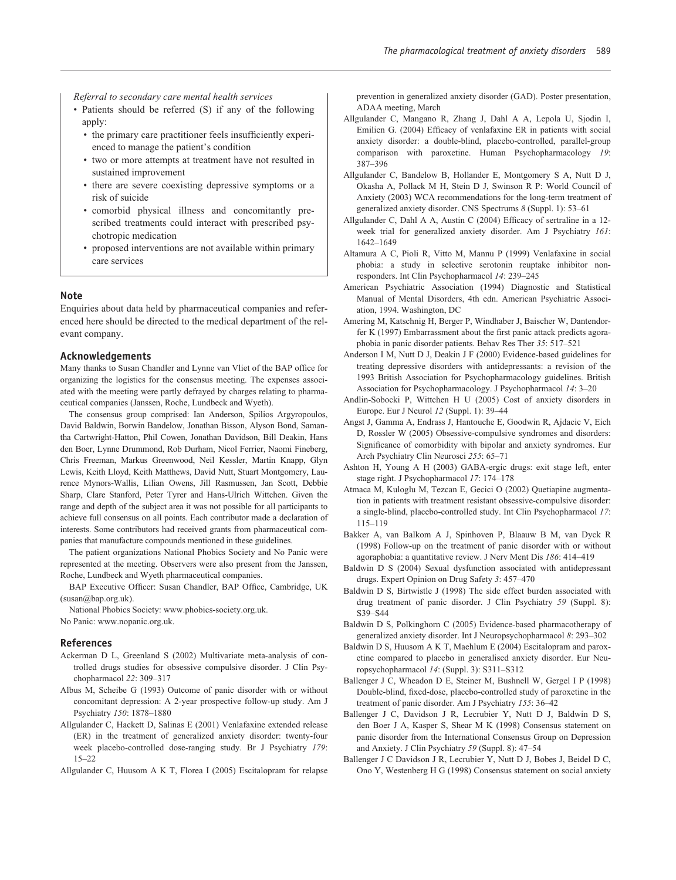*Referral to secondary care mental health services*

- Patients should be referred (S) if any of the following apply:
	- the primary care practitioner feels insufficiently experienced to manage the patient's condition
	- two or more attempts at treatment have not resulted in sustained improvement
	- there are severe coexisting depressive symptoms or a risk of suicide
	- comorbid physical illness and concomitantly prescribed treatments could interact with prescribed psychotropic medication
	- proposed interventions are not available within primary care services

#### **Note**

Enquiries about data held by pharmaceutical companies and referenced here should be directed to the medical department of the relevant company.

#### **Acknowledgements**

Many thanks to Susan Chandler and Lynne van Vliet of the BAP office for organizing the logistics for the consensus meeting. The expenses associated with the meeting were partly defrayed by charges relating to pharmaceutical companies (Janssen, Roche, Lundbeck and Wyeth).

The consensus group comprised: Ian Anderson, Spilios Argyropoulos, David Baldwin, Borwin Bandelow, Jonathan Bisson, Alyson Bond, Samantha Cartwright-Hatton, Phil Cowen, Jonathan Davidson, Bill Deakin, Hans den Boer, Lynne Drummond, Rob Durham, Nicol Ferrier, Naomi Fineberg, Chris Freeman, Markus Greenwood, Neil Kessler, Martin Knapp, Glyn Lewis, Keith Lloyd, Keith Matthews, David Nutt, Stuart Montgomery, Laurence Mynors-Wallis, Lilian Owens, Jill Rasmussen, Jan Scott, Debbie Sharp, Clare Stanford, Peter Tyrer and Hans-Ulrich Wittchen. Given the range and depth of the subject area it was not possible for all participants to achieve full consensus on all points. Each contributor made a declaration of interests. Some contributors had received grants from pharmaceutical companies that manufacture compounds mentioned in these guidelines.

The patient organizations National Phobics Society and No Panic were represented at the meeting. Observers were also present from the Janssen, Roche, Lundbeck and Wyeth pharmaceutical companies.

BAP Executive Officer: Susan Chandler, BAP Office, Cambridge, UK (susan@bap.org.uk).

National Phobics Society: www.phobics-society.org.uk. No Panic: www.nopanic.org.uk.

#### **References**

- Ackerman D L, Greenland S (2002) Multivariate meta-analysis of controlled drugs studies for obsessive compulsive disorder. J Clin Psychopharmacol *22*: 309–317
- Albus M, Scheibe G (1993) Outcome of panic disorder with or without concomitant depression: A 2-year prospective follow-up study. Am J Psychiatry *150*: 1878–1880
- Allgulander C, Hackett D, Salinas E (2001) Venlafaxine extended release (ER) in the treatment of generalized anxiety disorder: twenty-four week placebo-controlled dose-ranging study. Br J Psychiatry *179*: 15–22
- Allgulander C, Huusom A K T, Florea I (2005) Escitalopram for relapse

prevention in generalized anxiety disorder (GAD). Poster presentation, ADAA meeting, March

- Allgulander C, Mangano R, Zhang J, Dahl A A, Lepola U, Sjodin I, Emilien G. (2004) Efficacy of venlafaxine ER in patients with social anxiety disorder: a double-blind, placebo-controlled, parallel-group comparison with paroxetine. Human Psychopharmacology *19*: 387–396
- Allgulander C, Bandelow B, Hollander E, Montgomery S A, Nutt D J, Okasha A, Pollack M H, Stein D J, Swinson R P: World Council of Anxiety (2003) WCA recommendations for the long-term treatment of generalized anxiety disorder. CNS Spectrums *8* (Suppl. 1): 53–61
- Allgulander C, Dahl A A, Austin C (2004) Efficacy of sertraline in a 12 week trial for generalized anxiety disorder. Am J Psychiatry *161*: 1642–1649
- Altamura A C, Pioli R, Vitto M, Mannu P (1999) Venlafaxine in social phobia: a study in selective serotonin reuptake inhibitor nonresponders. Int Clin Psychopharmacol *14*: 239–245
- American Psychiatric Association (1994) Diagnostic and Statistical Manual of Mental Disorders, 4th edn. American Psychiatric Association, 1994. Washington, DC
- Amering M, Katschnig H, Berger P, Windhaber J, Baischer W, Dantendorfer K (1997) Embarrassment about the first panic attack predicts agoraphobia in panic disorder patients. Behav Res Ther *35*: 517–521
- Anderson I M, Nutt D J, Deakin J F (2000) Evidence-based guidelines for treating depressive disorders with antidepressants: a revision of the 1993 British Association for Psychopharmacology guidelines. British Association for Psychopharmacology. J Psychopharmacol *14*: 3–20
- Andlin-Sobocki P, Wittchen H U (2005) Cost of anxiety disorders in Europe. Eur J Neurol *12* (Suppl. 1): 39–44
- Angst J, Gamma A, Endrass J, Hantouche E, Goodwin R, Ajdacic V, Eich D, Rossler W (2005) Obsessive-compulsive syndromes and disorders: Significance of comorbidity with bipolar and anxiety syndromes. Eur Arch Psychiatry Clin Neurosci *255*: 65–71
- Ashton H, Young A H (2003) GABA-ergic drugs: exit stage left, enter stage right. J Psychopharmacol *17*: 174–178
- Atmaca M, Kuloglu M, Tezcan E, Gecici O (2002) Quetiapine augmentation in patients with treatment resistant obsessive-compulsive disorder: a single-blind, placebo-controlled study. Int Clin Psychopharmacol *17*: 115–119
- Bakker A, van Balkom A J, Spinhoven P, Blaauw B M, van Dyck R (1998) Follow-up on the treatment of panic disorder with or without agoraphobia: a quantitative review. J Nerv Ment Dis *186*: 414–419
- Baldwin D S (2004) Sexual dysfunction associated with antidepressant drugs. Expert Opinion on Drug Safety *3*: 457–470
- Baldwin D S, Birtwistle J (1998) The side effect burden associated with drug treatment of panic disorder. J Clin Psychiatry *59* (Suppl. 8): S39–S44
- Baldwin D S, Polkinghorn C (2005) Evidence-based pharmacotherapy of generalized anxiety disorder. Int J Neuropsychopharmacol *8*: 293–302
- Baldwin D S, Huusom A K T, Maehlum E (2004) Escitalopram and paroxetine compared to placebo in generalised anxiety disorder. Eur Neuropsychopharmacol *14*: (Suppl. 3): S311–S312
- Ballenger J C, Wheadon D E, Steiner M, Bushnell W, Gergel I P (1998) Double-blind, fixed-dose, placebo-controlled study of paroxetine in the treatment of panic disorder. Am J Psychiatry *155*: 36–42
- Ballenger J C, Davidson J R, Lecrubier Y, Nutt D J, Baldwin D S, den Boer J A, Kasper S, Shear M K (1998) Consensus statement on panic disorder from the International Consensus Group on Depression and Anxiety. J Clin Psychiatry *59* (Suppl. 8): 47–54
- Ballenger J C Davidson J R, Lecrubier Y, Nutt D J, Bobes J, Beidel D C, Ono Y, Westenberg H G (1998) Consensus statement on social anxiety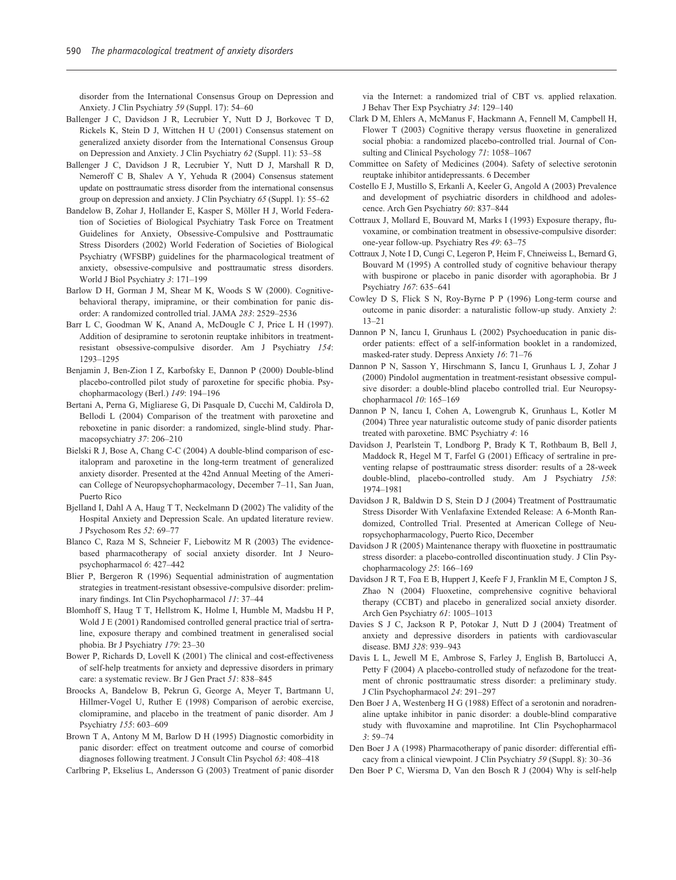disorder from the International Consensus Group on Depression and Anxiety. J Clin Psychiatry *59* (Suppl. 17): 54–60

- Ballenger J C, Davidson J R, Lecrubier Y, Nutt D J, Borkovec T D, Rickels K, Stein D J, Wittchen H U (2001) Consensus statement on generalized anxiety disorder from the International Consensus Group on Depression and Anxiety. J Clin Psychiatry *62* (Suppl. 11): 53–58
- Ballenger J C, Davidson J R, Lecrubier Y, Nutt D J, Marshall R D, Nemeroff C B, Shalev A Y, Yehuda R (2004) Consensus statement update on posttraumatic stress disorder from the international consensus group on depression and anxiety. J Clin Psychiatry *65* (Suppl. 1): 55–62
- Bandelow B, Zohar J, Hollander E, Kasper S, Möller H J, World Federation of Societies of Biological Psychiatry Task Force on Treatment Guidelines for Anxiety, Obsessive-Compulsive and Posttraumatic Stress Disorders (2002) World Federation of Societies of Biological Psychiatry (WFSBP) guidelines for the pharmacological treatment of anxiety, obsessive-compulsive and posttraumatic stress disorders. World J Biol Psychiatry *3*: 171–199
- Barlow D H, Gorman J M, Shear M K, Woods S W (2000). Cognitivebehavioral therapy, imipramine, or their combination for panic disorder: A randomized controlled trial. JAMA *283*: 2529–2536
- Barr L C, Goodman W K, Anand A, McDougle C J, Price L H (1997). Addition of desipramine to serotonin reuptake inhibitors in treatmentresistant obsessive-compulsive disorder. Am J Psychiatry *154*: 1293–1295
- Benjamin J, Ben-Zion I Z, Karbofsky E, Dannon P (2000) Double-blind placebo-controlled pilot study of paroxetine for specific phobia. Psychopharmacology (Berl.) *149*: 194–196
- Bertani A, Perna G, Migliarese G, Di Pasquale D, Cucchi M, Caldirola D, Bellodi L (2004) Comparison of the treatment with paroxetine and reboxetine in panic disorder: a randomized, single-blind study. Pharmacopsychiatry *37*: 206–210
- Bielski R J, Bose A, Chang C-C (2004) A double-blind comparison of escitalopram and paroxetine in the long-term treatment of generalized anxiety disorder. Presented at the 42nd Annual Meeting of the American College of Neuropsychopharmacology, December 7–11, San Juan, Puerto Rico
- Bjelland I, Dahl A A, Haug T T, Neckelmann D (2002) The validity of the Hospital Anxiety and Depression Scale. An updated literature review. J Psychosom Res *52*: 69–77
- Blanco C, Raza M S, Schneier F, Liebowitz M R (2003) The evidencebased pharmacotherapy of social anxiety disorder. Int J Neuropsychopharmacol *6*: 427–442
- Blier P, Bergeron R (1996) Sequential administration of augmentation strategies in treatment-resistant obsessive-compulsive disorder: preliminary findings. Int Clin Psychopharmacol *11*: 37–44
- Blomhoff S, Haug T T, Hellstrom K, Holme I, Humble M, Madsbu H P, Wold J E (2001) Randomised controlled general practice trial of sertraline, exposure therapy and combined treatment in generalised social phobia. Br J Psychiatry *179*: 23–30
- Bower P, Richards D, Lovell K (2001) The clinical and cost-effectiveness of self-help treatments for anxiety and depressive disorders in primary care: a systematic review. Br J Gen Pract *51*: 838–845
- Broocks A, Bandelow B, Pekrun G, George A, Meyer T, Bartmann U, Hillmer-Vogel U, Ruther E (1998) Comparison of aerobic exercise, clomipramine, and placebo in the treatment of panic disorder. Am J Psychiatry *155*: 603–609
- Brown T A, Antony M M, Barlow D H (1995) Diagnostic comorbidity in panic disorder: effect on treatment outcome and course of comorbid diagnoses following treatment. J Consult Clin Psychol *63*: 408–418
- Carlbring P, Ekselius L, Andersson G (2003) Treatment of panic disorder

via the Internet: a randomized trial of CBT vs. applied relaxation. J Behav Ther Exp Psychiatry *34*: 129–140

- Clark D M, Ehlers A, McManus F, Hackmann A, Fennell M, Campbell H, Flower T (2003) Cognitive therapy versus fluoxetine in generalized social phobia: a randomized placebo-controlled trial. Journal of Consulting and Clinical Psychology *71*: 1058–1067
- Committee on Safety of Medicines (2004). Safety of selective serotonin reuptake inhibitor antidepressants. 6 December
- Costello E J, Mustillo S, Erkanli A, Keeler G, Angold A (2003) Prevalence and development of psychiatric disorders in childhood and adolescence. Arch Gen Psychiatry *60*: 837–844
- Cottraux J, Mollard E, Bouvard M, Marks I (1993) Exposure therapy, fluvoxamine, or combination treatment in obsessive-compulsive disorder: one-year follow-up. Psychiatry Res *49*: 63–75
- Cottraux J, Note I D, Cungi C, Legeron P, Heim F, Chneiweiss L, Bernard G, Bouvard M (1995) A controlled study of cognitive behaviour therapy with buspirone or placebo in panic disorder with agoraphobia. Br J Psychiatry *167*: 635–641
- Cowley D S, Flick S N, Roy-Byrne P P (1996) Long-term course and outcome in panic disorder: a naturalistic follow-up study. Anxiety *2*: 13–21
- Dannon P N, Iancu I, Grunhaus L (2002) Psychoeducation in panic disorder patients: effect of a self-information booklet in a randomized, masked-rater study. Depress Anxiety *16*: 71–76
- Dannon P N, Sasson Y, Hirschmann S, Iancu I, Grunhaus L J, Zohar J (2000) Pindolol augmentation in treatment-resistant obsessive compulsive disorder: a double-blind placebo controlled trial. Eur Neuropsychopharmacol *10*: 165–169
- Dannon P N, Iancu I, Cohen A, Lowengrub K, Grunhaus L, Kotler M (2004) Three year naturalistic outcome study of panic disorder patients treated with paroxetine. BMC Psychiatry *4*: 16
- Davidson J, Pearlstein T, Londborg P, Brady K T, Rothbaum B, Bell J, Maddock R, Hegel M T, Farfel G (2001) Efficacy of sertraline in preventing relapse of posttraumatic stress disorder: results of a 28-week double-blind, placebo-controlled study. Am J Psychiatry *158*: 1974–1981
- Davidson J R, Baldwin D S, Stein D J (2004) Treatment of Posttraumatic Stress Disorder With Venlafaxine Extended Release: A 6-Month Randomized, Controlled Trial. Presented at American College of Neuropsychopharmacology, Puerto Rico, December
- Davidson J R (2005) Maintenance therapy with fluoxetine in posttraumatic stress disorder: a placebo-controlled discontinuation study. J Clin Psychopharmacology *25*: 166–169
- Davidson J R T, Foa E B, Huppert J, Keefe F J, Franklin M E, Compton J S, Zhao N (2004) Fluoxetine, comprehensive cognitive behavioral therapy (CCBT) and placebo in generalized social anxiety disorder. Arch Gen Psychiatry *61*: 1005–1013
- Davies S J C, Jackson R P, Potokar J, Nutt D J (2004) Treatment of anxiety and depressive disorders in patients with cardiovascular disease. BMJ *328*: 939–943
- Davis L L, Jewell M E, Ambrose S, Farley J, English B, Bartolucci A, Petty F (2004) A placebo-controlled study of nefazodone for the treatment of chronic posttraumatic stress disorder: a preliminary study. J Clin Psychopharmacol *24*: 291–297
- Den Boer J A, Westenberg H G (1988) Effect of a serotonin and noradrenaline uptake inhibitor in panic disorder: a double-blind comparative study with fluvoxamine and maprotiline. Int Clin Psychopharmacol *3*: 59–74
- Den Boer J A (1998) Pharmacotherapy of panic disorder: differential efficacy from a clinical viewpoint. J Clin Psychiatry *59* (Suppl. 8): 30–36
- Den Boer P C, Wiersma D, Van den Bosch R J (2004) Why is self-help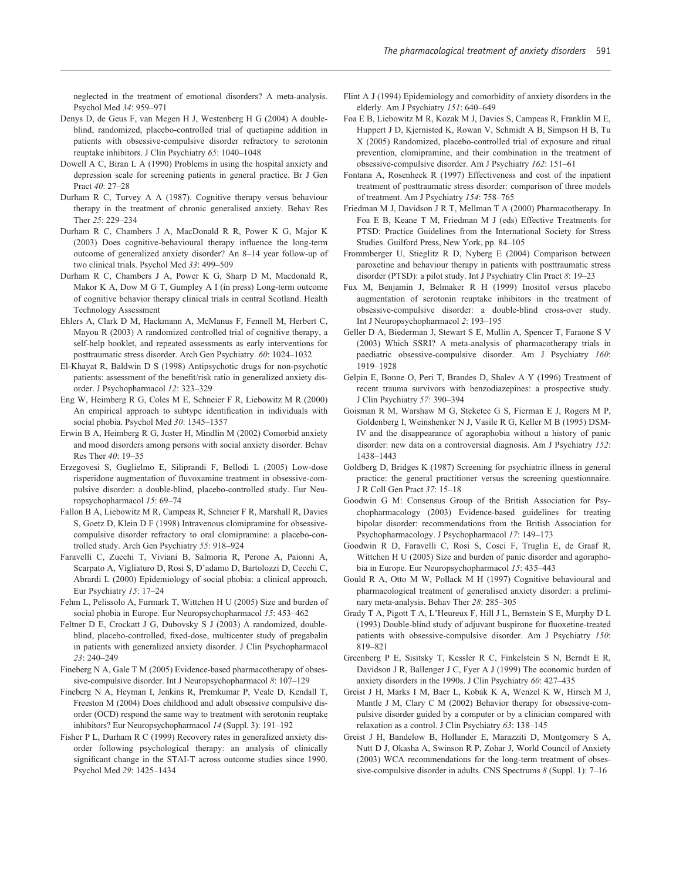neglected in the treatment of emotional disorders? A meta-analysis. Psychol Med *34*: 959–971

- Denys D, de Geus F, van Megen H J, Westenberg H G (2004) A doubleblind, randomized, placebo-controlled trial of quetiapine addition in patients with obsessive-compulsive disorder refractory to serotonin reuptake inhibitors. J Clin Psychiatry *65*: 1040–1048
- Dowell A C, Biran L A (1990) Problems in using the hospital anxiety and depression scale for screening patients in general practice. Br J Gen Pract *40*: 27–28
- Durham R C, Turvey A A (1987). Cognitive therapy versus behaviour therapy in the treatment of chronic generalised anxiety. Behav Res Ther *25*: 229–234
- Durham R C, Chambers J A, MacDonald R R, Power K G, Major K (2003) Does cognitive-behavioural therapy influence the long-term outcome of generalized anxiety disorder? An 8–14 year follow-up of two clinical trials. Psychol Med *33*: 499–509
- Durham R C, Chambers J A, Power K G, Sharp D M, Macdonald R, Makor K A, Dow M G T, Gumpley A I (in press) Long-term outcome of cognitive behavior therapy clinical trials in central Scotland. Health Technology Assessment
- Ehlers A, Clark D M, Hackmann A, McManus F, Fennell M, Herbert C, Mayou R (2003) A randomized controlled trial of cognitive therapy, a self-help booklet, and repeated assessments as early interventions for posttraumatic stress disorder. Arch Gen Psychiatry. *60*: 1024–1032
- El-Khayat R, Baldwin D S (1998) Antipsychotic drugs for non-psychotic patients: assessment of the benefit/risk ratio in generalized anxiety disorder. J Psychopharmacol *12*: 323–329
- Eng W, Heimberg R G, Coles M E, Schneier F R, Liebowitz M R (2000) An empirical approach to subtype identification in individuals with social phobia. Psychol Med *30*: 1345–1357
- Erwin B A, Heimberg R G, Juster H, Mindlin M (2002) Comorbid anxiety and mood disorders among persons with social anxiety disorder. Behav Res Ther *40*: 19–35
- Erzegovesi S, Guglielmo E, Siliprandi F, Bellodi L (2005) Low-dose risperidone augmentation of fluvoxamine treatment in obsessive-compulsive disorder: a double-blind, placebo-controlled study. Eur Neuropsychopharmacol *15*: 69–74
- Fallon B A, Liebowitz M R, Campeas R, Schneier F R, Marshall R, Davies S, Goetz D, Klein D F (1998) Intravenous clomipramine for obsessivecompulsive disorder refractory to oral clomipramine: a placebo-controlled study. Arch Gen Psychiatry *55*: 918–924
- Faravelli C, Zucchi T, Viviani B, Salmoria R, Perone A, Paionni A, Scarpato A, Vigliaturo D, Rosi S, D'adamo D, Bartolozzi D, Cecchi C, Abrardi L (2000) Epidemiology of social phobia: a clinical approach. Eur Psychiatry *15*: 17–24
- Fehm L, Pelissolo A, Furmark T, Wittchen H U (2005) Size and burden of social phobia in Europe. Eur Neuropsychopharmacol *15*: 453–462
- Feltner D E, Crockatt J G, Dubovsky S J (2003) A randomized, doubleblind, placebo-controlled, fixed-dose, multicenter study of pregabalin in patients with generalized anxiety disorder. J Clin Psychopharmacol *23*: 240–249
- Fineberg N A, Gale T M (2005) Evidence-based pharmacotherapy of obsessive-compulsive disorder. Int J Neuropsychopharmacol *8*: 107–129
- Fineberg N A, Heyman I, Jenkins R, Premkumar P, Veale D, Kendall T, Freeston M (2004) Does childhood and adult obsessive compulsive disorder (OCD) respond the same way to treatment with serotonin reuptake inhibitors? Eur Neuropsychopharmacol *14* (Suppl. 3): 191–192
- Fisher P L, Durham R C (1999) Recovery rates in generalized anxiety disorder following psychological therapy: an analysis of clinically significant change in the STAI-T across outcome studies since 1990. Psychol Med *29*: 1425–1434
- Flint A J (1994) Epidemiology and comorbidity of anxiety disorders in the elderly. Am J Psychiatry *151*: 640–649
- Foa E B, Liebowitz M R, Kozak M J, Davies S, Campeas R, Franklin M E, Huppert J D, Kjernisted K, Rowan V, Schmidt A B, Simpson H B, Tu X (2005) Randomized, placebo-controlled trial of exposure and ritual prevention, clomipramine, and their combination in the treatment of obsessive-compulsive disorder. Am J Psychiatry *162*: 151–61
- Fontana A, Rosenheck R (1997) Effectiveness and cost of the inpatient treatment of posttraumatic stress disorder: comparison of three models of treatment. Am J Psychiatry *154*: 758–765
- Friedman M J, Davidson J R T, Mellman T A (2000) Pharmacotherapy. In Foa E B, Keane T M, Friedman M J (eds) Effective Treatments for PTSD: Practice Guidelines from the International Society for Stress Studies. Guilford Press, New York, pp. 84–105
- Frommberger U, Stieglitz R D, Nyberg E (2004) Comparison between paroxetine and behaviour therapy in patients with posttraumatic stress disorder (PTSD): a pilot study. Int J Psychiatry Clin Pract *8*: 19–23
- Fux M, Benjamin J, Belmaker R H (1999) Inositol versus placebo augmentation of serotonin reuptake inhibitors in the treatment of obsessive-compulsive disorder: a double-blind cross-over study. Int J Neuropsychopharmacol *2*: 193–195
- Geller D A, Biederman J, Stewart S E, Mullin A, Spencer T, Faraone S V (2003) Which SSRI? A meta-analysis of pharmacotherapy trials in paediatric obsessive-compulsive disorder. Am J Psychiatry *160*: 1919–1928
- Gelpin E, Bonne O, Peri T, Brandes D, Shalev A Y (1996) Treatment of recent trauma survivors with benzodiazepines: a prospective study. J Clin Psychiatry *57*: 390–394
- Goisman R M, Warshaw M G, Steketee G S, Fierman E J, Rogers M P, Goldenberg I, Weinshenker N J, Vasile R G, Keller M B (1995) DSM-IV and the disappearance of agoraphobia without a history of panic disorder: new data on a controversial diagnosis. Am J Psychiatry *152*: 1438–1443
- Goldberg D, Bridges K (1987) Screening for psychiatric illness in general practice: the general practitioner versus the screening questionnaire. J R Coll Gen Pract *37*: 15–18
- Goodwin G M: Consensus Group of the British Association for Psychopharmacology (2003) Evidence-based guidelines for treating bipolar disorder: recommendations from the British Association for Psychopharmacology. J Psychopharmacol *17*: 149–173
- Goodwin R D, Faravelli C, Rosi S, Cosci F, Truglia E, de Graaf R, Wittchen H U (2005) Size and burden of panic disorder and agoraphobia in Europe. Eur Neuropsychopharmacol *15*: 435–443
- Gould R A, Otto M W, Pollack M H (1997) Cognitive behavioural and pharmacological treatment of generalised anxiety disorder: a preliminary meta-analysis. Behav Ther *28*: 285–305
- Grady T A, Pigott T A, L'Heureux F, Hill J L, Bernstein S E, Murphy D L (1993) Double-blind study of adjuvant buspirone for fluoxetine-treated patients with obsessive-compulsive disorder. Am J Psychiatry *150*: 819–821
- Greenberg P E, Sisitsky T, Kessler R C, Finkelstein S N, Berndt E R, Davidson J R, Ballenger J C, Fyer A J (1999) The economic burden of anxiety disorders in the 1990s. J Clin Psychiatry *60*: 427–435
- Greist J H, Marks I M, Baer L, Kobak K A, Wenzel K W, Hirsch M J, Mantle J M, Clary C M (2002) Behavior therapy for obsessive-compulsive disorder guided by a computer or by a clinician compared with relaxation as a control. J Clin Psychiatry *63*: 138–145
- Greist J H, Bandelow B, Hollander E, Marazziti D, Montgomery S A, Nutt D J, Okasha A, Swinson R P, Zohar J, World Council of Anxiety (2003) WCA recommendations for the long-term treatment of obsessive-compulsive disorder in adults. CNS Spectrums *8* (Suppl. 1): 7–16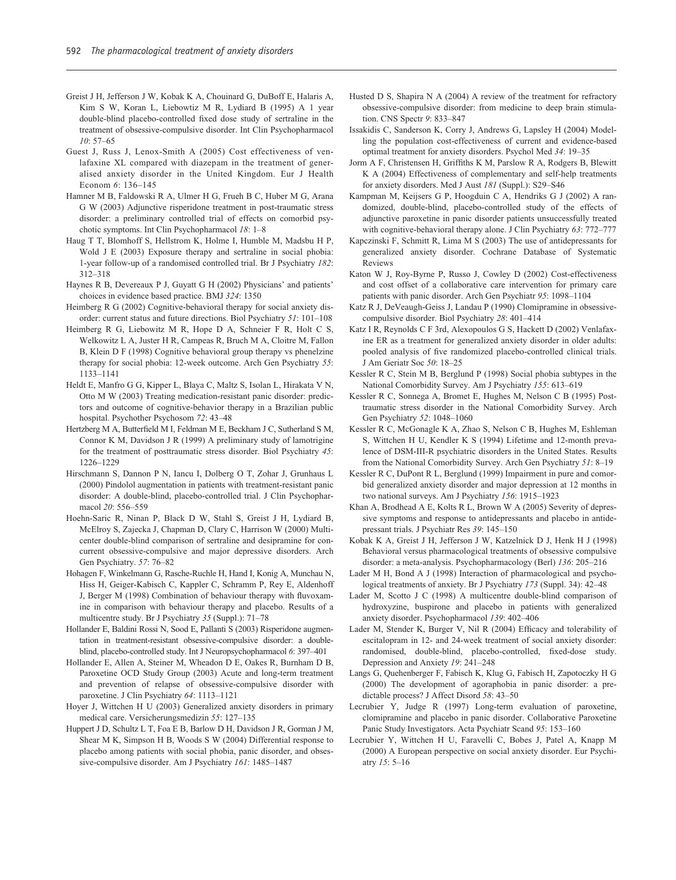- Greist J H, Jefferson J W, Kobak K A, Chouinard G, DuBoff E, Halaris A, Kim S W, Koran L, Liebowtiz M R, Lydiard B (1995) A 1 year double-blind placebo-controlled fixed dose study of sertraline in the treatment of obsessive-compulsive disorder. Int Clin Psychopharmacol *10*: 57–65
- Guest J, Russ J, Lenox-Smith A (2005) Cost effectiveness of venlafaxine XL compared with diazepam in the treatment of generalised anxiety disorder in the United Kingdom. Eur J Health Econom *6*: 136–145
- Hamner M B, Faldowski R A, Ulmer H G, Frueh B C, Huber M G, Arana G W (2003) Adjunctive risperidone treatment in post-traumatic stress disorder: a preliminary controlled trial of effects on comorbid psychotic symptoms. Int Clin Psychopharmacol *18*: 1–8
- Haug T T, Blomhoff S, Hellstrom K, Holme I, Humble M, Madsbu H P, Wold J E (2003) Exposure therapy and sertraline in social phobia: 1-year follow-up of a randomised controlled trial. Br J Psychiatry *182*: 312–318
- Haynes R B, Devereaux P J, Guyatt G H (2002) Physicians' and patients' choices in evidence based practice. BMJ *324*: 1350
- Heimberg R G (2002) Cognitive-behavioral therapy for social anxiety disorder: current status and future directions. Biol Psychiatry *51*: 101–108
- Heimberg R G, Liebowitz M R, Hope D A, Schneier F R, Holt C S, Welkowitz L A, Juster H R, Campeas R, Bruch M A, Cloitre M, Fallon B, Klein D F (1998) Cognitive behavioral group therapy vs phenelzine therapy for social phobia: 12-week outcome. Arch Gen Psychiatry *55*: 1133–1141
- Heldt E, Manfro G G, Kipper L, Blaya C, Maltz S, Isolan L, Hirakata V N, Otto M W (2003) Treating medication-resistant panic disorder: predictors and outcome of cognitive-behavior therapy in a Brazilian public hospital. Psychother Psychosom *72*: 43–48
- Hertzberg M A, Butterfield M I, Feldman M E, Beckham J C, Sutherland S M, Connor K M, Davidson J R (1999) A preliminary study of lamotrigine for the treatment of posttraumatic stress disorder. Biol Psychiatry *45*: 1226–1229
- Hirschmann S, Dannon P N, Iancu I, Dolberg O T, Zohar J, Grunhaus L (2000) Pindolol augmentation in patients with treatment-resistant panic disorder: A double-blind, placebo-controlled trial. J Clin Psychopharmacol *20*: 556–559
- Hoehn-Saric R, Ninan P, Black D W, Stahl S, Greist J H, Lydiard B, McElroy S, Zajecka J, Chapman D, Clary C, Harrison W (2000) Multicenter double-blind comparison of sertraline and desipramine for concurrent obsessive-compulsive and major depressive disorders. Arch Gen Psychiatry. *57*: 76–82
- Hohagen F, Winkelmann G, Rasche-Ruchle H, Hand I, Konig A, Munchau N, Hiss H, Geiger-Kabisch C, Kappler C, Schramm P, Rey E, Aldenhoff J, Berger M (1998) Combination of behaviour therapy with fluvoxamine in comparison with behaviour therapy and placebo. Results of a multicentre study. Br J Psychiatry *35* (Suppl.): 71–78
- Hollander E, Baldini Rossi N, Sood E, Pallanti S (2003) Risperidone augmentation in treatment-resistant obsessive-compulsive disorder: a doubleblind, placebo-controlled study. Int J Neuropsychopharmacol *6*: 397–401
- Hollander E, Allen A, Steiner M, Wheadon D E, Oakes R, Burnham D B, Paroxetine OCD Study Group (2003) Acute and long-term treatment and prevention of relapse of obsessive-compulsive disorder with paroxetine. J Clin Psychiatry *64*: 1113–1121
- Hoyer J, Wittchen H U (2003) Generalized anxiety disorders in primary medical care. Versicherungsmedizin *55*: 127–135
- Huppert J D, Schultz L T, Foa E B, Barlow D H, Davidson J R, Gorman J M, Shear M K, Simpson H B, Woods S W (2004) Differential response to placebo among patients with social phobia, panic disorder, and obsessive-compulsive disorder. Am J Psychiatry *161*: 1485–1487
- Husted D S, Shapira N A (2004) A review of the treatment for refractory obsessive-compulsive disorder: from medicine to deep brain stimulation. CNS Spectr *9*: 833–847
- Issakidis C, Sanderson K, Corry J, Andrews G, Lapsley H (2004) Modelling the population cost-effectiveness of current and evidence-based optimal treatment for anxiety disorders. Psychol Med *34*: 19–35
- Jorm A F, Christensen H, Griffiths K M, Parslow R A, Rodgers B, Blewitt K A (2004) Effectiveness of complementary and self-help treatments for anxiety disorders. Med J Aust *181* (Suppl.): S29–S46
- Kampman M, Keijsers G P, Hoogduin C A, Hendriks G J (2002) A randomized, double-blind, placebo-controlled study of the effects of adjunctive paroxetine in panic disorder patients unsuccessfully treated with cognitive-behavioral therapy alone. J Clin Psychiatry *63*: 772–777
- Kapczinski F, Schmitt R, Lima M S (2003) The use of antidepressants for generalized anxiety disorder. Cochrane Database of Systematic Reviews
- Katon W J, Roy-Byrne P, Russo J, Cowley D (2002) Cost-effectiveness and cost offset of a collaborative care intervention for primary care patients with panic disorder. Arch Gen Psychiatr *95*: 1098–1104
- Katz R J, DeVeaugh-Geiss J, Landau P (1990) Clomipramine in obsessivecompulsive disorder. Biol Psychiatry *28*: 401–414
- Katz I R, Reynolds C F 3rd, Alexopoulos G S, Hackett D (2002) Venlafaxine ER as a treatment for generalized anxiety disorder in older adults: pooled analysis of five randomized placebo-controlled clinical trials. J Am Geriatr Soc *50*: 18–25
- Kessler R C, Stein M B, Berglund P (1998) Social phobia subtypes in the National Comorbidity Survey. Am J Psychiatry *155*: 613–619
- Kessler R C, Sonnega A, Bromet E, Hughes M, Nelson C B (1995) Posttraumatic stress disorder in the National Comorbidity Survey. Arch Gen Psychiatry *52*: 1048–1060
- Kessler R C, McGonagle K A, Zhao S, Nelson C B, Hughes M, Eshleman S, Wittchen H U, Kendler K S (1994) Lifetime and 12-month prevalence of DSM-III-R psychiatric disorders in the United States. Results from the National Comorbidity Survey. Arch Gen Psychiatry *51*: 8–19
- Kessler R C, DuPont R L, Berglund (1999) Impairment in pure and comorbid generalized anxiety disorder and major depression at 12 months in two national surveys. Am J Psychiatry *156*: 1915–1923
- Khan A, Brodhead A E, Kolts R L, Brown W A (2005) Severity of depressive symptoms and response to antidepressants and placebo in antidepressant trials. J Psychiatr Res *39*: 145–150
- Kobak K A, Greist J H, Jefferson J W, Katzelnick D J, Henk H J (1998) Behavioral versus pharmacological treatments of obsessive compulsive disorder: a meta-analysis. Psychopharmacology (Berl) *136*: 205–216
- Lader M H, Bond A J (1998) Interaction of pharmacological and psychological treatments of anxiety. Br J Psychiatry *173* (Suppl. 34): 42–48
- Lader M, Scotto J C (1998) A multicentre double-blind comparison of hydroxyzine, buspirone and placebo in patients with generalized anxiety disorder. Psychopharmacol *139*: 402–406
- Lader M, Stender K, Burger V, Nil R (2004) Efficacy and tolerability of escitalopram in 12- and 24-week treatment of social anxiety disorder: randomised, double-blind, placebo-controlled, fixed-dose study. Depression and Anxiety *19*: 241–248
- Langs G, Quehenberger F, Fabisch K, Klug G, Fabisch H, Zapotoczky H G (2000) The development of agoraphobia in panic disorder: a predictable process? J Affect Disord *58*: 43–50
- Lecrubier Y, Judge R (1997) Long-term evaluation of paroxetine, clomipramine and placebo in panic disorder. Collaborative Paroxetine Panic Study Investigators. Acta Psychiatr Scand *95*: 153–160
- Lecrubier Y, Wittchen H U, Faravelli C, Bobes J, Patel A, Knapp M (2000) A European perspective on social anxiety disorder. Eur Psychiatry *15*: 5–16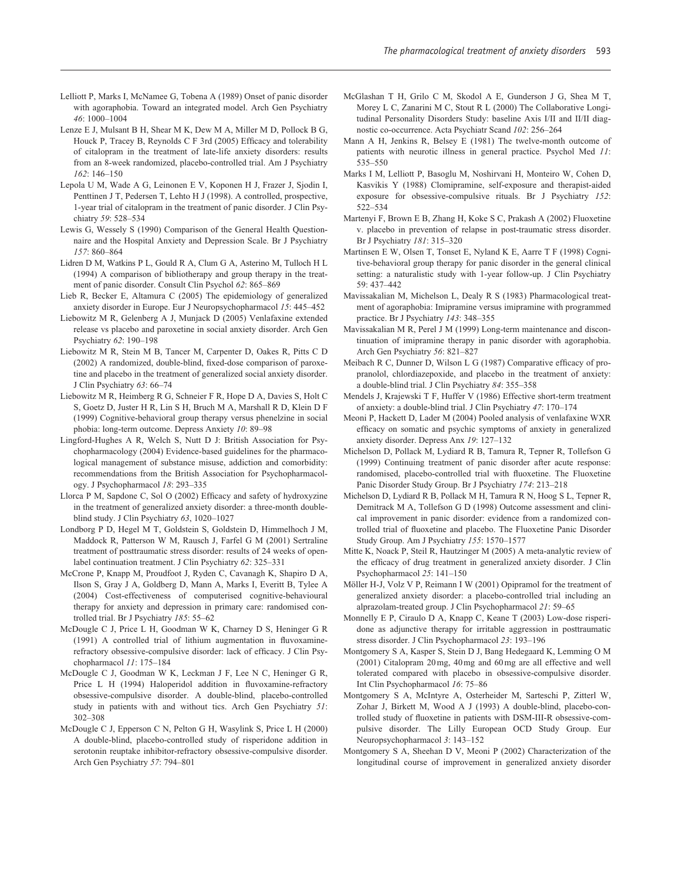- Lelliott P, Marks I, McNamee G, Tobena A (1989) Onset of panic disorder with agoraphobia. Toward an integrated model. Arch Gen Psychiatry *46*: 1000–1004
- Lenze E J, Mulsant B H, Shear M K, Dew M A, Miller M D, Pollock B G, Houck P, Tracey B, Reynolds C F 3rd (2005) Efficacy and tolerability of citalopram in the treatment of late-life anxiety disorders: results from an 8-week randomized, placebo-controlled trial. Am J Psychiatry *162*: 146–150
- Lepola U M, Wade A G, Leinonen E V, Koponen H J, Frazer J, Sjodin I, Penttinen J T, Pedersen T, Lehto H J (1998). A controlled, prospective, 1-year trial of citalopram in the treatment of panic disorder. J Clin Psychiatry *59*: 528–534
- Lewis G, Wessely S (1990) Comparison of the General Health Questionnaire and the Hospital Anxiety and Depression Scale. Br J Psychiatry *157*: 860–864
- Lidren D M, Watkins P L, Gould R A, Clum G A, Asterino M, Tulloch H L (1994) A comparison of bibliotherapy and group therapy in the treatment of panic disorder. Consult Clin Psychol *62*: 865–869
- Lieb R, Becker E, Altamura C (2005) The epidemiology of generalized anxiety disorder in Europe. Eur J Neuropsychopharmacol *15*: 445–452
- Liebowitz M R, Gelenberg A J, Munjack D (2005) Venlafaxine extended release vs placebo and paroxetine in social anxiety disorder. Arch Gen Psychiatry *62*: 190–198
- Liebowitz M R, Stein M B, Tancer M, Carpenter D, Oakes R, Pitts C D (2002) A randomized, double-blind, fixed-dose comparison of paroxetine and placebo in the treatment of generalized social anxiety disorder. J Clin Psychiatry *63*: 66–74
- Liebowitz M R, Heimberg R G, Schneier F R, Hope D A, Davies S, Holt C S, Goetz D, Juster H R, Lin S H, Bruch M A, Marshall R D, Klein D F (1999) Cognitive-behavioral group therapy versus phenelzine in social phobia: long-term outcome. Depress Anxiety *10*: 89–98
- Lingford-Hughes A R, Welch S, Nutt D J: British Association for Psychopharmacology (2004) Evidence-based guidelines for the pharmacological management of substance misuse, addiction and comorbidity: recommendations from the British Association for Psychopharmacology. J Psychopharmacol *18*: 293–335
- Llorca P M, Sapdone C, Sol O (2002) Efficacy and safety of hydroxyzine in the treatment of generalized anxiety disorder: a three-month doubleblind study. J Clin Psychiatry *63*, 1020–1027
- Londborg P D, Hegel M T, Goldstein S, Goldstein D, Himmelhoch J M, Maddock R, Patterson W M, Rausch J, Farfel G M (2001) Sertraline treatment of posttraumatic stress disorder: results of 24 weeks of openlabel continuation treatment. J Clin Psychiatry *62*: 325–331
- McCrone P, Knapp M, Proudfoot J, Ryden C, Cavanagh K, Shapiro D A, Ilson S, Gray J A, Goldberg D, Mann A, Marks I, Everitt B, Tylee A (2004) Cost-effectiveness of computerised cognitive-behavioural therapy for anxiety and depression in primary care: randomised controlled trial. Br J Psychiatry *185*: 55–62
- McDougle C J, Price L H, Goodman W K, Charney D S, Heninger G R (1991) A controlled trial of lithium augmentation in fluvoxaminerefractory obsessive-compulsive disorder: lack of efficacy. J Clin Psychopharmacol *11*: 175–184
- McDougle C J, Goodman W K, Leckman J F, Lee N C, Heninger G R, Price L H (1994) Haloperidol addition in fluvoxamine-refractory obsessive-compulsive disorder. A double-blind, placebo-controlled study in patients with and without tics. Arch Gen Psychiatry *51*: 302–308
- McDougle C J, Epperson C N, Pelton G H, Wasylink S, Price L H (2000) A double-blind, placebo-controlled study of risperidone addition in serotonin reuptake inhibitor-refractory obsessive-compulsive disorder. Arch Gen Psychiatry *57*: 794–801
- McGlashan T H, Grilo C M, Skodol A E, Gunderson J G, Shea M T, Morey L C, Zanarini M C, Stout R L (2000) The Collaborative Longitudinal Personality Disorders Study: baseline Axis I/II and II/II diagnostic co-occurrence. Acta Psychiatr Scand *102*: 256–264
- Mann A H, Jenkins R, Belsey E (1981) The twelve-month outcome of patients with neurotic illness in general practice. Psychol Med *11*: 535–550
- Marks I M, Lelliott P, Basoglu M, Noshirvani H, Monteiro W, Cohen D, Kasvikis Y (1988) Clomipramine, self-exposure and therapist-aided exposure for obsessive-compulsive rituals. Br J Psychiatry *152*: 522–534
- Martenyi F, Brown E B, Zhang H, Koke S C, Prakash A (2002) Fluoxetine v. placebo in prevention of relapse in post-traumatic stress disorder. Br J Psychiatry *181*: 315–320
- Martinsen E W, Olsen T, Tonset E, Nyland K E, Aarre T F (1998) Cognitive-behavioral group therapy for panic disorder in the general clinical setting: a naturalistic study with 1-year follow-up. J Clin Psychiatry 59: 437–442
- Mavissakalian M, Michelson L, Dealy R S (1983) Pharmacological treatment of agoraphobia: Imipramine versus imipramine with programmed practice. Br J Psychiatry *143*: 348–355
- Mavissakalian M R, Perel J M (1999) Long-term maintenance and discontinuation of imipramine therapy in panic disorder with agoraphobia. Arch Gen Psychiatry *56*: 821–827
- Meibach R C, Dunner D, Wilson L G (1987) Comparative efficacy of propranolol, chlordiazepoxide, and placebo in the treatment of anxiety: a double-blind trial. J Clin Psychiatry *84*: 355–358
- Mendels J, Krajewski T F, Huffer V (1986) Effective short-term treatment of anxiety: a double-blind trial. J Clin Psychiatry *47*: 170–174
- Meoni P, Hackett D, Lader M (2004) Pooled analysis of venlafaxine WXR efficacy on somatic and psychic symptoms of anxiety in generalized anxiety disorder. Depress Anx *19*: 127–132
- Michelson D, Pollack M, Lydiard R B, Tamura R, Tepner R, Tollefson G (1999) Continuing treatment of panic disorder after acute response: randomised, placebo-controlled trial with fluoxetine. The Fluoxetine Panic Disorder Study Group. Br J Psychiatry *174*: 213–218
- Michelson D, Lydiard R B, Pollack M H, Tamura R N, Hoog S L, Tepner R, Demitrack M A, Tollefson G D (1998) Outcome assessment and clinical improvement in panic disorder: evidence from a randomized controlled trial of fluoxetine and placebo. The Fluoxetine Panic Disorder Study Group. Am J Psychiatry *155*: 1570–1577
- Mitte K, Noack P, Steil R, Hautzinger M (2005) A meta-analytic review of the efficacy of drug treatment in generalized anxiety disorder. J Clin Psychopharmacol *25*: 141–150
- Möller H-J, Volz V P, Reimann I W (2001) Opipramol for the treatment of generalized anxiety disorder: a placebo-controlled trial including an alprazolam-treated group. J Clin Psychopharmacol *21*: 59–65
- Monnelly E P, Ciraulo D A, Knapp C, Keane T (2003) Low-dose risperidone as adjunctive therapy for irritable aggression in posttraumatic stress disorder. J Clin Psychopharmacol *23*: 193–196
- Montgomery S A, Kasper S, Stein D J, Bang Hedegaard K, Lemming O M (2001) Citalopram 20 mg, 40 mg and 60 mg are all effective and well tolerated compared with placebo in obsessive-compulsive disorder. Int Clin Psychopharmacol *16*: 75–86
- Montgomery S A, McIntyre A, Osterheider M, Sarteschi P, Zitterl W, Zohar J, Birkett M, Wood A J (1993) A double-blind, placebo-controlled study of fluoxetine in patients with DSM-III-R obsessive-compulsive disorder. The Lilly European OCD Study Group. Eur Neuropsychopharmacol *3*: 143–152
- Montgomery S A, Sheehan D V, Meoni P (2002) Characterization of the longitudinal course of improvement in generalized anxiety disorder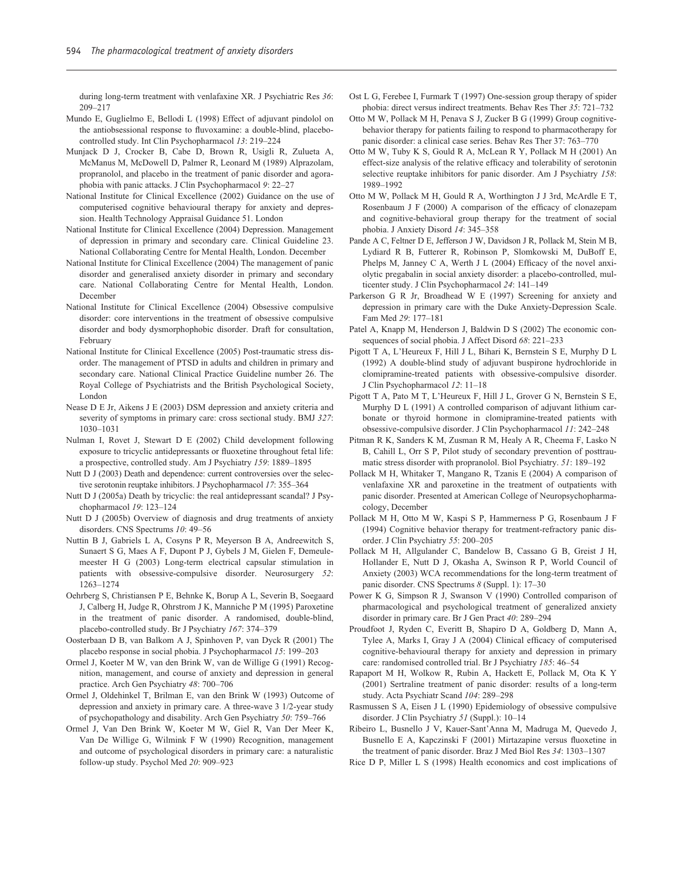during long-term treatment with venlafaxine XR. J Psychiatric Res *36*: 209–217

- Mundo E, Guglielmo E, Bellodi L (1998) Effect of adjuvant pindolol on the antiobsessional response to fluvoxamine: a double-blind, placebocontrolled study. Int Clin Psychopharmacol *13*: 219–224
- Munjack D J, Crocker B, Cabe D, Brown R, Usigli R, Zulueta A, McManus M, McDowell D, Palmer R, Leonard M (1989) Alprazolam, propranolol, and placebo in the treatment of panic disorder and agoraphobia with panic attacks. J Clin Psychopharmacol *9*: 22–27
- National Institute for Clinical Excellence (2002) Guidance on the use of computerised cognitive behavioural therapy for anxiety and depression. Health Technology Appraisal Guidance 51. London
- National Institute for Clinical Excellence (2004) Depression. Management of depression in primary and secondary care. Clinical Guideline 23. National Collaborating Centre for Mental Health, London. December
- National Institute for Clinical Excellence (2004) The management of panic disorder and generalised anxiety disorder in primary and secondary care. National Collaborating Centre for Mental Health, London. December
- National Institute for Clinical Excellence (2004) Obsessive compulsive disorder: core interventions in the treatment of obsessive compulsive disorder and body dysmorphophobic disorder. Draft for consultation, February
- National Institute for Clinical Excellence (2005) Post-traumatic stress disorder. The management of PTSD in adults and children in primary and secondary care. National Clinical Practice Guideline number 26. The Royal College of Psychiatrists and the British Psychological Society, London
- Nease D E Jr, Aikens J E (2003) DSM depression and anxiety criteria and severity of symptoms in primary care: cross sectional study. BMJ *327*: 1030–1031
- Nulman I, Rovet J, Stewart D E (2002) Child development following exposure to tricyclic antidepressants or fluoxetine throughout fetal life: a prospective, controlled study. Am J Psychiatry *159*: 1889–1895
- Nutt D J (2003) Death and dependence: current controversies over the selective serotonin reuptake inhibitors. J Psychopharmacol *17*: 355–364
- Nutt D J (2005a) Death by tricyclic: the real antidepressant scandal? J Psychopharmacol *19*: 123–124
- Nutt D J (2005b) Overview of diagnosis and drug treatments of anxiety disorders. CNS Spectrums *10*: 49–56
- Nuttin B J, Gabriels L A, Cosyns P R, Meyerson B A, Andreewitch S, Sunaert S G, Maes A F, Dupont P J, Gybels J M, Gielen F, Demeulemeester H G (2003) Long-term electrical capsular stimulation in patients with obsessive-compulsive disorder. Neurosurgery *52*: 1263–1274
- Oehrberg S, Christiansen P E, Behnke K, Borup A L, Severin B, Soegaard J, Calberg H, Judge R, Ohrstrom J K, Manniche P M (1995) Paroxetine in the treatment of panic disorder. A randomised, double-blind, placebo-controlled study. Br J Psychiatry *167*: 374–379
- Oosterbaan D B, van Balkom A J, Spinhoven P, van Dyck R (2001) The placebo response in social phobia. J Psychopharmacol *15*: 199–203
- Ormel J, Koeter M W, van den Brink W, van de Willige G (1991) Recognition, management, and course of anxiety and depression in general practice. Arch Gen Psychiatry *48*: 700–706
- Ormel J, Oldehinkel T, Brilman E, van den Brink W (1993) Outcome of depression and anxiety in primary care. A three-wave 3 1/2-year study of psychopathology and disability. Arch Gen Psychiatry *50*: 759–766
- Ormel J, Van Den Brink W, Koeter M W, Giel R, Van Der Meer K, Van De Willige G, Wilmink F W (1990) Recognition, management and outcome of psychological disorders in primary care: a naturalistic follow-up study. Psychol Med *20*: 909–923
- Ost L G, Ferebee I, Furmark T (1997) One-session group therapy of spider phobia: direct versus indirect treatments. Behav Res Ther *35*: 721–732
- Otto M W, Pollack M H, Penava S J, Zucker B G (1999) Group cognitivebehavior therapy for patients failing to respond to pharmacotherapy for panic disorder: a clinical case series. Behav Res Ther 37: 763–770
- Otto M W, Tuby K S, Gould R A, McLean R Y, Pollack M H (2001) An effect-size analysis of the relative efficacy and tolerability of serotonin selective reuptake inhibitors for panic disorder. Am J Psychiatry *158*: 1989–1992
- Otto M W, Pollack M H, Gould R A, Worthington J J 3rd, McArdle E T, Rosenbaum J F (2000) A comparison of the efficacy of clonazepam and cognitive-behavioral group therapy for the treatment of social phobia. J Anxiety Disord *14*: 345–358
- Pande A C, Feltner D E, Jefferson J W, Davidson J R, Pollack M, Stein M B, Lydiard R B, Futterer R, Robinson P, Slomkowski M, DuBoff E, Phelps M, Janney C A, Werth J L (2004) Efficacy of the novel anxiolytic pregabalin in social anxiety disorder: a placebo-controlled, multicenter study. J Clin Psychopharmacol *24*: 141–149
- Parkerson G R Jr, Broadhead W E (1997) Screening for anxiety and depression in primary care with the Duke Anxiety-Depression Scale. Fam Med *29*: 177–181
- Patel A, Knapp M, Henderson J, Baldwin D S (2002) The economic consequences of social phobia. J Affect Disord *68*: 221–233
- Pigott T A, L'Heureux F, Hill J L, Bihari K, Bernstein S E, Murphy D L (1992) A double-blind study of adjuvant buspirone hydrochloride in clomipramine-treated patients with obsessive-compulsive disorder. J Clin Psychopharmacol *12*: 11–18
- Pigott T A, Pato M T, L'Heureux F, Hill J L, Grover G N, Bernstein S E, Murphy D L (1991) A controlled comparison of adjuvant lithium carbonate or thyroid hormone in clomipramine-treated patients with obsessive-compulsive disorder. J Clin Psychopharmacol *11*: 242–248
- Pitman R K, Sanders K M, Zusman R M, Healy A R, Cheema F, Lasko N B, Cahill L, Orr S P, Pilot study of secondary prevention of posttraumatic stress disorder with propranolol. Biol Psychiatry. *51*: 189–192
- Pollack M H, Whitaker T, Mangano R, Tzanis E (2004) A comparison of venlafaxine XR and paroxetine in the treatment of outpatients with panic disorder. Presented at American College of Neuropsychopharmacology, December
- Pollack M H, Otto M W, Kaspi S P, Hammerness P G, Rosenbaum J F (1994) Cognitive behavior therapy for treatment-refractory panic disorder. J Clin Psychiatry *55*: 200–205
- Pollack M H, Allgulander C, Bandelow B, Cassano G B, Greist J H, Hollander E, Nutt D J, Okasha A, Swinson R P, World Council of Anxiety (2003) WCA recommendations for the long-term treatment of panic disorder. CNS Spectrums *8* (Suppl. 1): 17–30
- Power K G, Simpson R J, Swanson V (1990) Controlled comparison of pharmacological and psychological treatment of generalized anxiety disorder in primary care. Br J Gen Pract *40*: 289–294
- Proudfoot J, Ryden C, Everitt B, Shapiro D A, Goldberg D, Mann A, Tylee A, Marks I, Gray J A (2004) Clinical efficacy of computerised cognitive-behavioural therapy for anxiety and depression in primary care: randomised controlled trial. Br J Psychiatry *185*: 46–54
- Rapaport M H, Wolkow R, Rubin A, Hackett E, Pollack M, Ota K Y (2001) Sertraline treatment of panic disorder: results of a long-term study. Acta Psychiatr Scand *104*: 289–298
- Rasmussen S A, Eisen J L (1990) Epidemiology of obsessive compulsive disorder. J Clin Psychiatry *51* (Suppl.): 10–14
- Ribeiro L, Busnello J V, Kauer-Sant'Anna M, Madruga M, Quevedo J, Busnello E A, Kapczinski F (2001) Mirtazapine versus fluoxetine in the treatment of panic disorder. Braz J Med Biol Res *34*: 1303–1307
- Rice D P, Miller L S (1998) Health economics and cost implications of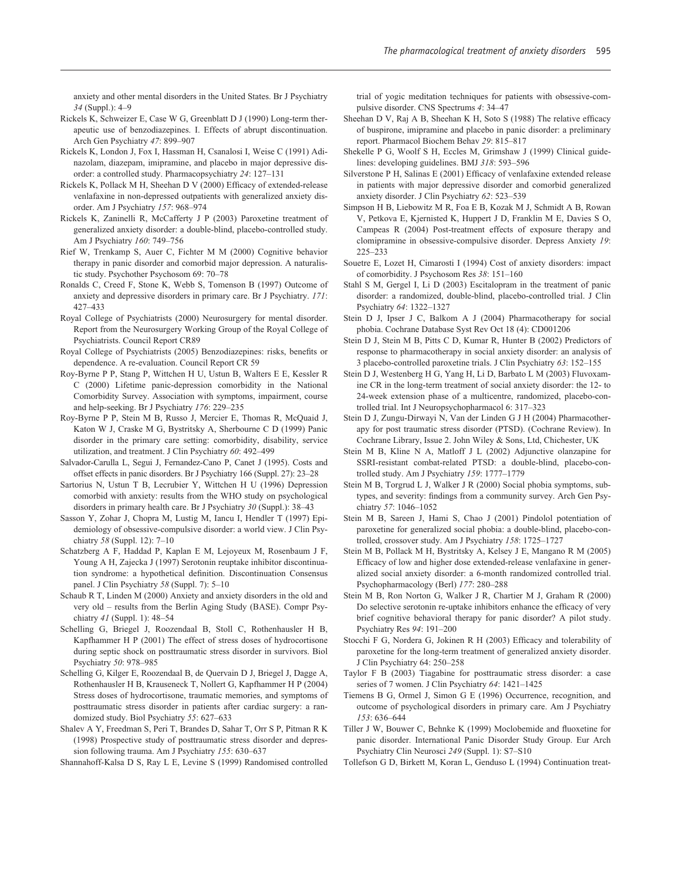anxiety and other mental disorders in the United States. Br J Psychiatry *34* (Suppl.): 4–9

- Rickels K, Schweizer E, Case W G, Greenblatt D J (1990) Long-term therapeutic use of benzodiazepines. I. Effects of abrupt discontinuation. Arch Gen Psychiatry *47*: 899–907
- Rickels K, London J, Fox I, Hassman H, Csanalosi I, Weise C (1991) Adinazolam, diazepam, imipramine, and placebo in major depressive disorder: a controlled study. Pharmacopsychiatry *24*: 127–131
- Rickels K, Pollack M H, Sheehan D V (2000) Efficacy of extended-release venlafaxine in non-depressed outpatients with generalized anxiety disorder. Am J Psychiatry *157*: 968–974
- Rickels K, Zaninelli R, McCafferty J P (2003) Paroxetine treatment of generalized anxiety disorder: a double-blind, placebo-controlled study. Am J Psychiatry *160*: 749–756
- Rief W, Trenkamp S, Auer C, Fichter M M (2000) Cognitive behavior therapy in panic disorder and comorbid major depression. A naturalistic study. Psychother Psychosom 69: 70–78
- Ronalds C, Creed F, Stone K, Webb S, Tomenson B (1997) Outcome of anxiety and depressive disorders in primary care. Br J Psychiatry. *171*: 427–433
- Royal College of Psychiatrists (2000) Neurosurgery for mental disorder. Report from the Neurosurgery Working Group of the Royal College of Psychiatrists. Council Report CR89
- Royal College of Psychiatrists (2005) Benzodiazepines: risks, benefits or dependence. A re-evaluation. Council Report CR 59
- Roy-Byrne P P, Stang P, Wittchen H U, Ustun B, Walters E E, Kessler R C (2000) Lifetime panic-depression comorbidity in the National Comorbidity Survey. Association with symptoms, impairment, course and help-seeking. Br J Psychiatry *176*: 229–235
- Roy-Byrne P P, Stein M B, Russo J, Mercier E, Thomas R, McQuaid J, Katon W J, Craske M G, Bystritsky A, Sherbourne C D (1999) Panic disorder in the primary care setting: comorbidity, disability, service utilization, and treatment. J Clin Psychiatry *60*: 492–499
- Salvador-Carulla L, Segui J, Fernandez-Cano P, Canet J (1995). Costs and offset effects in panic disorders. Br J Psychiatry 166 (Suppl. 27): 23–28
- Sartorius N, Ustun T B, Lecrubier Y, Wittchen H U (1996) Depression comorbid with anxiety: results from the WHO study on psychological disorders in primary health care. Br J Psychiatry *30* (Suppl.): 38–43
- Sasson Y, Zohar J, Chopra M, Lustig M, Iancu I, Hendler T (1997) Epidemiology of obsessive-compulsive disorder: a world view. J Clin Psychiatry *58* (Suppl. 12): 7–10
- Schatzberg A F, Haddad P, Kaplan E M, Lejoyeux M, Rosenbaum J F, Young A H, Zajecka J (1997) Serotonin reuptake inhibitor discontinuation syndrome: a hypothetical definition. Discontinuation Consensus panel. J Clin Psychiatry *58* (Suppl. 7): 5–10
- Schaub R T, Linden M (2000) Anxiety and anxiety disorders in the old and very old – results from the Berlin Aging Study (BASE). Compr Psychiatry *41* (Suppl. 1): 48–54
- Schelling G, Briegel J, Roozendaal B, Stoll C, Rothenhausler H B, Kapfhammer H P (2001) The effect of stress doses of hydrocortisone during septic shock on posttraumatic stress disorder in survivors. Biol Psychiatry *50*: 978–985
- Schelling G, Kilger E, Roozendaal B, de Quervain D J, Briegel J, Dagge A, Rothenhausler H B, Krauseneck T, Nollert G, Kapfhammer H P (2004) Stress doses of hydrocortisone, traumatic memories, and symptoms of posttraumatic stress disorder in patients after cardiac surgery: a randomized study. Biol Psychiatry *55*: 627–633
- Shalev A Y, Freedman S, Peri T, Brandes D, Sahar T, Orr S P, Pitman R K (1998) Prospective study of posttraumatic stress disorder and depression following trauma. Am J Psychiatry *155*: 630–637
- Shannahoff-Kalsa D S, Ray L E, Levine S (1999) Randomised controlled

trial of yogic meditation techniques for patients with obsessive-compulsive disorder. CNS Spectrums *4*: 34–47

- Sheehan D V, Raj A B, Sheehan K H, Soto S (1988) The relative efficacy of buspirone, imipramine and placebo in panic disorder: a preliminary report. Pharmacol Biochem Behav *29*: 815–817
- Shekelle P G, Woolf S H, Eccles M, Grimshaw J (1999) Clinical guidelines: developing guidelines. BMJ *318*: 593–596
- Silverstone P H, Salinas E (2001) Efficacy of venlafaxine extended release in patients with major depressive disorder and comorbid generalized anxiety disorder. J Clin Psychiatry *62*: 523–539
- Simpson H B, Liebowitz M R, Foa E B, Kozak M J, Schmidt A B, Rowan V, Petkova E, Kjernisted K, Huppert J D, Franklin M E, Davies S O, Campeas R (2004) Post-treatment effects of exposure therapy and clomipramine in obsessive-compulsive disorder. Depress Anxiety *19*: 225–233
- Souetre E, Lozet H, Cimarosti I (1994) Cost of anxiety disorders: impact of comorbidity. J Psychosom Res *38*: 151–160
- Stahl S M, Gergel I, Li D (2003) Escitalopram in the treatment of panic disorder: a randomized, double-blind, placebo-controlled trial. J Clin Psychiatry *64*: 1322–1327
- Stein D J, Ipser J C, Balkom A J (2004) Pharmacotherapy for social phobia. Cochrane Database Syst Rev Oct 18 (4): CD001206
- Stein D J, Stein M B, Pitts C D, Kumar R, Hunter B (2002) Predictors of response to pharmacotherapy in social anxiety disorder: an analysis of 3 placebo-controlled paroxetine trials. J Clin Psychiatry *63*: 152–155
- Stein D J, Westenberg H G, Yang H, Li D, Barbato L M (2003) Fluvoxamine CR in the long-term treatment of social anxiety disorder: the 12- to 24-week extension phase of a multicentre, randomized, placebo-controlled trial. Int J Neuropsychopharmacol 6: 317–323
- Stein D J, Zungu-Dirwayi N, Van der Linden G J H (2004) Pharmacotherapy for post traumatic stress disorder (PTSD). (Cochrane Review). In Cochrane Library, Issue 2. John Wiley & Sons, Ltd, Chichester, UK
- Stein M B, Kline N A, Matloff J L (2002) Adjunctive olanzapine for SSRI-resistant combat-related PTSD: a double-blind, placebo-controlled study. Am J Psychiatry *159*: 1777–1779
- Stein M B, Torgrud L J, Walker J R (2000) Social phobia symptoms, subtypes, and severity: findings from a community survey. Arch Gen Psychiatry *57*: 1046–1052
- Stein M B, Sareen J, Hami S, Chao J (2001) Pindolol potentiation of paroxetine for generalized social phobia: a double-blind, placebo-controlled, crossover study. Am J Psychiatry *158*: 1725–1727
- Stein M B, Pollack M H, Bystritsky A, Kelsey J E, Mangano R M (2005) Efficacy of low and higher dose extended-release venlafaxine in generalized social anxiety disorder: a 6-month randomized controlled trial. Psychopharmacology (Berl) *177*: 280–288
- Stein M B, Ron Norton G, Walker J R, Chartier M J, Graham R (2000) Do selective serotonin re-uptake inhibitors enhance the efficacy of very brief cognitive behavioral therapy for panic disorder? A pilot study. Psychiatry Res *94*: 191–200
- Stocchi F G, Nordera G, Jokinen R H (2003) Efficacy and tolerability of paroxetine for the long-term treatment of generalized anxiety disorder. J Clin Psychiatry 64: 250–258
- Taylor F B (2003) Tiagabine for posttraumatic stress disorder: a case series of 7 women. J Clin Psychiatry *64*: 1421–1425
- Tiemens B G, Ormel J, Simon G E (1996) Occurrence, recognition, and outcome of psychological disorders in primary care. Am J Psychiatry *153*: 636–644
- Tiller J W, Bouwer C, Behnke K (1999) Moclobemide and fluoxetine for panic disorder. International Panic Disorder Study Group. Eur Arch Psychiatry Clin Neurosci *249* (Suppl. 1): S7–S10
- Tollefson G D, Birkett M, Koran L, Genduso L (1994) Continuation treat-